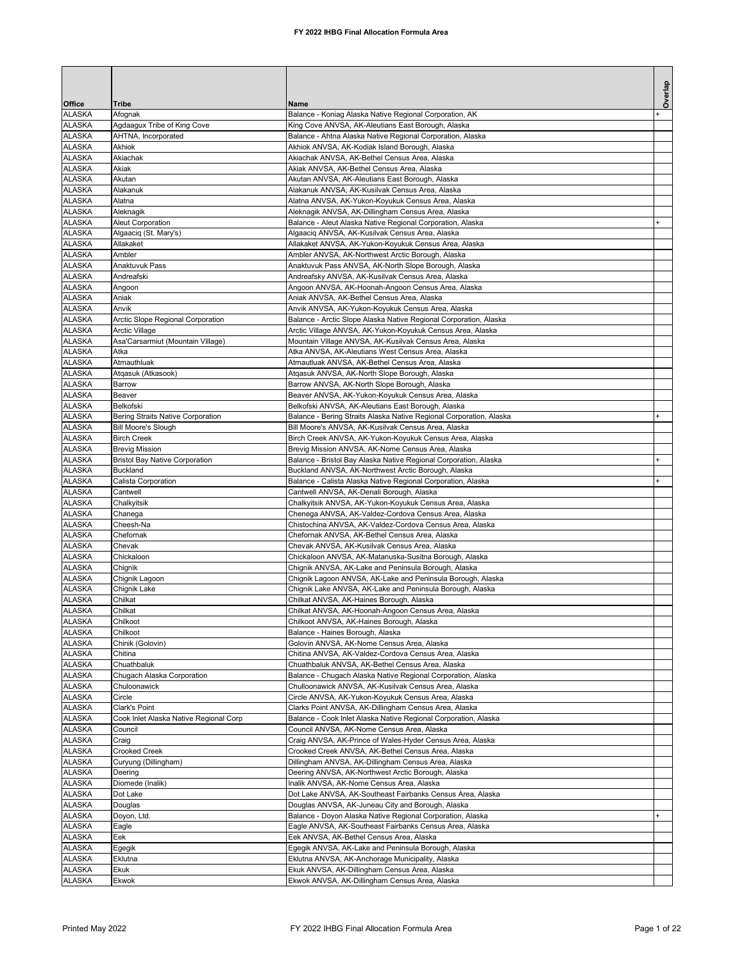|                                |                                             |                                                                                                                          | Overlap |
|--------------------------------|---------------------------------------------|--------------------------------------------------------------------------------------------------------------------------|---------|
| Office                         | Tribe                                       | Name                                                                                                                     |         |
| <b>ALASKA</b>                  | Afognak                                     | Balance - Koniag Alaska Native Regional Corporation, AK                                                                  |         |
| <b>ALASKA</b>                  | Agdaagux Tribe of King Cove                 | King Cove ANVSA, AK-Aleutians East Borough, Alaska                                                                       |         |
| <b>ALASKA</b>                  | AHTNA, Incorporated<br><b>Akhiok</b>        | Balance - Ahtna Alaska Native Regional Corporation, Alaska                                                               |         |
| <b>ALASKA</b><br><b>ALASKA</b> | Akiachak                                    | Akhiok ANVSA, AK-Kodiak Island Borough, Alaska<br>Akiachak ANVSA, AK-Bethel Census Area, Alaska                          |         |
| <b>ALASKA</b>                  | Akiak                                       | Akiak ANVSA, AK-Bethel Census Area, Alaska                                                                               |         |
| <b>ALASKA</b>                  | Akutan                                      | Akutan ANVSA, AK-Aleutians East Borough, Alaska                                                                          |         |
| <b>ALASKA</b>                  | Alakanuk                                    | Alakanuk ANVSA, AK-Kusilvak Census Area, Alaska                                                                          |         |
| <b>ALASKA</b>                  | Alatna                                      | Alatna ANVSA, AK-Yukon-Koyukuk Census Area, Alaska                                                                       |         |
| <b>ALASKA</b><br><b>ALASKA</b> | Aleknagik<br><b>Aleut Corporation</b>       | Aleknagik ANVSA, AK-Dillingham Census Area, Alaska<br>Balance - Aleut Alaska Native Regional Corporation, Alaska         |         |
| <b>ALASKA</b>                  | Algaaciq (St. Mary's)                       | Algaacig ANVSA, AK-Kusilvak Census Area, Alaska                                                                          |         |
| <b>ALASKA</b>                  | Allakaket                                   | Allakaket ANVSA, AK-Yukon-Koyukuk Census Area, Alaska                                                                    |         |
| <b>ALASKA</b>                  | Ambler                                      | Ambler ANVSA, AK-Northwest Arctic Borough, Alaska                                                                        |         |
| <b>ALASKA</b>                  | Anaktuvuk Pass                              | Anaktuvuk Pass ANVSA, AK-North Slope Borough, Alaska                                                                     |         |
| <b>ALASKA</b><br><b>ALASKA</b> | Andreafski<br>Angoon                        | Andreafsky ANVSA, AK-Kusilvak Census Area, Alaska<br>Angoon ANVSA, AK-Hoonah-Angoon Census Area, Alaska                  |         |
| <b>ALASKA</b>                  | Aniak                                       | Aniak ANVSA, AK-Bethel Census Area, Alaska                                                                               |         |
| <b>ALASKA</b>                  | Anvik                                       | Anvik ANVSA, AK-Yukon-Koyukuk Census Area, Alaska                                                                        |         |
| <b>ALASKA</b>                  | Arctic Slope Regional Corporation           | Balance - Arctic Slope Alaska Native Regional Corporation, Alaska                                                        |         |
| <b>ALASKA</b>                  | <b>Arctic Village</b>                       | Arctic Village ANVSA, AK-Yukon-Koyukuk Census Area, Alaska                                                               |         |
| <b>ALASKA</b>                  | Asa'Carsarmiut (Mountain Village)           | Mountain Village ANVSA, AK-Kusilvak Census Area, Alaska                                                                  |         |
| <b>ALASKA</b>                  | Atka                                        | Atka ANVSA, AK-Aleutians West Census Area, Alaska                                                                        |         |
| <b>ALASKA</b><br><b>ALASKA</b> | Atmauthluak<br>Atgasuk (Atkasook)           | Atmautluak ANVSA, AK-Bethel Census Area, Alaska<br>Atgasuk ANVSA, AK-North Slope Borough, Alaska                         |         |
| <b>ALASKA</b>                  | Barrow                                      | Barrow ANVSA, AK-North Slope Borough, Alaska                                                                             |         |
| <b>ALASKA</b>                  | Beaver                                      | Beaver ANVSA, AK-Yukon-Koyukuk Census Area, Alaska                                                                       |         |
| <b>ALASKA</b>                  | Belkofski                                   | Belkofski ANVSA, AK-Aleutians East Borough, Alaska                                                                       |         |
| <b>ALASKA</b>                  | <b>Bering Straits Native Corporation</b>    | Balance - Bering Straits Alaska Native Regional Corporation, Alaska                                                      |         |
| <b>ALASKA</b>                  | <b>Bill Moore's Slough</b>                  | Bill Moore's ANVSA, AK-Kusilvak Census Area, Alaska                                                                      |         |
| <b>ALASKA</b><br><b>ALASKA</b> | <b>Birch Creek</b><br><b>Brevig Mission</b> | Birch Creek ANVSA, AK-Yukon-Koyukuk Census Area, Alaska<br>Brevig Mission ANVSA, AK-Nome Census Area, Alaska             |         |
| <b>ALASKA</b>                  | <b>Bristol Bay Native Corporation</b>       | Balance - Bristol Bay Alaska Native Regional Corporation, Alaska                                                         |         |
| <b>ALASKA</b>                  | <b>Buckland</b>                             | Buckland ANVSA, AK-Northwest Arctic Borough, Alaska                                                                      |         |
| <b>ALASKA</b>                  | Calista Corporation                         | Balance - Calista Alaska Native Regional Corporation, Alaska                                                             |         |
| <b>ALASKA</b>                  | Cantwell                                    | Cantwell ANVSA, AK-Denali Borough, Alaska                                                                                |         |
| <b>ALASKA</b>                  | Chalkyitsik                                 | Chalkyitsik ANVSA, AK-Yukon-Koyukuk Census Area, Alaska                                                                  |         |
| <b>ALASKA</b><br><b>ALASKA</b> | Chanega<br>Cheesh-Na                        | Chenega ANVSA, AK-Valdez-Cordova Census Area, Alaska<br>Chistochina ANVSA, AK-Valdez-Cordova Census Area, Alaska         |         |
| <b>ALASKA</b>                  | Chefornak                                   | Chefornak ANVSA, AK-Bethel Census Area, Alaska                                                                           |         |
| <b>ALASKA</b>                  | Chevak                                      | Chevak ANVSA, AK-Kusilvak Census Area, Alaska                                                                            |         |
| <b>ALASKA</b>                  | Chickaloon                                  | Chickaloon ANVSA, AK-Matanuska-Susitna Borough, Alaska                                                                   |         |
| <b>ALASKA</b>                  | Chignik                                     | Chignik ANVSA, AK-Lake and Peninsula Borough, Alaska                                                                     |         |
| <b>ALASKA</b><br><b>ALASKA</b> | Chignik Lagoon<br>Chignik Lake              | Chignik Lagoon ANVSA, AK-Lake and Peninsula Borough, Alaska<br>Chignik Lake ANVSA, AK-Lake and Peninsula Borough, Alaska |         |
| <b>ALASKA</b>                  | Chilkat                                     | Chilkat ANVSA, AK-Haines Borough, Alaska                                                                                 |         |
| <b>ALASKA</b>                  | Chilkat                                     | Chilkat ANVSA, AK-Hoonah-Angoon Census Area, Alaska                                                                      |         |
| <b>ALASKA</b>                  | Chilkoot                                    | Chilkoot ANVSA, AK-Haines Borough, Alaska                                                                                |         |
| <b>ALASKA</b>                  | Chilkoot                                    | Balance - Haines Borough, Alaska                                                                                         |         |
| <b>ALASKA</b>                  | Chinik (Golovin)                            | Golovin ANVSA, AK-Nome Census Area, Alaska<br>Chitina ANVSA, AK-Valdez-Cordova Census Area, Alaska                       |         |
| <b>ALASKA</b><br><b>ALASKA</b> | Chitina<br>Chuathbaluk                      | Chuathbaluk ANVSA, AK-Bethel Census Area, Alaska                                                                         |         |
| <b>ALASKA</b>                  | Chugach Alaska Corporation                  | Balance - Chugach Alaska Native Regional Corporation, Alaska                                                             |         |
| <b>ALASKA</b>                  | Chuloonawick                                | Chulloonawick ANVSA, AK-Kusilvak Census Area, Alaska                                                                     |         |
| <b>ALASKA</b>                  | Circle                                      | Circle ANVSA, AK-Yukon-Koyukuk Census Area, Alaska                                                                       |         |
| <b>ALASKA</b>                  | Clark's Point                               | Clarks Point ANVSA, AK-Dillingham Census Area, Alaska                                                                    |         |
| <b>ALASKA</b><br><b>ALASKA</b> | Cook Inlet Alaska Native Regional Corp      | Balance - Cook Inlet Alaska Native Regional Corporation, Alaska                                                          |         |
| <b>ALASKA</b>                  | Council<br>Craig                            | Council ANVSA, AK-Nome Census Area, Alaska<br>Craig ANVSA, AK-Prince of Wales-Hyder Census Area, Alaska                  |         |
| <b>ALASKA</b>                  | <b>Crooked Creek</b>                        | Crooked Creek ANVSA, AK-Bethel Census Area, Alaska                                                                       |         |
| <b>ALASKA</b>                  | Curyung (Dillingham)                        | Dillingham ANVSA, AK-Dillingham Census Area, Alaska                                                                      |         |
| <b>ALASKA</b>                  | Deering                                     | Deering ANVSA, AK-Northwest Arctic Borough, Alaska                                                                       |         |
| <b>ALASKA</b>                  | Diomede (Inalik)                            | Inalik ANVSA, AK-Nome Census Area, Alaska                                                                                |         |
| <b>ALASKA</b><br><b>ALASKA</b> | Dot Lake                                    | Dot Lake ANVSA, AK-Southeast Fairbanks Census Area, Alaska                                                               |         |
| <b>ALASKA</b>                  | Douglas<br>Doyon, Ltd.                      | Douglas ANVSA, AK-Juneau City and Borough, Alaska<br>Balance - Doyon Alaska Native Regional Corporation, Alaska          |         |
| <b>ALASKA</b>                  | Eagle                                       | Eagle ANVSA, AK-Southeast Fairbanks Census Area, Alaska                                                                  |         |
| <b>ALASKA</b>                  | Eek                                         | Eek ANVSA, AK-Bethel Census Area, Alaska                                                                                 |         |
| <b>ALASKA</b>                  | Egegik                                      | Egegik ANVSA, AK-Lake and Peninsula Borough, Alaska                                                                      |         |
| <b>ALASKA</b>                  | Eklutna                                     | Eklutna ANVSA, AK-Anchorage Municipality, Alaska                                                                         |         |
| <b>ALASKA</b><br><b>ALASKA</b> | Ekuk<br>Ekwok                               | Ekuk ANVSA, AK-Dillingham Census Area, Alaska<br>Ekwok ANVSA, AK-Dillingham Census Area, Alaska                          |         |
|                                |                                             |                                                                                                                          |         |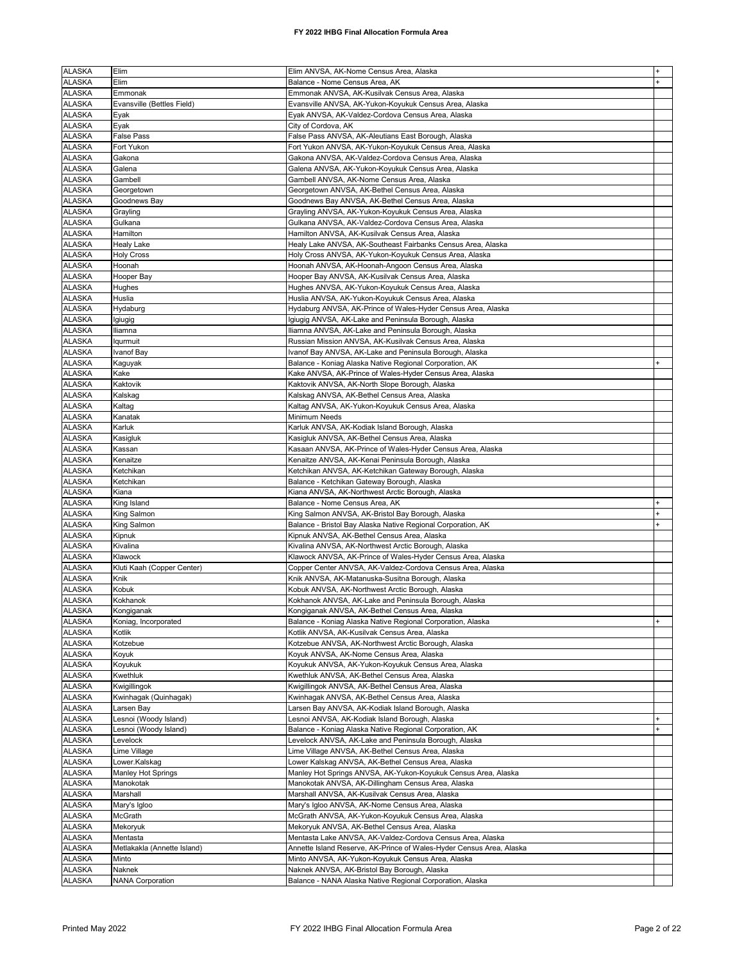| <b>ALASKA</b> | Elim                        | Elim ANVSA, AK-Nome Census Area, Alaska                              |  |
|---------------|-----------------------------|----------------------------------------------------------------------|--|
| <b>ALASKA</b> | Elim                        | Balance - Nome Census Area, AK                                       |  |
| <b>ALASKA</b> | Emmonak                     | Emmonak ANVSA, AK-Kusilvak Census Area, Alaska                       |  |
| <b>ALASKA</b> | Evansville (Bettles Field)  | Evansville ANVSA, AK-Yukon-Koyukuk Census Area, Alaska               |  |
| <b>ALASKA</b> | Eyak                        | Eyak ANVSA, AK-Valdez-Cordova Census Area, Alaska                    |  |
| <b>ALASKA</b> | Eyak                        | City of Cordova, AK                                                  |  |
| <b>ALASKA</b> | <b>False Pass</b>           | False Pass ANVSA, AK-Aleutians East Borough, Alaska                  |  |
| <b>ALASKA</b> | Fort Yukon                  | Fort Yukon ANVSA, AK-Yukon-Koyukuk Census Area, Alaska               |  |
| <b>ALASKA</b> | Gakona                      | Gakona ANVSA, AK-Valdez-Cordova Census Area, Alaska                  |  |
| <b>ALASKA</b> | Galena                      | Galena ANVSA, AK-Yukon-Koyukuk Census Area, Alaska                   |  |
| <b>ALASKA</b> | Gambell                     | Gambell ANVSA, AK-Nome Census Area, Alaska                           |  |
| <b>ALASKA</b> | Georgetown                  | Georgetown ANVSA, AK-Bethel Census Area, Alaska                      |  |
| <b>ALASKA</b> | Goodnews Bay                | Goodnews Bay ANVSA, AK-Bethel Census Area, Alaska                    |  |
| <b>ALASKA</b> | Grayling                    | Grayling ANVSA, AK-Yukon-Koyukuk Census Area, Alaska                 |  |
| <b>ALASKA</b> | Gulkana                     | Gulkana ANVSA, AK-Valdez-Cordova Census Area, Alaska                 |  |
| <b>ALASKA</b> | Hamilton                    | Hamilton ANVSA, AK-Kusilvak Census Area, Alaska                      |  |
|               |                             |                                                                      |  |
| <b>ALASKA</b> | <b>Healy Lake</b>           | Healy Lake ANVSA, AK-Southeast Fairbanks Census Area, Alaska         |  |
| <b>ALASKA</b> | <b>Holy Cross</b>           | Holy Cross ANVSA, AK-Yukon-Koyukuk Census Area, Alaska               |  |
| <b>ALASKA</b> | Hoonah                      | Hoonah ANVSA, AK-Hoonah-Angoon Census Area, Alaska                   |  |
| <b>ALASKA</b> | Hooper Bay                  | Hooper Bay ANVSA, AK-Kusilvak Census Area, Alaska                    |  |
| <b>ALASKA</b> | Hughes                      | Hughes ANVSA, AK-Yukon-Koyukuk Census Area, Alaska                   |  |
| <b>ALASKA</b> | Huslia                      | Huslia ANVSA, AK-Yukon-Koyukuk Census Area, Alaska                   |  |
| <b>ALASKA</b> | Hydaburg                    | Hydaburg ANVSA, AK-Prince of Wales-Hyder Census Area, Alaska         |  |
| <b>ALASKA</b> | Igiugig                     | Igiugig ANVSA, AK-Lake and Peninsula Borough, Alaska                 |  |
| <b>ALASKA</b> | Iliamna                     | Iliamna ANVSA, AK-Lake and Peninsula Borough, Alaska                 |  |
| <b>ALASKA</b> | laurmuit                    | Russian Mission ANVSA, AK-Kusilvak Census Area, Alaska               |  |
| <b>ALASKA</b> | Ivanof Bay                  | Ivanof Bay ANVSA, AK-Lake and Peninsula Borough, Alaska              |  |
| <b>ALASKA</b> | Kaguyak                     | Balance - Koniag Alaska Native Regional Corporation, AK              |  |
| <b>ALASKA</b> | Kake                        | Kake ANVSA, AK-Prince of Wales-Hyder Census Area, Alaska             |  |
| <b>ALASKA</b> | Kaktovik                    | Kaktovik ANVSA, AK-North Slope Borough, Alaska                       |  |
| <b>ALASKA</b> | Kalskag                     | Kalskag ANVSA, AK-Bethel Census Area, Alaska                         |  |
| <b>ALASKA</b> | Kaltag                      | Kaltag ANVSA, AK-Yukon-Koyukuk Census Area, Alaska                   |  |
| <b>ALASKA</b> | Kanatak                     | Minimum Needs                                                        |  |
| <b>ALASKA</b> | Karluk                      | Karluk ANVSA, AK-Kodiak Island Borough, Alaska                       |  |
| <b>ALASKA</b> | Kasigluk                    | Kasigluk ANVSA, AK-Bethel Census Area, Alaska                        |  |
| <b>ALASKA</b> | Kassan                      | Kasaan ANVSA, AK-Prince of Wales-Hyder Census Area, Alaska           |  |
| <b>ALASKA</b> | Kenaitze                    | Kenaitze ANVSA, AK-Kenai Peninsula Borough, Alaska                   |  |
| <b>ALASKA</b> | Ketchikan                   | Ketchikan ANVSA, AK-Ketchikan Gateway Borough, Alaska                |  |
| <b>ALASKA</b> | Ketchikan                   | Balance - Ketchikan Gateway Borough, Alaska                          |  |
|               |                             |                                                                      |  |
| <b>ALASKA</b> | Kiana                       | Kiana ANVSA, AK-Northwest Arctic Borough, Alaska                     |  |
| <b>ALASKA</b> | King Island                 | Balance - Nome Census Area, AK                                       |  |
| <b>ALASKA</b> | King Salmon                 | King Salmon ANVSA, AK-Bristol Bay Borough, Alaska                    |  |
| <b>ALASKA</b> | King Salmon                 | Balance - Bristol Bay Alaska Native Regional Corporation, AK         |  |
| <b>ALASKA</b> | Kipnuk                      | Kipnuk ANVSA, AK-Bethel Census Area, Alaska                          |  |
| <b>ALASKA</b> | Kivalina                    | Kivalina ANVSA, AK-Northwest Arctic Borough, Alaska                  |  |
| <b>ALASKA</b> | Klawock                     | Klawock ANVSA, AK-Prince of Wales-Hyder Census Area, Alaska          |  |
| <b>ALASKA</b> | Kluti Kaah (Copper Center)  | Copper Center ANVSA, AK-Valdez-Cordova Census Area, Alaska           |  |
| <b>ALASKA</b> | Knik                        | Knik ANVSA, AK-Matanuska-Susitna Borough, Alaska                     |  |
| <b>ALASKA</b> | Kobuk                       | Kobuk ANVSA, AK-Northwest Arctic Borough, Alaska                     |  |
| <b>ALASKA</b> | Kokhanok                    | Kokhanok ANVSA, AK-Lake and Peninsula Borough, Alaska                |  |
| <b>ALASKA</b> | Kongiganak                  | Kongiganak ANVSA, AK-Bethel Census Area, Alaska                      |  |
| <b>ALASKA</b> | Koniag, Incorporated        | Balance - Koniag Alaska Native Regional Corporation, Alaska          |  |
| <b>ALASKA</b> | Kotlik                      | Kotlik ANVSA, AK-Kusilvak Census Area, Alaska                        |  |
| <b>ALASKA</b> | Kotzebue                    | Kotzebue ANVSA, AK-Northwest Arctic Borough, Alaska                  |  |
| <b>ALASKA</b> | Koyuk                       | Kovuk ANVSA, AK-Nome Census Area, Alaska                             |  |
| <b>ALASKA</b> | Koyukuk                     | Koyukuk ANVSA, AK-Yukon-Koyukuk Census Area, Alaska                  |  |
| <b>ALASKA</b> | Kwethluk                    | Kwethluk ANVSA, AK-Bethel Census Area, Alaska                        |  |
| <b>ALASKA</b> | Kwigillingok                | Kwigillingok ANVSA, AK-Bethel Census Area, Alaska                    |  |
| <b>ALASKA</b> | Kwinhagak (Quinhagak)       | Kwinhagak ANVSA, AK-Bethel Census Area, Alaska                       |  |
| <b>ALASKA</b> | Larsen Bay                  | Larsen Bay ANVSA, AK-Kodiak Island Borough, Alaska                   |  |
| <b>ALASKA</b> | Lesnoi (Woody Island)       | Lesnoi ANVSA, AK-Kodiak Island Borough, Alaska                       |  |
| <b>ALASKA</b> | Lesnoi (Woody Island)       | Balance - Koniag Alaska Native Regional Corporation, AK              |  |
| <b>ALASKA</b> | Levelock                    | Levelock ANVSA, AK-Lake and Peninsula Borough, Alaska                |  |
| <b>ALASKA</b> | Lime Village                | Lime Village ANVSA, AK-Bethel Census Area, Alaska                    |  |
| <b>ALASKA</b> | Lower.Kalskag               | Lower Kalskag ANVSA, AK-Bethel Census Area, Alaska                   |  |
| <b>ALASKA</b> |                             |                                                                      |  |
|               | <b>Manley Hot Springs</b>   | Manley Hot Springs ANVSA, AK-Yukon-Koyukuk Census Area, Alaska       |  |
| <b>ALASKA</b> | Manokotak                   | Manokotak ANVSA, AK-Dillingham Census Area, Alaska                   |  |
| <b>ALASKA</b> | Marshall                    | Marshall ANVSA, AK-Kusilvak Census Area, Alaska                      |  |
| <b>ALASKA</b> | Mary's Igloo                | Mary's Igloo ANVSA, AK-Nome Census Area, Alaska                      |  |
| <b>ALASKA</b> | McGrath                     | McGrath ANVSA, AK-Yukon-Koyukuk Census Area, Alaska                  |  |
| <b>ALASKA</b> | Mekoryuk                    | Mekoryuk ANVSA, AK-Bethel Census Area, Alaska                        |  |
| <b>ALASKA</b> | Mentasta                    | Mentasta Lake ANVSA, AK-Valdez-Cordova Census Area, Alaska           |  |
| <b>ALASKA</b> | Metlakakla (Annette Island) | Annette Island Reserve, AK-Prince of Wales-Hyder Census Area, Alaska |  |
| <b>ALASKA</b> | Minto                       | Minto ANVSA, AK-Yukon-Koyukuk Census Area, Alaska                    |  |
| <b>ALASKA</b> | Naknek                      | Naknek ANVSA, AK-Bristol Bay Borough, Alaska                         |  |
| <b>ALASKA</b> | <b>NANA Corporation</b>     | Balance - NANA Alaska Native Regional Corporation, Alaska            |  |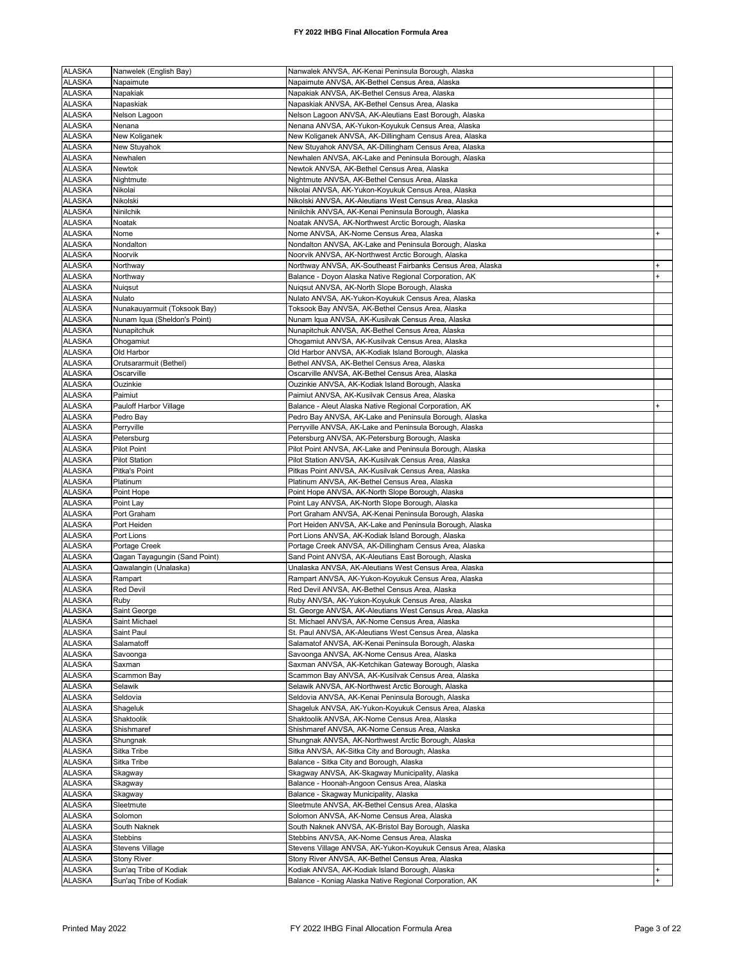| <b>ALASKA</b> | Nanwelek (English Bay)        | Nanwalek ANVSA, AK-Kenai Peninsula Borough, Alaska          |  |
|---------------|-------------------------------|-------------------------------------------------------------|--|
|               |                               |                                                             |  |
| <b>ALASKA</b> | Napaimute                     | Napaimute ANVSA, AK-Bethel Census Area, Alaska              |  |
| <b>ALASKA</b> | Napakiak                      | Napakiak ANVSA, AK-Bethel Census Area, Alaska               |  |
| <b>ALASKA</b> | Napaskiak                     | Napaskiak ANVSA, AK-Bethel Census Area, Alaska              |  |
| <b>ALASKA</b> | Nelson Lagoon                 | Nelson Lagoon ANVSA, AK-Aleutians East Borough, Alaska      |  |
| <b>ALASKA</b> | Nenana                        | Nenana ANVSA, AK-Yukon-Koyukuk Census Area, Alaska          |  |
| <b>ALASKA</b> | New Koliganek                 | New Koliganek ANVSA, AK-Dillingham Census Area, Alaska      |  |
| <b>ALASKA</b> | New Stuyahok                  | New Stuyahok ANVSA, AK-Dillingham Census Area, Alaska       |  |
| <b>ALASKA</b> | Newhalen                      | Newhalen ANVSA, AK-Lake and Peninsula Borough, Alaska       |  |
| <b>ALASKA</b> | Newtok                        | Newtok ANVSA, AK-Bethel Census Area, Alaska                 |  |
| <b>ALASKA</b> | Nightmute                     | Nightmute ANVSA, AK-Bethel Census Area, Alaska              |  |
| <b>ALASKA</b> | Nikolai                       | Nikolai ANVSA, AK-Yukon-Koyukuk Census Area, Alaska         |  |
| <b>ALASKA</b> | Nikolski                      | Nikolski ANVSA, AK-Aleutians West Census Area, Alaska       |  |
| <b>ALASKA</b> | Ninilchik                     | Ninilchik ANVSA, AK-Kenai Peninsula Borough, Alaska         |  |
|               | Noatak                        |                                                             |  |
| <b>ALASKA</b> |                               | Noatak ANVSA, AK-Northwest Arctic Borough, Alaska           |  |
| <b>ALASKA</b> | Nome                          | Nome ANVSA, AK-Nome Census Area, Alaska                     |  |
| <b>ALASKA</b> | Nondalton                     | Nondalton ANVSA, AK-Lake and Peninsula Borough, Alaska      |  |
| <b>ALASKA</b> | Noorvik                       | Noorvik ANVSA, AK-Northwest Arctic Borough, Alaska          |  |
| <b>ALASKA</b> | Northway                      | Northway ANVSA, AK-Southeast Fairbanks Census Area, Alaska  |  |
| <b>ALASKA</b> | Northway                      | Balance - Doyon Alaska Native Regional Corporation, AK      |  |
| <b>ALASKA</b> | Nuigsut                       | Nuigsut ANVSA, AK-North Slope Borough, Alaska               |  |
| <b>ALASKA</b> | Nulato                        | Nulato ANVSA, AK-Yukon-Koyukuk Census Area, Alaska          |  |
| <b>ALASKA</b> | Nunakauyarmuit (Toksook Bay)  | Toksook Bay ANVSA, AK-Bethel Census Area, Alaska            |  |
| <b>ALASKA</b> | Nunam Iqua (Sheldon's Point)  | Nunam Iqua ANVSA, AK-Kusilvak Census Area, Alaska           |  |
| <b>ALASKA</b> | Nunapitchuk                   | Nunapitchuk ANVSA, AK-Bethel Census Area, Alaska            |  |
| <b>ALASKA</b> | Ohogamiut                     | Ohogamiut ANVSA, AK-Kusilvak Census Area, Alaska            |  |
| <b>ALASKA</b> | Old Harbor                    | Old Harbor ANVSA, AK-Kodiak Island Borough, Alaska          |  |
|               |                               |                                                             |  |
| <b>ALASKA</b> | Orutsararmuit (Bethel)        | Bethel ANVSA, AK-Bethel Census Area, Alaska                 |  |
| <b>ALASKA</b> | Oscarville                    | Oscarville ANVSA, AK-Bethel Census Area, Alaska             |  |
| <b>ALASKA</b> | Ouzinkie                      | Ouzinkie ANVSA, AK-Kodiak Island Borough, Alaska            |  |
| <b>ALASKA</b> | Paimiut                       | Paimiut ANVSA, AK-Kusilvak Census Area, Alaska              |  |
| <b>ALASKA</b> | Pauloff Harbor Village        | Balance - Aleut Alaska Native Regional Corporation, AK      |  |
| <b>ALASKA</b> | Pedro Bay                     | Pedro Bay ANVSA, AK-Lake and Peninsula Borough, Alaska      |  |
| <b>ALASKA</b> | Perryville                    | Perryville ANVSA, AK-Lake and Peninsula Borough, Alaska     |  |
| <b>ALASKA</b> | Petersburg                    | Petersburg ANVSA, AK-Petersburg Borough, Alaska             |  |
| <b>ALASKA</b> | <b>Pilot Point</b>            | Pilot Point ANVSA, AK-Lake and Peninsula Borough, Alaska    |  |
| <b>ALASKA</b> | <b>Pilot Station</b>          | Pilot Station ANVSA, AK-Kusilvak Census Area, Alaska        |  |
| <b>ALASKA</b> | Pitka's Point                 | Pitkas Point ANVSA, AK-Kusilvak Census Area, Alaska         |  |
| <b>ALASKA</b> | Platinum                      | Platinum ANVSA, AK-Bethel Census Area, Alaska               |  |
|               | Point Hope                    |                                                             |  |
| <b>ALASKA</b> |                               | Point Hope ANVSA, AK-North Slope Borough, Alaska            |  |
| <b>ALASKA</b> | Point Lay                     | Point Lay ANVSA, AK-North Slope Borough, Alaska             |  |
| <b>ALASKA</b> | Port Graham                   | Port Graham ANVSA, AK-Kenai Peninsula Borough, Alaska       |  |
| <b>ALASKA</b> | Port Heiden                   | Port Heiden ANVSA, AK-Lake and Peninsula Borough, Alaska    |  |
| <b>ALASKA</b> | Port Lions                    | Port Lions ANVSA, AK-Kodiak Island Borough, Alaska          |  |
| <b>ALASKA</b> | Portage Creek                 | Portage Creek ANVSA, AK-Dillingham Census Area, Alaska      |  |
| <b>ALASKA</b> | Qagan Tayagungin (Sand Point) | Sand Point ANVSA, AK-Aleutians East Borough, Alaska         |  |
| <b>ALASKA</b> | Qawalangin (Unalaska)         | Unalaska ANVSA, AK-Aleutians West Census Area, Alaska       |  |
| <b>ALASKA</b> | Rampart                       | Rampart ANVSA, AK-Yukon-Koyukuk Census Area, Alaska         |  |
| <b>ALASKA</b> | <b>Red Devil</b>              | Red Devil ANVSA, AK-Bethel Census Area, Alaska              |  |
| <b>ALASKA</b> | Ruby                          | Ruby ANVSA, AK-Yukon-Koyukuk Census Area, Alaska            |  |
| ALASKA        | Saint George                  | St. George ANVSA, AK-Aleutians West Census Area, Alaska     |  |
|               | Saint Michael                 |                                                             |  |
| <b>ALASKA</b> |                               | St. Michael ANVSA, AK-Nome Census Area, Alaska              |  |
| <b>ALASKA</b> | Saint Paul                    | St. Paul ANVSA, AK-Aleutians West Census Area, Alaska       |  |
| <b>ALASKA</b> | Salamatoff                    | Salamatof ANVSA, AK-Kenai Peninsula Borough, Alaska         |  |
| <b>ALASKA</b> | Savoonga                      | Savoonga ANVSA, AK-Nome Census Area, Alaska                 |  |
| <b>ALASKA</b> | Saxman                        | Saxman ANVSA, AK-Ketchikan Gateway Borough, Alaska          |  |
| <b>ALASKA</b> | Scammon Bay                   | Scammon Bay ANVSA, AK-Kusilvak Census Area, Alaska          |  |
| <b>ALASKA</b> | Selawik                       | Selawik ANVSA, AK-Northwest Arctic Borough, Alaska          |  |
| <b>ALASKA</b> | Seldovia                      | Seldovia ANVSA, AK-Kenai Peninsula Borough, Alaska          |  |
| <b>ALASKA</b> | Shageluk                      | Shageluk ANVSA, AK-Yukon-Koyukuk Census Area, Alaska        |  |
| <b>ALASKA</b> | Shaktoolik                    | Shaktoolik ANVSA, AK-Nome Census Area, Alaska               |  |
| <b>ALASKA</b> | Shishmaref                    | Shishmaref ANVSA, AK-Nome Census Area, Alaska               |  |
| <b>ALASKA</b> | Shungnak                      | Shungnak ANVSA, AK-Northwest Arctic Borough, Alaska         |  |
| <b>ALASKA</b> | Sitka Tribe                   | Sitka ANVSA, AK-Sitka City and Borough, Alaska              |  |
| <b>ALASKA</b> | Sitka Tribe                   | Balance - Sitka City and Borough, Alaska                    |  |
| <b>ALASKA</b> | Skagway                       | Skagway ANVSA, AK-Skagway Municipality, Alaska              |  |
| <b>ALASKA</b> |                               |                                                             |  |
|               | Skagway                       | Balance - Hoonah-Angoon Census Area, Alaska                 |  |
| <b>ALASKA</b> | Skagway                       | Balance - Skagway Municipality, Alaska                      |  |
| <b>ALASKA</b> | Sleetmute                     | Sleetmute ANVSA, AK-Bethel Census Area, Alaska              |  |
| <b>ALASKA</b> | Solomon                       | Solomon ANVSA, AK-Nome Census Area, Alaska                  |  |
| <b>ALASKA</b> | South Naknek                  | South Naknek ANVSA, AK-Bristol Bay Borough, Alaska          |  |
| <b>ALASKA</b> | Stebbins                      | Stebbins ANVSA, AK-Nome Census Area, Alaska                 |  |
| <b>ALASKA</b> | <b>Stevens Village</b>        | Stevens Village ANVSA, AK-Yukon-Koyukuk Census Area, Alaska |  |
| <b>ALASKA</b> | <b>Stony River</b>            | Stony River ANVSA, AK-Bethel Census Area, Alaska            |  |
| <b>ALASKA</b> | Sun'aq Tribe of Kodiak        | Kodiak ANVSA, AK-Kodiak Island Borough, Alaska              |  |
| <b>ALASKA</b> | Sun'aq Tribe of Kodiak        | Balance - Koniag Alaska Native Regional Corporation, AK     |  |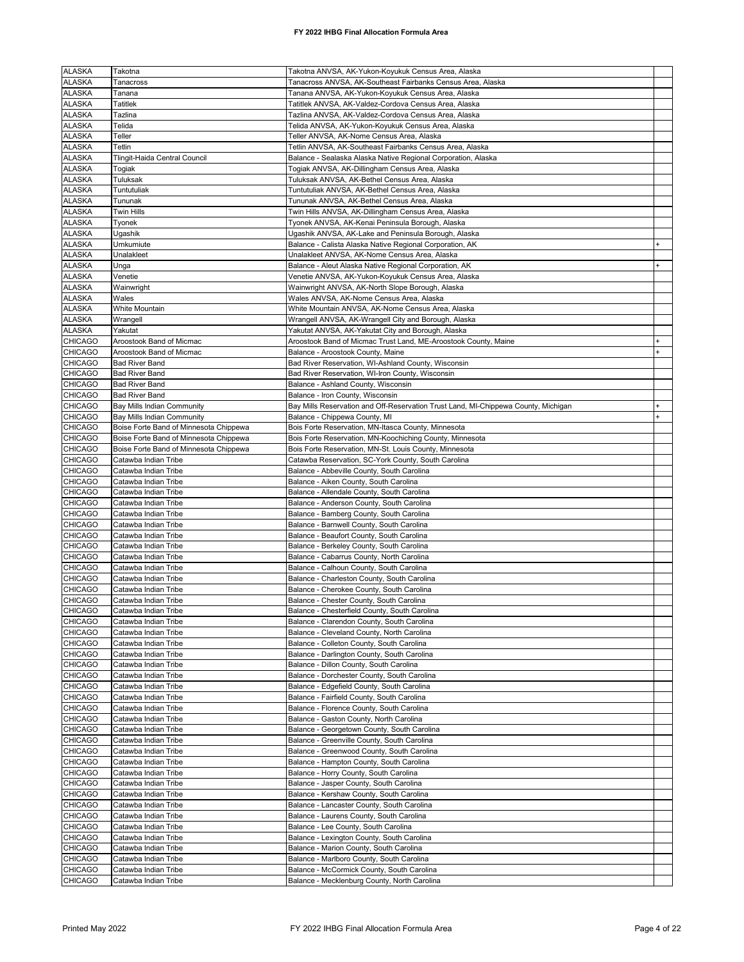| <b>ALASKA</b>  | Takotna                                | Takotna ANVSA, AK-Yukon-Koyukuk Census Area, Alaska                                |  |
|----------------|----------------------------------------|------------------------------------------------------------------------------------|--|
| <b>ALASKA</b>  | Tanacross                              | Tanacross ANVSA, AK-Southeast Fairbanks Census Area, Alaska                        |  |
|                |                                        |                                                                                    |  |
| <b>ALASKA</b>  | Tanana                                 | Tanana ANVSA, AK-Yukon-Koyukuk Census Area, Alaska                                 |  |
| <b>ALASKA</b>  | Tatitlek                               | Tatitlek ANVSA, AK-Valdez-Cordova Census Area, Alaska                              |  |
| <b>ALASKA</b>  | Tazlina                                | Tazlina ANVSA, AK-Valdez-Cordova Census Area, Alaska                               |  |
| <b>ALASKA</b>  | Telida                                 | Telida ANVSA, AK-Yukon-Koyukuk Census Area, Alaska                                 |  |
| <b>ALASKA</b>  | Teller                                 | Teller ANVSA, AK-Nome Census Area, Alaska                                          |  |
| <b>ALASKA</b>  | Tetlin                                 | Tetlin ANVSA, AK-Southeast Fairbanks Census Area, Alaska                           |  |
| <b>ALASKA</b>  | Tlingit-Haida Central Council          | Balance - Sealaska Alaska Native Regional Corporation, Alaska                      |  |
| <b>ALASKA</b>  | Togiak                                 | Togiak ANVSA, AK-Dillingham Census Area, Alaska                                    |  |
| <b>ALASKA</b>  | Tuluksak                               | Tuluksak ANVSA, AK-Bethel Census Area, Alaska                                      |  |
| <b>ALASKA</b>  | Tuntutuliak                            | Tuntutuliak ANVSA, AK-Bethel Census Area, Alaska                                   |  |
| <b>ALASKA</b>  | Tununak                                | Tununak ANVSA, AK-Bethel Census Area, Alaska                                       |  |
| <b>ALASKA</b>  | Twin Hills                             | Twin Hills ANVSA, AK-Dillingham Census Area, Alaska                                |  |
| <b>ALASKA</b>  | Tyonek                                 | Tyonek ANVSA, AK-Kenai Peninsula Borough, Alaska                                   |  |
| <b>ALASKA</b>  | Ugashik                                | Ugashik ANVSA, AK-Lake and Peninsula Borough, Alaska                               |  |
| <b>ALASKA</b>  | Umkumiute                              | Balance - Calista Alaska Native Regional Corporation, AK                           |  |
| <b>ALASKA</b>  | Unalakleet                             | Unalakleet ANVSA, AK-Nome Census Area, Alaska                                      |  |
| <b>ALASKA</b>  | Unga                                   | Balance - Aleut Alaska Native Regional Corporation, AK                             |  |
| <b>ALASKA</b>  | Venetie                                | Venetie ANVSA, AK-Yukon-Koyukuk Census Area, Alaska                                |  |
| <b>ALASKA</b>  | Wainwright                             | Wainwright ANVSA, AK-North Slope Borough, Alaska                                   |  |
| <b>ALASKA</b>  | Wales                                  | Wales ANVSA, AK-Nome Census Area, Alaska                                           |  |
| <b>ALASKA</b>  | <b>White Mountain</b>                  | White Mountain ANVSA, AK-Nome Census Area, Alaska                                  |  |
| <b>ALASKA</b>  | Wrangell                               | Wrangell ANVSA, AK-Wrangell City and Borough, Alaska                               |  |
| <b>ALASKA</b>  | Yakutat                                | Yakutat ANVSA, AK-Yakutat City and Borough, Alaska                                 |  |
| <b>CHICAGO</b> | Aroostook Band of Micmac               | Aroostook Band of Micmac Trust Land, ME-Aroostook County, Maine                    |  |
| <b>CHICAGO</b> | Aroostook Band of Micmac               | Balance - Aroostook County, Maine                                                  |  |
| <b>CHICAGO</b> | <b>Bad River Band</b>                  | Bad River Reservation, WI-Ashland County, Wisconsin                                |  |
| <b>CHICAGO</b> | <b>Bad River Band</b>                  | Bad River Reservation, WI-Iron County, Wisconsin                                   |  |
| <b>CHICAGO</b> | <b>Bad River Band</b>                  | Balance - Ashland County, Wisconsin                                                |  |
| <b>CHICAGO</b> | <b>Bad River Band</b>                  | Balance - Iron County, Wisconsin                                                   |  |
| <b>CHICAGO</b> | Bay Mills Indian Community             | Bay Mills Reservation and Off-Reservation Trust Land, MI-Chippewa County, Michigan |  |
| <b>CHICAGO</b> | Bay Mills Indian Community             | Balance - Chippewa County, MI                                                      |  |
| <b>CHICAGO</b> | Boise Forte Band of Minnesota Chippewa | Bois Forte Reservation, MN-Itasca County, Minnesota                                |  |
| <b>CHICAGO</b> | Boise Forte Band of Minnesota Chippewa | Bois Forte Reservation, MN-Koochiching County, Minnesota                           |  |
|                |                                        |                                                                                    |  |
| <b>CHICAGO</b> | Boise Forte Band of Minnesota Chippewa | Bois Forte Reservation, MN-St. Louis County, Minnesota                             |  |
| <b>CHICAGO</b> | Catawba Indian Tribe                   | Catawba Reservation, SC-York County, South Carolina                                |  |
| <b>CHICAGO</b> | Catawba Indian Tribe                   | Balance - Abbeville County, South Carolina                                         |  |
| <b>CHICAGO</b> | Catawba Indian Tribe                   | Balance - Aiken County, South Carolina                                             |  |
| <b>CHICAGO</b> | Catawba Indian Tribe                   | Balance - Allendale County, South Carolina                                         |  |
| <b>CHICAGO</b> | Catawba Indian Tribe                   | Balance - Anderson County, South Carolina                                          |  |
| <b>CHICAGO</b> | Catawba Indian Tribe                   | Balance - Bamberg County, South Carolina                                           |  |
| <b>CHICAGO</b> | Catawba Indian Tribe                   | Balance - Barnwell County, South Carolina                                          |  |
| <b>CHICAGO</b> | Catawba Indian Tribe                   | Balance - Beaufort County, South Carolina                                          |  |
| <b>CHICAGO</b> | Catawba Indian Tribe                   | Balance - Berkeley County, South Carolina                                          |  |
| <b>CHICAGO</b> | Catawba Indian Tribe                   | Balance - Cabarrus County, North Carolina                                          |  |
| <b>CHICAGO</b> | Catawba Indian Tribe                   | Balance - Calhoun County, South Carolina                                           |  |
| <b>CHICAGO</b> | Catawba Indian Tribe                   | Balance - Charleston County, South Carolina                                        |  |
| <b>CHICAGO</b> | Catawba Indian Tribe                   | Balance - Cherokee County, South Carolina                                          |  |
| <b>CHICAGO</b> | Catawba Indian Tribe                   | Balance - Chester County, South Carolina                                           |  |
| <b>CHICAGO</b> | Catawba Indian Tribe                   | Balance - Chesterfield County, South Carolina                                      |  |
| <b>CHICAGO</b> | Catawba Indian Tribe                   | Balance - Clarendon County, South Carolina                                         |  |
| <b>CHICAGO</b> | Catawba Indian Tribe                   | Balance - Cleveland County, North Carolina                                         |  |
| <b>CHICAGO</b> | Catawba Indian Tribe                   | Balance - Colleton County, South Carolina                                          |  |
| <b>CHICAGO</b> | Catawba Indian Tribe                   | Balance - Darlington County, South Carolina                                        |  |
| <b>CHICAGO</b> | Catawba Indian Tribe                   | Balance - Dillon County, South Carolina                                            |  |
| <b>CHICAGO</b> | Catawba Indian Tribe                   | Balance - Dorchester County, South Carolina                                        |  |
| <b>CHICAGO</b> | Catawba Indian Tribe                   | Balance - Edgefield County, South Carolina                                         |  |
| <b>CHICAGO</b> | Catawba Indian Tribe                   | Balance - Fairfield County, South Carolina                                         |  |
| <b>CHICAGO</b> | Catawba Indian Tribe                   | Balance - Florence County, South Carolina                                          |  |
| <b>CHICAGO</b> | Catawba Indian Tribe                   | Balance - Gaston County, North Carolina                                            |  |
| <b>CHICAGO</b> | Catawba Indian Tribe                   | Balance - Georgetown County, South Carolina                                        |  |
| <b>CHICAGO</b> | Catawba Indian Tribe                   | Balance - Greenville County, South Carolina                                        |  |
| <b>CHICAGO</b> | Catawba Indian Tribe                   | Balance - Greenwood County, South Carolina                                         |  |
| <b>CHICAGO</b> | Catawba Indian Tribe                   | Balance - Hampton County, South Carolina                                           |  |
| <b>CHICAGO</b> | Catawba Indian Tribe                   | Balance - Horry County, South Carolina                                             |  |
| <b>CHICAGO</b> | Catawba Indian Tribe                   | Balance - Jasper County, South Carolina                                            |  |
| <b>CHICAGO</b> | Catawba Indian Tribe                   | Balance - Kershaw County, South Carolina                                           |  |
| <b>CHICAGO</b> | Catawba Indian Tribe                   |                                                                                    |  |
|                |                                        | Balance - Lancaster County, South Carolina                                         |  |
| <b>CHICAGO</b> | Catawba Indian Tribe                   | Balance - Laurens County, South Carolina                                           |  |
| <b>CHICAGO</b> | Catawba Indian Tribe                   | Balance - Lee County, South Carolina                                               |  |
| <b>CHICAGO</b> | Catawba Indian Tribe                   | Balance - Lexington County, South Carolina                                         |  |
| <b>CHICAGO</b> | Catawba Indian Tribe                   | Balance - Marion County, South Carolina                                            |  |
| <b>CHICAGO</b> | Catawba Indian Tribe                   | Balance - Marlboro County, South Carolina                                          |  |
| <b>CHICAGO</b> | Catawba Indian Tribe                   | Balance - McCormick County, South Carolina                                         |  |
| <b>CHICAGO</b> | Catawba Indian Tribe                   | Balance - Mecklenburg County, North Carolina                                       |  |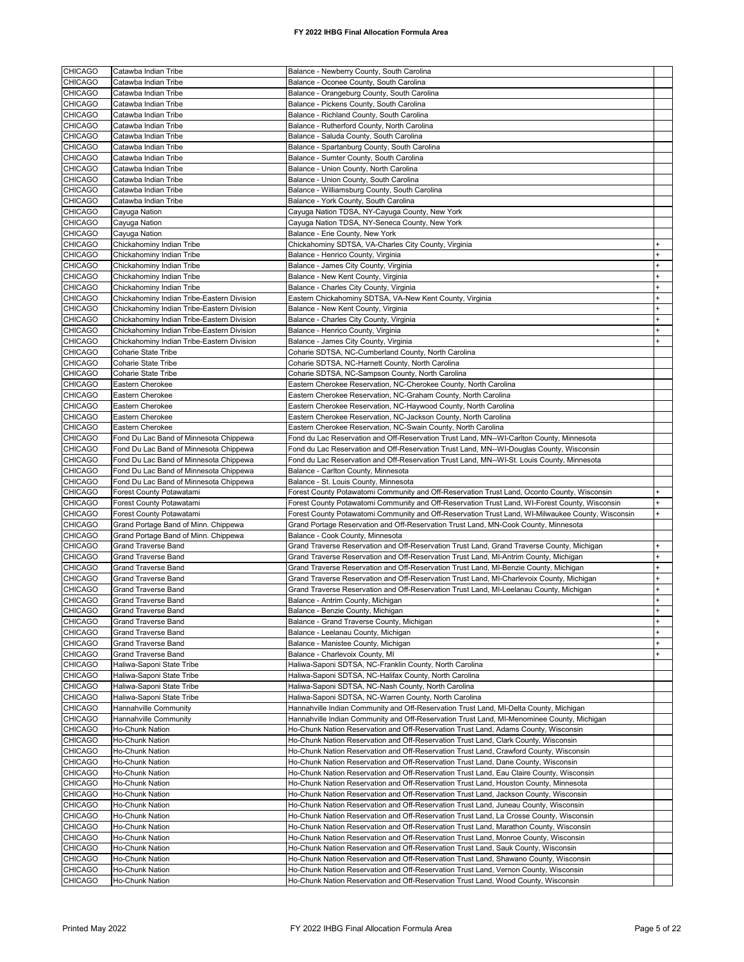| <b>CHICAGO</b> | Catawba Indian Tribe                       | Balance - Newberry County, South Carolina                                                         |           |
|----------------|--------------------------------------------|---------------------------------------------------------------------------------------------------|-----------|
|                |                                            |                                                                                                   |           |
| <b>CHICAGO</b> | Catawba Indian Tribe                       | Balance - Oconee County, South Carolina                                                           |           |
| <b>CHICAGO</b> | Catawba Indian Tribe                       | Balance - Orangeburg County, South Carolina                                                       |           |
| <b>CHICAGO</b> | Catawba Indian Tribe                       | Balance - Pickens County, South Carolina                                                          |           |
| <b>CHICAGO</b> | Catawba Indian Tribe                       | Balance - Richland County, South Carolina                                                         |           |
| <b>CHICAGO</b> | Catawba Indian Tribe                       | Balance - Rutherford County, North Carolina                                                       |           |
| <b>CHICAGO</b> | Catawba Indian Tribe                       | Balance - Saluda County, South Carolina                                                           |           |
| <b>CHICAGO</b> | Catawba Indian Tribe                       | Balance - Spartanburg County, South Carolina                                                      |           |
| <b>CHICAGO</b> | Catawba Indian Tribe                       | Balance - Sumter County, South Carolina                                                           |           |
| CHICAGO        | Catawba Indian Tribe                       |                                                                                                   |           |
|                |                                            | Balance - Union County, North Carolina                                                            |           |
| <b>CHICAGO</b> | Catawba Indian Tribe                       | Balance - Union County, South Carolina                                                            |           |
| <b>CHICAGO</b> | Catawba Indian Tribe                       | Balance - Williamsburg County, South Carolina                                                     |           |
| <b>CHICAGO</b> | Catawba Indian Tribe                       | Balance - York County, South Carolina                                                             |           |
| <b>CHICAGO</b> | Cayuga Nation                              | Cayuga Nation TDSA, NY-Cayuga County, New York                                                    |           |
| <b>CHICAGO</b> | Cayuga Nation                              | Cayuga Nation TDSA, NY-Seneca County, New York                                                    |           |
| <b>CHICAGO</b> | Cayuga Nation                              | Balance - Erie County, New York                                                                   |           |
| <b>CHICAGO</b> | Chickahominy Indian Tribe                  | Chickahominy SDTSA, VA-Charles City County, Virginia                                              |           |
| <b>CHICAGO</b> | Chickahominy Indian Tribe                  | Balance - Henrico County, Virginia                                                                |           |
|                |                                            |                                                                                                   |           |
| <b>CHICAGO</b> | Chickahominy Indian Tribe                  | Balance - James City County, Virginia                                                             |           |
| <b>CHICAGO</b> | Chickahominy Indian Tribe                  | Balance - New Kent County, Virginia                                                               |           |
| <b>CHICAGO</b> | Chickahominy Indian Tribe                  | Balance - Charles City County, Virginia                                                           |           |
| <b>CHICAGO</b> | Chickahominy Indian Tribe-Eastern Division | Eastern Chickahominy SDTSA, VA-New Kent County, Virginia                                          |           |
| <b>CHICAGO</b> | Chickahominy Indian Tribe-Eastern Division | Balance - New Kent County, Virginia                                                               |           |
| <b>CHICAGO</b> | Chickahominy Indian Tribe-Eastern Division | Balance - Charles City County, Virginia                                                           |           |
| <b>CHICAGO</b> | Chickahominy Indian Tribe-Eastern Division | Balance - Henrico County, Virginia                                                                |           |
| <b>CHICAGO</b> | Chickahominy Indian Tribe-Eastern Division | Balance - James City County, Virginia                                                             |           |
|                |                                            |                                                                                                   |           |
| <b>CHICAGO</b> | <b>Coharie State Tribe</b>                 | Coharie SDTSA, NC-Cumberland County, North Carolina                                               |           |
| <b>CHICAGO</b> | Coharie State Tribe                        | Coharie SDTSA, NC-Harnett County, North Carolina                                                  |           |
| <b>CHICAGO</b> | Coharie State Tribe                        | Coharie SDTSA, NC-Sampson County, North Carolina                                                  |           |
| <b>CHICAGO</b> | Eastern Cherokee                           | Eastern Cherokee Reservation, NC-Cherokee County, North Carolina                                  |           |
| <b>CHICAGO</b> | Eastern Cherokee                           | Eastern Cherokee Reservation, NC-Graham County, North Carolina                                    |           |
| <b>CHICAGO</b> | Eastern Cherokee                           | Eastern Cherokee Reservation, NC-Haywood County, North Carolina                                   |           |
| <b>CHICAGO</b> | Eastern Cherokee                           | Eastern Cherokee Reservation, NC-Jackson County, North Carolina                                   |           |
| <b>CHICAGO</b> | Eastern Cherokee                           | Eastern Cherokee Reservation, NC-Swain County, North Carolina                                     |           |
| CHICAGO        | Fond Du Lac Band of Minnesota Chippewa     | Fond du Lac Reservation and Off-Reservation Trust Land, MN--WI-Carlton County, Minnesota          |           |
|                |                                            |                                                                                                   |           |
| <b>CHICAGO</b> | Fond Du Lac Band of Minnesota Chippewa     | Fond du Lac Reservation and Off-Reservation Trust Land, MN--WI-Douglas County, Wisconsin          |           |
| <b>CHICAGO</b> | Fond Du Lac Band of Minnesota Chippewa     | Fond du Lac Reservation and Off-Reservation Trust Land, MN--WI-St. Louis County, Minnesota        |           |
|                |                                            |                                                                                                   |           |
| <b>CHICAGO</b> | Fond Du Lac Band of Minnesota Chippewa     | Balance - Carlton County, Minnesota                                                               |           |
| <b>CHICAGO</b> | Fond Du Lac Band of Minnesota Chippewa     | Balance - St. Louis County, Minnesota                                                             |           |
| <b>CHICAGO</b> | Forest County Potawatami                   |                                                                                                   |           |
|                |                                            | Forest County Potawatomi Community and Off-Reservation Trust Land, Oconto County, Wisconsin       |           |
| <b>CHICAGO</b> | Forest County Potawatami                   | Forest County Potawatomi Community and Off-Reservation Trust Land, WI-Forest County, Wisconsin    |           |
| <b>CHICAGO</b> | Forest County Potawatami                   | Forest County Potawatomi Community and Off-Reservation Trust Land, WI-Milwaukee County, Wisconsin |           |
| <b>CHICAGO</b> | Grand Portage Band of Minn. Chippewa       | Grand Portage Reservation and Off-Reservation Trust Land, MN-Cook County, Minnesota               |           |
| <b>CHICAGO</b> | Grand Portage Band of Minn. Chippewa       | Balance - Cook County, Minnesota                                                                  |           |
| <b>CHICAGO</b> | <b>Grand Traverse Band</b>                 | Grand Traverse Reservation and Off-Reservation Trust Land, Grand Traverse County, Michigan        |           |
| <b>CHICAGO</b> | <b>Grand Traverse Band</b>                 | Grand Traverse Reservation and Off-Reservation Trust Land, MI-Antrim County, Michigan             |           |
| <b>CHICAGO</b> | <b>Grand Traverse Band</b>                 | Grand Traverse Reservation and Off-Reservation Trust Land, MI-Benzie County, Michigan             | $\ddot{}$ |
| <b>CHICAGO</b> | Grand Traverse Band                        | Grand Traverse Reservation and Off-Reservation Trust Land, MI-Charlevoix County, Michigan         |           |
|                | <b>Grand Traverse Band</b>                 | Grand Traverse Reservation and Off-Reservation Trust Land, MI-Leelanau County, Michigan           |           |
| <b>CHICAGO</b> |                                            |                                                                                                   |           |
| <b>CHICAGO</b> | <b>Grand Traverse Band</b>                 | Balance - Antrim County, Michigan                                                                 |           |
| <b>CHICAGO</b> | Grand Traverse Band                        | Balance - Benzie County, Michigan                                                                 | +         |
| <b>CHICAGO</b> | <b>Grand Traverse Band</b>                 | Balance - Grand Traverse County, Michigan                                                         |           |
| <b>CHICAGO</b> | Grand Traverse Band                        | Balance - Leelanau County, Michigan                                                               | $\ddot{}$ |
| CHICAGO        | Grand Traverse Band                        | Balance - Manistee County, Michigan                                                               |           |
| <b>CHICAGO</b> | Grand Traverse Band                        | Balance - Charlevoix County, MI                                                                   |           |
| <b>CHICAGO</b> | Haliwa-Saponi State Tribe                  | Haliwa-Saponi SDTSA, NC-Franklin County, North Carolina                                           |           |
| <b>CHICAGO</b> | Haliwa-Saponi State Tribe                  | Haliwa-Saponi SDTSA, NC-Halifax County, North Carolina                                            |           |
| <b>CHICAGO</b> | Haliwa-Saponi State Tribe                  |                                                                                                   |           |
|                |                                            | Haliwa-Saponi SDTSA, NC-Nash County, North Carolina                                               |           |
| CHICAGO        | Haliwa-Saponi State Tribe                  | Haliwa-Saponi SDTSA, NC-Warren County, North Carolina                                             |           |
| CHICAGO        | Hannahville Community                      | Hannahville Indian Community and Off-Reservation Trust Land, MI-Delta County, Michigan            |           |
| CHICAGO        | Hannahville Community                      | Hannahville Indian Community and Off-Reservation Trust Land, MI-Menominee County, Michigan        |           |
| CHICAGO        | Ho-Chunk Nation                            | Ho-Chunk Nation Reservation and Off-Reservation Trust Land, Adams County, Wisconsin               |           |
| <b>CHICAGO</b> | Ho-Chunk Nation                            | Ho-Chunk Nation Reservation and Off-Reservation Trust Land, Clark County, Wisconsin               |           |
| CHICAGO        | <b>Ho-Chunk Nation</b>                     | Ho-Chunk Nation Reservation and Off-Reservation Trust Land, Crawford County, Wisconsin            |           |
| <b>CHICAGO</b> | Ho-Chunk Nation                            | Ho-Chunk Nation Reservation and Off-Reservation Trust Land, Dane County, Wisconsin                |           |
| CHICAGO        | Ho-Chunk Nation                            | Ho-Chunk Nation Reservation and Off-Reservation Trust Land, Eau Claire County, Wisconsin          |           |
|                |                                            |                                                                                                   |           |
| CHICAGO        | Ho-Chunk Nation                            | Ho-Chunk Nation Reservation and Off-Reservation Trust Land, Houston County, Minnesota             |           |
| <b>CHICAGO</b> | Ho-Chunk Nation                            | Ho-Chunk Nation Reservation and Off-Reservation Trust Land, Jackson County, Wisconsin             |           |
| <b>CHICAGO</b> | <b>Ho-Chunk Nation</b>                     | Ho-Chunk Nation Reservation and Off-Reservation Trust Land, Juneau County, Wisconsin              |           |
| <b>CHICAGO</b> | <b>Ho-Chunk Nation</b>                     | Ho-Chunk Nation Reservation and Off-Reservation Trust Land, La Crosse County, Wisconsin           |           |
| <b>CHICAGO</b> | Ho-Chunk Nation                            | Ho-Chunk Nation Reservation and Off-Reservation Trust Land, Marathon County, Wisconsin            |           |
| <b>CHICAGO</b> | Ho-Chunk Nation                            | Ho-Chunk Nation Reservation and Off-Reservation Trust Land, Monroe County, Wisconsin              |           |
| <b>CHICAGO</b> | <b>Ho-Chunk Nation</b>                     | Ho-Chunk Nation Reservation and Off-Reservation Trust Land, Sauk County, Wisconsin                |           |
| <b>CHICAGO</b> | Ho-Chunk Nation                            | Ho-Chunk Nation Reservation and Off-Reservation Trust Land, Shawano County, Wisconsin             |           |
| CHICAGO        | <b>Ho-Chunk Nation</b>                     | Ho-Chunk Nation Reservation and Off-Reservation Trust Land, Vernon County, Wisconsin              |           |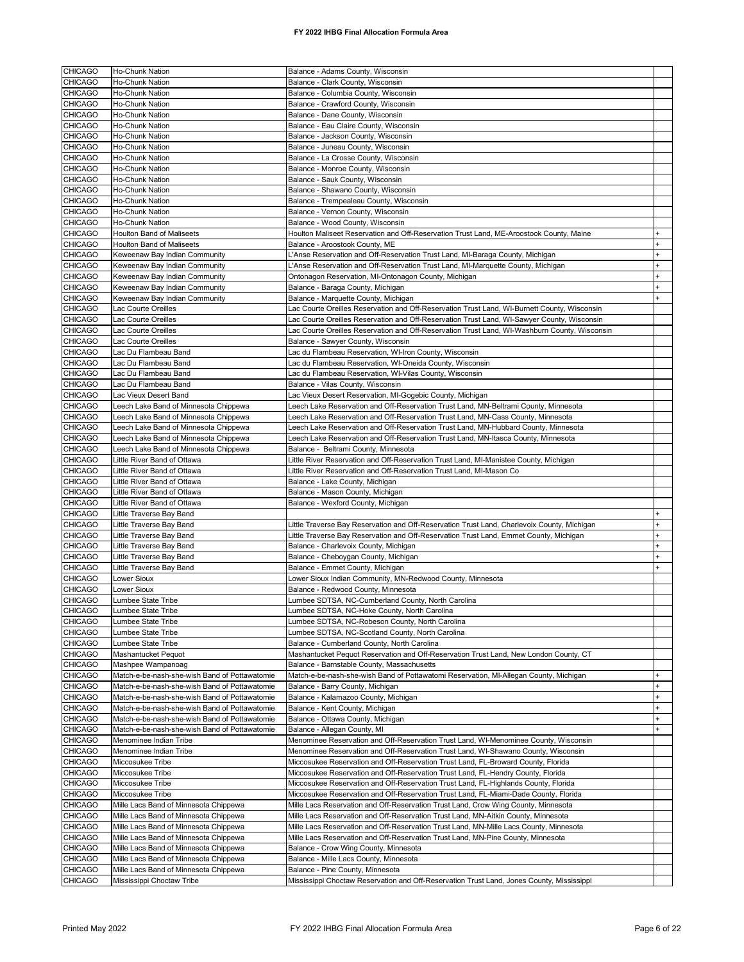| <b>CHICAGO</b> | Ho-Chunk Nation                               | Balance - Adams County, Wisconsin                                                             |           |
|----------------|-----------------------------------------------|-----------------------------------------------------------------------------------------------|-----------|
|                |                                               |                                                                                               |           |
| <b>CHICAGO</b> | <b>Ho-Chunk Nation</b>                        | Balance - Clark County, Wisconsin                                                             |           |
| <b>CHICAGO</b> | Ho-Chunk Nation                               | Balance - Columbia County, Wisconsin                                                          |           |
| <b>CHICAGO</b> | Ho-Chunk Nation                               | Balance - Crawford County, Wisconsin                                                          |           |
| <b>CHICAGO</b> | Ho-Chunk Nation                               | Balance - Dane County, Wisconsin                                                              |           |
| <b>CHICAGO</b> | Ho-Chunk Nation                               | Balance - Eau Claire County, Wisconsin                                                        |           |
| <b>CHICAGO</b> | Ho-Chunk Nation                               | Balance - Jackson County, Wisconsin                                                           |           |
| <b>CHICAGO</b> | Ho-Chunk Nation                               | Balance - Juneau County, Wisconsin                                                            |           |
| <b>CHICAGO</b> | Ho-Chunk Nation                               | Balance - La Crosse County, Wisconsin                                                         |           |
| <b>CHICAGO</b> | Ho-Chunk Nation                               | Balance - Monroe County, Wisconsin                                                            |           |
| <b>CHICAGO</b> | <b>Ho-Chunk Nation</b>                        | Balance - Sauk County, Wisconsin                                                              |           |
| <b>CHICAGO</b> | <b>Ho-Chunk Nation</b>                        | Balance - Shawano County, Wisconsin                                                           |           |
| <b>CHICAGO</b> | Ho-Chunk Nation                               | Balance - Trempealeau County, Wisconsin                                                       |           |
| <b>CHICAGO</b> |                                               |                                                                                               |           |
|                | <b>Ho-Chunk Nation</b>                        | Balance - Vernon County, Wisconsin                                                            |           |
| <b>CHICAGO</b> | <b>Ho-Chunk Nation</b>                        | Balance - Wood County, Wisconsin                                                              |           |
| <b>CHICAGO</b> | Houlton Band of Maliseets                     | Houlton Maliseet Reservation and Off-Reservation Trust Land, ME-Aroostook County, Maine       |           |
| <b>CHICAGO</b> | Houlton Band of Maliseets                     | Balance - Aroostook County, ME                                                                |           |
| <b>CHICAGO</b> | Keweenaw Bay Indian Community                 | L'Anse Reservation and Off-Reservation Trust Land, MI-Baraga County, Michigan                 | $\ddot{}$ |
| <b>CHICAGO</b> | Keweenaw Bay Indian Community                 | L'Anse Reservation and Off-Reservation Trust Land, MI-Marquette County, Michigan              |           |
| <b>CHICAGO</b> | Keweenaw Bay Indian Community                 | Ontonagon Reservation, MI-Ontonagon County, Michigan                                          | $\ddot{}$ |
| <b>CHICAGO</b> | Keweenaw Bay Indian Community                 | Balance - Baraga County, Michigan                                                             |           |
| CHICAGO        | Keweenaw Bay Indian Community                 | Balance - Marquette County, Michigan                                                          |           |
| <b>CHICAGO</b> | Lac Courte Oreilles                           | Lac Courte Oreilles Reservation and Off-Reservation Trust Land, WI-Burnett County, Wisconsin  |           |
| <b>CHICAGO</b> | Lac Courte Oreilles                           | Lac Courte Oreilles Reservation and Off-Reservation Trust Land, WI-Sawyer County, Wisconsin   |           |
| <b>CHICAGO</b> | Lac Courte Oreilles                           | Lac Courte Oreilles Reservation and Off-Reservation Trust Land, WI-Washburn County, Wisconsin |           |
| <b>CHICAGO</b> | Lac Courte Oreilles                           | Balance - Sawyer County, Wisconsin                                                            |           |
|                |                                               |                                                                                               |           |
| <b>CHICAGO</b> | Lac Du Flambeau Band                          | Lac du Flambeau Reservation, WI-Iron County, Wisconsin                                        |           |
| <b>CHICAGO</b> | Lac Du Flambeau Band                          | Lac du Flambeau Reservation, WI-Oneida County, Wisconsin                                      |           |
| <b>CHICAGO</b> | Lac Du Flambeau Band                          | Lac du Flambeau Reservation, WI-Vilas County, Wisconsin                                       |           |
| <b>CHICAGO</b> | Lac Du Flambeau Band                          | Balance - Vilas County, Wisconsin                                                             |           |
| <b>CHICAGO</b> | Lac Vieux Desert Band                         | Lac Vieux Desert Reservation, MI-Gogebic County, Michigan                                     |           |
| <b>CHICAGO</b> | Leech Lake Band of Minnesota Chippewa         | Leech Lake Reservation and Off-Reservation Trust Land, MN-Beltrami County, Minnesota          |           |
| <b>CHICAGO</b> | Leech Lake Band of Minnesota Chippewa         | Leech Lake Reservation and Off-Reservation Trust Land, MN-Cass County, Minnesota              |           |
| <b>CHICAGO</b> | Leech Lake Band of Minnesota Chippewa         | Leech Lake Reservation and Off-Reservation Trust Land, MN-Hubbard County, Minnesota           |           |
| <b>CHICAGO</b> | Leech Lake Band of Minnesota Chippewa         | Leech Lake Reservation and Off-Reservation Trust Land, MN-Itasca County, Minnesota            |           |
| <b>CHICAGO</b> | Leech Lake Band of Minnesota Chippewa         | Balance - Beltrami County, Minnesota                                                          |           |
| <b>CHICAGO</b> | Little River Band of Ottawa                   | Little River Reservation and Off-Reservation Trust Land, MI-Manistee County, Michigan         |           |
| <b>CHICAGO</b> | Little River Band of Ottawa                   | Little River Reservation and Off-Reservation Trust Land, MI-Mason Co                          |           |
| <b>CHICAGO</b> | Little River Band of Ottawa                   | Balance - Lake County, Michigan                                                               |           |
|                |                                               |                                                                                               |           |
| <b>CHICAGO</b> | Little River Band of Ottawa                   | Balance - Mason County, Michigan                                                              |           |
| <b>CHICAGO</b> | Little River Band of Ottawa                   | Balance - Wexford County, Michigan                                                            |           |
| <b>CHICAGO</b> | Little Traverse Bay Band                      |                                                                                               |           |
| <b>CHICAGO</b> | Little Traverse Bay Band                      | Little Traverse Bay Reservation and Off-Reservation Trust Land, Charlevoix County, Michigan   | $\ddot{}$ |
| <b>CHICAGO</b> | Little Traverse Bay Band                      | Little Traverse Bay Reservation and Off-Reservation Trust Land, Emmet County, Michigan        |           |
| <b>CHICAGO</b> | Little Traverse Bay Band                      | Balance - Charlevoix County, Michigan                                                         |           |
| <b>CHICAGO</b> | Little Traverse Bay Band                      | Balance - Cheboygan County, Michigan                                                          |           |
| <b>CHICAGO</b> | Little Traverse Bay Band                      | Balance - Emmet County, Michigan                                                              |           |
| <b>CHICAGO</b> | _ower Sioux                                   | Lower Sioux Indian Community, MN-Redwood County, Minnesota                                    |           |
| <b>CHICAGO</b> | Lower Sioux                                   | Balance - Redwood County, Minnesota                                                           |           |
| <b>CHICAGO</b> | Lumbee State Tribe                            | Lumbee SDTSA, NC-Cumberland County, North Carolina                                            |           |
| <b>CHICAGO</b> | Lumbee State Tribe                            | Lumbee SDTSA, NC-Hoke County, North Carolina                                                  |           |
|                |                                               |                                                                                               |           |
| <b>CHICAGO</b> |                                               |                                                                                               |           |
|                | Lumbee State Tribe                            | Lumbee SDTSA, NC-Robeson County, North Carolina                                               |           |
| <b>CHICAGO</b> | Lumbee State Tribe                            | Lumbee SDTSA, NC-Scotland County, North Carolina                                              |           |
| <b>CHICAGO</b> | Lumbee State Tribe                            | Balance - Cumberland County, North Carolina                                                   |           |
| <b>CHICAGO</b> | Mashantucket Pequot                           | Mashantucket Pequot Reservation and Off-Reservation Trust Land, New London County, CT         |           |
| <b>CHICAGO</b> | Mashpee Wampanoag                             | Balance - Barnstable County, Massachusetts                                                    |           |
| <b>CHICAGO</b> | Match-e-be-nash-she-wish Band of Pottawatomie | Match-e-be-nash-she-wish Band of Pottawatomi Reservation, MI-Allegan County, Michigan         |           |
| <b>CHICAGO</b> | Match-e-be-nash-she-wish Band of Pottawatomie | Balance - Barry County, Michigan                                                              | $\ddot{}$ |
| <b>CHICAGO</b> | Match-e-be-nash-she-wish Band of Pottawatomie | Balance - Kalamazoo County, Michigan                                                          |           |
| <b>CHICAGO</b> | Match-e-be-nash-she-wish Band of Pottawatomie | Balance - Kent County, Michigan                                                               |           |
| <b>CHICAGO</b> | Match-e-be-nash-she-wish Band of Pottawatomie | Balance - Ottawa County, Michigan                                                             |           |
| <b>CHICAGO</b> | Match-e-be-nash-she-wish Band of Pottawatomie | Balance - Allegan County, MI                                                                  |           |
| <b>CHICAGO</b> | Menominee Indian Tribe                        | Menominee Reservation and Off-Reservation Trust Land, WI-Menominee County, Wisconsin          |           |
|                |                                               |                                                                                               |           |
| <b>CHICAGO</b> | Menominee Indian Tribe                        | Menominee Reservation and Off-Reservation Trust Land, WI-Shawano County, Wisconsin            |           |
| <b>CHICAGO</b> | Miccosukee Tribe                              | Miccosukee Reservation and Off-Reservation Trust Land, FL-Broward County, Florida             |           |
| <b>CHICAGO</b> | Miccosukee Tribe                              | Miccosukee Reservation and Off-Reservation Trust Land, FL-Hendry County, Florida              |           |
| <b>CHICAGO</b> | Miccosukee Tribe                              | Miccosukee Reservation and Off-Reservation Trust Land, FL-Highlands County, Florida           |           |
| <b>CHICAGO</b> | Miccosukee Tribe                              | Miccosukee Reservation and Off-Reservation Trust Land, FL-Miami-Dade County, Florida          |           |
| <b>CHICAGO</b> | Mille Lacs Band of Minnesota Chippewa         | Mille Lacs Reservation and Off-Reservation Trust Land, Crow Wing County, Minnesota            |           |
| <b>CHICAGO</b> | Mille Lacs Band of Minnesota Chippewa         | Mille Lacs Reservation and Off-Reservation Trust Land, MN-Aitkin County, Minnesota            |           |
| <b>CHICAGO</b> | Mille Lacs Band of Minnesota Chippewa         | Mille Lacs Reservation and Off-Reservation Trust Land, MN-Mille Lacs County, Minnesota        |           |
| <b>CHICAGO</b> | Mille Lacs Band of Minnesota Chippewa         | Mille Lacs Reservation and Off-Reservation Trust Land, MN-Pine County, Minnesota              |           |
| <b>CHICAGO</b> | Mille Lacs Band of Minnesota Chippewa         | Balance - Crow Wing County, Minnesota                                                         |           |
| <b>CHICAGO</b> | Mille Lacs Band of Minnesota Chippewa         | Balance - Mille Lacs County, Minnesota                                                        |           |
| <b>CHICAGO</b> | Mille Lacs Band of Minnesota Chippewa         | Balance - Pine County, Minnesota                                                              |           |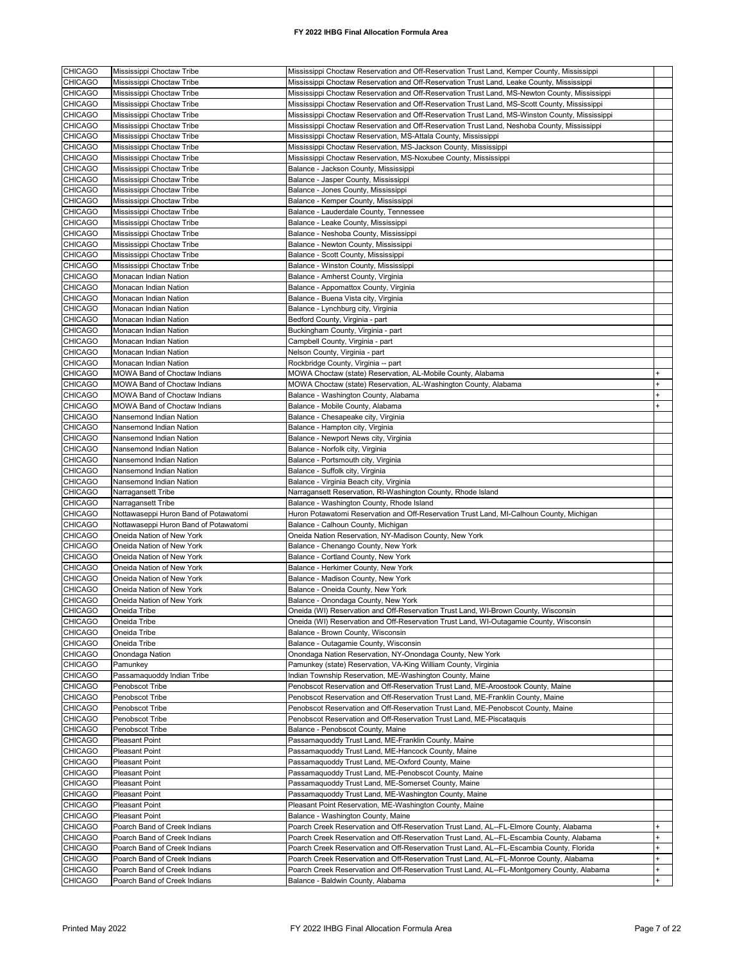| <b>CHICAGO</b> | Mississippi Choctaw Tribe             | Mississippi Choctaw Reservation and Off-Reservation Trust Land, Kemper County, Mississippi     |           |
|----------------|---------------------------------------|------------------------------------------------------------------------------------------------|-----------|
|                |                                       |                                                                                                |           |
| <b>CHICAGO</b> | Mississippi Choctaw Tribe             | Mississippi Choctaw Reservation and Off-Reservation Trust Land, Leake County, Mississippi      |           |
| <b>CHICAGO</b> | Mississippi Choctaw Tribe             | Mississippi Choctaw Reservation and Off-Reservation Trust Land, MS-Newton County, Mississippi  |           |
| <b>CHICAGO</b> | Mississippi Choctaw Tribe             | Mississippi Choctaw Reservation and Off-Reservation Trust Land, MS-Scott County, Mississippi   |           |
| <b>CHICAGO</b> | Mississippi Choctaw Tribe             | Mississippi Choctaw Reservation and Off-Reservation Trust Land, MS-Winston County, Mississippi |           |
| <b>CHICAGO</b> | Mississippi Choctaw Tribe             | Mississippi Choctaw Reservation and Off-Reservation Trust Land, Neshoba County, Mississippi    |           |
| <b>CHICAGO</b> | Mississippi Choctaw Tribe             | Mississippi Choctaw Reservation, MS-Attala County, Mississippi                                 |           |
| <b>CHICAGO</b> | Mississippi Choctaw Tribe             | Mississippi Choctaw Reservation, MS-Jackson County, Mississippi                                |           |
| <b>CHICAGO</b> | Mississippi Choctaw Tribe             | Mississippi Choctaw Reservation, MS-Noxubee County, Mississippi                                |           |
|                |                                       |                                                                                                |           |
| <b>CHICAGO</b> | Mississippi Choctaw Tribe             | Balance - Jackson County, Mississippi                                                          |           |
| <b>CHICAGO</b> | Mississippi Choctaw Tribe             | Balance - Jasper County, Mississippi                                                           |           |
| <b>CHICAGO</b> | Mississippi Choctaw Tribe             | Balance - Jones County, Mississippi                                                            |           |
| <b>CHICAGO</b> | Mississippi Choctaw Tribe             | Balance - Kemper County, Mississippi                                                           |           |
| CHICAGO        | Mississippi Choctaw Tribe             | Balance - Lauderdale County, Tennessee                                                         |           |
| <b>CHICAGO</b> | Mississippi Choctaw Tribe             | Balance - Leake County, Mississippi                                                            |           |
| <b>CHICAGO</b> | Mississippi Choctaw Tribe             | Balance - Neshoba County, Mississippi                                                          |           |
| <b>CHICAGO</b> | Mississippi Choctaw Tribe             | Balance - Newton County, Mississippi                                                           |           |
| <b>CHICAGO</b> | Mississippi Choctaw Tribe             | Balance - Scott County, Mississippi                                                            |           |
| <b>CHICAGO</b> | Mississippi Choctaw Tribe             | Balance - Winston County, Mississippi                                                          |           |
|                |                                       |                                                                                                |           |
| <b>CHICAGO</b> | Monacan Indian Nation                 | Balance - Amherst County, Virginia                                                             |           |
| <b>CHICAGO</b> | Monacan Indian Nation                 | Balance - Appomattox County, Virginia                                                          |           |
| <b>CHICAGO</b> | Monacan Indian Nation                 | Balance - Buena Vista city, Virginia                                                           |           |
| <b>CHICAGO</b> | Monacan Indian Nation                 | Balance - Lynchburg city, Virginia                                                             |           |
| <b>CHICAGO</b> | Monacan Indian Nation                 | Bedford County, Virginia - part                                                                |           |
| <b>CHICAGO</b> | Monacan Indian Nation                 | Buckingham County, Virginia - part                                                             |           |
| <b>CHICAGO</b> | Monacan Indian Nation                 | Campbell County, Virginia - part                                                               |           |
| <b>CHICAGO</b> | Monacan Indian Nation                 | Nelson County, Virginia - part                                                                 |           |
| <b>CHICAGO</b> | Monacan Indian Nation                 | Rockbridge County, Virginia -- part                                                            |           |
| <b>CHICAGO</b> | MOWA Band of Choctaw Indians          | MOWA Choctaw (state) Reservation, AL-Mobile County, Alabama                                    |           |
| <b>CHICAGO</b> | <b>MOWA Band of Choctaw Indians</b>   | MOWA Choctaw (state) Reservation, AL-Washington County, Alabama                                |           |
|                |                                       |                                                                                                |           |
| <b>CHICAGO</b> | <b>MOWA Band of Choctaw Indians</b>   | Balance - Washington County, Alabama                                                           |           |
| <b>CHICAGO</b> | MOWA Band of Choctaw Indians          | Balance - Mobile County, Alabama                                                               |           |
| <b>CHICAGO</b> | Nansemond Indian Nation               | Balance - Chesapeake city, Virginia                                                            |           |
| <b>CHICAGO</b> | Nansemond Indian Nation               | Balance - Hampton city, Virginia                                                               |           |
| <b>CHICAGO</b> | Nansemond Indian Nation               | Balance - Newport News city, Virginia                                                          |           |
| <b>CHICAGO</b> | Nansemond Indian Nation               | Balance - Norfolk city, Virginia                                                               |           |
| <b>CHICAGO</b> | Nansemond Indian Nation               | Balance - Portsmouth city, Virginia                                                            |           |
| CHICAGO        | Nansemond Indian Nation               | Balance - Suffolk city, Virginia                                                               |           |
|                | Nansemond Indian Nation               | Balance - Virginia Beach city, Virginia                                                        |           |
|                |                                       |                                                                                                |           |
| <b>CHICAGO</b> |                                       |                                                                                                |           |
| <b>CHICAGO</b> | Narragansett Tribe                    | Narragansett Reservation, RI-Washington County, Rhode Island                                   |           |
| <b>CHICAGO</b> | Narragansett Tribe                    | Balance - Washington County, Rhode Island                                                      |           |
| <b>CHICAGO</b> | Nottawaseppi Huron Band of Potawatomi | Huron Potawatomi Reservation and Off-Reservation Trust Land, MI-Calhoun County, Michigan       |           |
| <b>CHICAGO</b> | Nottawaseppi Huron Band of Potawatomi | Balance - Calhoun County, Michigan                                                             |           |
| <b>CHICAGO</b> | Oneida Nation of New York             | Oneida Nation Reservation, NY-Madison County, New York                                         |           |
| <b>CHICAGO</b> | Oneida Nation of New York             | Balance - Chenango County, New York                                                            |           |
| <b>CHICAGO</b> | Oneida Nation of New York             | Balance - Cortland County, New York                                                            |           |
| <b>CHICAGO</b> | Oneida Nation of New York             | Balance - Herkimer County, New York                                                            |           |
| <b>CHICAGO</b> | Oneida Nation of New York             | Balance - Madison County, New York                                                             |           |
| <b>CHICAGO</b> | Oneida Nation of New York             | Balance - Oneida County, New York                                                              |           |
|                |                                       |                                                                                                |           |
| <b>CHICAGO</b> | Oneida Nation of New York             | Balance - Onondaga County, New York                                                            |           |
| <b>CHICAGO</b> | Oneida Tribe                          | Oneida (WI) Reservation and Off-Reservation Trust Land, WI-Brown County, Wisconsin             |           |
| <b>CHICAGO</b> | Oneida Tribe                          | Oneida (WI) Reservation and Off-Reservation Trust Land, WI-Outagamie County, Wisconsin         |           |
| <b>CHICAGO</b> | Oneida Tribe                          | Balance - Brown County, Wisconsin                                                              |           |
| <b>CHICAGO</b> | Oneida Tribe                          | Balance - Outagamie County, Wisconsin                                                          |           |
| <b>CHICAGO</b> | Onondaga Nation                       | Onondaga Nation Reservation, NY-Onondaga County, New York                                      |           |
| <b>CHICAGO</b> | Pamunkey                              | Pamunkey (state) Reservation, VA-King William County, Virginia                                 |           |
| <b>CHICAGO</b> | Passamaquoddy Indian Tribe            | Indian Township Reservation, ME-Washington County, Maine                                       |           |
| <b>CHICAGO</b> | Penobscot Tribe                       | Penobscot Reservation and Off-Reservation Trust Land, ME-Aroostook County, Maine               |           |
| <b>CHICAGO</b> | Penobscot Tribe                       | Penobscot Reservation and Off-Reservation Trust Land, ME-Franklin County, Maine                |           |
| <b>CHICAGO</b> | Penobscot Tribe                       | Penobscot Reservation and Off-Reservation Trust Land, ME-Penobscot County, Maine               |           |
| <b>CHICAGO</b> | Penobscot Tribe                       | Penobscot Reservation and Off-Reservation Trust Land, ME-Piscataquis                           |           |
|                | Penobscot Tribe                       | Balance - Penobscot County, Maine                                                              |           |
| <b>CHICAGO</b> |                                       |                                                                                                |           |
| <b>CHICAGO</b> | Pleasant Point                        | Passamaquoddy Trust Land, ME-Franklin County, Maine                                            |           |
| <b>CHICAGO</b> | <b>Pleasant Point</b>                 | Passamaquoddy Trust Land, ME-Hancock County, Maine                                             |           |
| <b>CHICAGO</b> | <b>Pleasant Point</b>                 | Passamaquoddy Trust Land, ME-Oxford County, Maine                                              |           |
| <b>CHICAGO</b> | <b>Pleasant Point</b>                 | Passamaquoddy Trust Land, ME-Penobscot County, Maine                                           |           |
| <b>CHICAGO</b> | <b>Pleasant Point</b>                 | Passamaquoddy Trust Land, ME-Somerset County, Maine                                            |           |
| <b>CHICAGO</b> | Pleasant Point                        | Passamaquoddy Trust Land, ME-Washington County, Maine                                          |           |
| <b>CHICAGO</b> | <b>Pleasant Point</b>                 | Pleasant Point Reservation, ME-Washington County, Maine                                        |           |
| <b>CHICAGO</b> | <b>Pleasant Point</b>                 | Balance - Washington County, Maine                                                             |           |
| <b>CHICAGO</b> | Poarch Band of Creek Indians          | Poarch Creek Reservation and Off-Reservation Trust Land, AL--FL-Elmore County, Alabama         |           |
| <b>CHICAGO</b> | Poarch Band of Creek Indians          | Poarch Creek Reservation and Off-Reservation Trust Land, AL--FL-Escambia County, Alabama       | $\ddot{}$ |
| <b>CHICAGO</b> | Poarch Band of Creek Indians          | Poarch Creek Reservation and Off-Reservation Trust Land, AL--FL-Escambia County, Florida       |           |
| <b>CHICAGO</b> | Poarch Band of Creek Indians          | Poarch Creek Reservation and Off-Reservation Trust Land, AL--FL-Monroe County, Alabama         | $\ddot{}$ |
| <b>CHICAGO</b> | Poarch Band of Creek Indians          | Poarch Creek Reservation and Off-Reservation Trust Land, AL--FL-Montgomery County, Alabama     | $\ddot{}$ |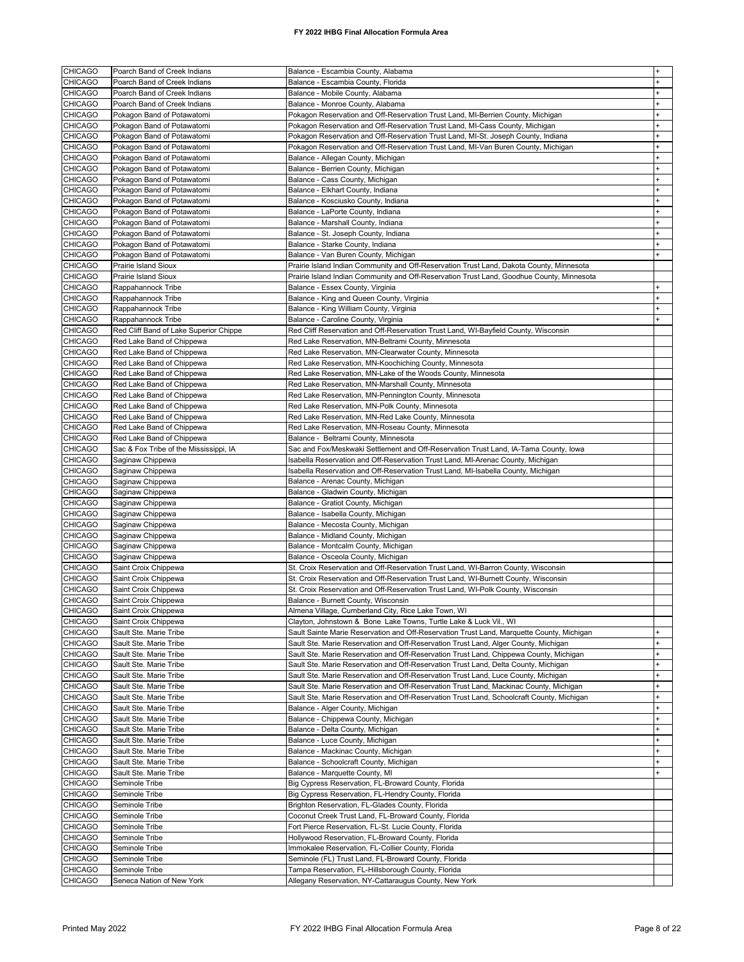| <b>CHICAGO</b> | Poarch Band of Creek Indians           | Balance - Escambia County, Alabama                                                        | $\ddot{}$ |
|----------------|----------------------------------------|-------------------------------------------------------------------------------------------|-----------|
| <b>CHICAGO</b> | Poarch Band of Creek Indians           |                                                                                           | $\ddot{}$ |
|                |                                        | Balance - Escambia County, Florida                                                        |           |
| CHICAGO        | Poarch Band of Creek Indians           | Balance - Mobile County, Alabama                                                          | $\ddot{}$ |
| <b>CHICAGO</b> | Poarch Band of Creek Indians           | Balance - Monroe County, Alabama                                                          |           |
| <b>CHICAGO</b> | Pokagon Band of Potawatomi             | Pokagon Reservation and Off-Reservation Trust Land, MI-Berrien County, Michigan           |           |
| <b>CHICAGO</b> | Pokagon Band of Potawatomi             | Pokagon Reservation and Off-Reservation Trust Land, MI-Cass County, Michigan              |           |
| <b>CHICAGO</b> | Pokagon Band of Potawatomi             | Pokagon Reservation and Off-Reservation Trust Land, MI-St. Joseph County, Indiana         |           |
| CHICAGO        | Pokagon Band of Potawatomi             | Pokagon Reservation and Off-Reservation Trust Land, MI-Van Buren County, Michigan         | $\ddot{}$ |
| <b>CHICAGO</b> | Pokagon Band of Potawatomi             | Balance - Allegan County, Michigan                                                        | ÷         |
| CHICAGO        | Pokagon Band of Potawatomi             | Balance - Berrien County, Michigan                                                        |           |
| <b>CHICAGO</b> | Pokagon Band of Potawatomi             | Balance - Cass County, Michigan                                                           |           |
| CHICAGO        | Pokagon Band of Potawatomi             | Balance - Elkhart County, Indiana                                                         |           |
| <b>CHICAGO</b> | Pokagon Band of Potawatomi             | Balance - Kosciusko County, Indiana                                                       |           |
| CHICAGO        | Pokagon Band of Potawatomi             | Balance - LaPorte County, Indiana                                                         |           |
| <b>CHICAGO</b> | Pokagon Band of Potawatomi             | Balance - Marshall County, Indiana                                                        |           |
| CHICAGO        | Pokagon Band of Potawatomi             | Balance - St. Joseph County, Indiana                                                      |           |
| <b>CHICAGO</b> | Pokagon Band of Potawatomi             | Balance - Starke County, Indiana                                                          |           |
| <b>CHICAGO</b> | Pokagon Band of Potawatomi             | Balance - Van Buren County, Michigan                                                      |           |
| <b>CHICAGO</b> | Prairie Island Sioux                   | Prairie Island Indian Community and Off-Reservation Trust Land, Dakota County, Minnesota  |           |
| <b>CHICAGO</b> | Prairie Island Sioux                   | Prairie Island Indian Community and Off-Reservation Trust Land, Goodhue County, Minnesota |           |
| <b>CHICAGO</b> | Rappahannock Tribe                     | Balance - Essex County, Virginia                                                          |           |
| <b>CHICAGO</b> | Rappahannock Tribe                     | Balance - King and Queen County, Virginia                                                 |           |
| <b>CHICAGO</b> | Rappahannock Tribe                     | Balance - King William County, Virginia                                                   |           |
| <b>CHICAGO</b> | Rappahannock Tribe                     | Balance - Caroline County, Virginia                                                       |           |
| <b>CHICAGO</b> | Red Cliff Band of Lake Superior Chippe | Red Cliff Reservation and Off-Reservation Trust Land, WI-Bayfield County, Wisconsin       |           |
| <b>CHICAGO</b> | Red Lake Band of Chippewa              | Red Lake Reservation, MN-Beltrami County, Minnesota                                       |           |
| <b>CHICAGO</b> | Red Lake Band of Chippewa              | Red Lake Reservation, MN-Clearwater County, Minnesota                                     |           |
| <b>CHICAGO</b> | Red Lake Band of Chippewa              | Red Lake Reservation, MN-Koochiching County, Minnesota                                    |           |
| <b>CHICAGO</b> | Red Lake Band of Chippewa              | Red Lake Reservation, MN-Lake of the Woods County, Minnesota                              |           |
| <b>CHICAGO</b> | Red Lake Band of Chippewa              | Red Lake Reservation, MN-Marshall County, Minnesota                                       |           |
| <b>CHICAGO</b> | Red Lake Band of Chippewa              | Red Lake Reservation, MN-Pennington County, Minnesota                                     |           |
| <b>CHICAGO</b> | Red Lake Band of Chippewa              | Red Lake Reservation, MN-Polk County, Minnesota                                           |           |
| CHICAGO        | Red Lake Band of Chippewa              | Red Lake Reservation, MN-Red Lake County, Minnesota                                       |           |
| <b>CHICAGO</b> | Red Lake Band of Chippewa              | Red Lake Reservation, MN-Roseau County, Minnesota                                         |           |
| CHICAGO        | Red Lake Band of Chippewa              | Balance - Beltrami County, Minnesota                                                      |           |
| <b>CHICAGO</b> | Sac & Fox Tribe of the Mississippi, IA | Sac and Fox/Meskwaki Settlement and Off-Reservation Trust Land, IA-Tama County, Iowa      |           |
| CHICAGO        | Saginaw Chippewa                       | Isabella Reservation and Off-Reservation Trust Land, MI-Arenac County, Michigan           |           |
| <b>CHICAGO</b> | Saginaw Chippewa                       | Isabella Reservation and Off-Reservation Trust Land, MI-Isabella County, Michigan         |           |
| <b>CHICAGO</b> | Saginaw Chippewa                       | Balance - Arenac County, Michigan                                                         |           |
| <b>CHICAGO</b> | Saginaw Chippewa                       | Balance - Gladwin County, Michigan                                                        |           |
| <b>CHICAGO</b> | Saginaw Chippewa                       | Balance - Gratiot County, Michigan                                                        |           |
| CHICAGO        | Saginaw Chippewa                       | Balance - Isabella County, Michigan                                                       |           |
| CHICAGO        | Saginaw Chippewa                       | Balance - Mecosta County, Michigan                                                        |           |
| <b>CHICAGO</b> | Saginaw Chippewa                       | Balance - Midland County, Michigan                                                        |           |
| <b>CHICAGO</b> | Saginaw Chippewa                       | Balance - Montcalm County, Michigan                                                       |           |
| <b>CHICAGO</b> | Saginaw Chippewa                       | Balance - Osceola County, Michigan                                                        |           |
| <b>CHICAGO</b> | Saint Croix Chippewa                   | St. Croix Reservation and Off-Reservation Trust Land, WI-Barron County, Wisconsin         |           |
| <b>CHICAGO</b> | Saint Croix Chippewa                   | St. Croix Reservation and Off-Reservation Trust Land, WI-Burnett County, Wisconsin        |           |
| <b>CHICAGO</b> | Saint Croix Chippewa                   | St. Croix Reservation and Off-Reservation Trust Land, WI-Polk County, Wisconsin           |           |
| <b>CHICAGO</b> | Saint Croix Chippewa                   | Balance - Burnett County, Wisconsin                                                       |           |
| <b>CHICAGO</b> | Saint Croix Chippewa                   | Almena Village, Cumberland City, Rice Lake Town, WI                                       |           |
| <b>CHICAGO</b> | Saint Croix Chippewa                   | Clayton, Johnstown & Bone Lake Towns, Turtle Lake & Luck Vil., WI                         |           |
| <b>CHICAGO</b> | Sault Ste. Marie Tribe                 | Sault Sainte Marie Reservation and Off-Reservation Trust Land, Marquette County, Michigan |           |
| <b>CHICAGO</b> | Sault Ste. Marie Tribe                 | Sault Ste. Marie Reservation and Off-Reservation Trust Land, Alger County, Michigan       |           |
| <b>CHICAGO</b> | Sault Ste. Marie Tribe                 | Sault Ste. Marie Reservation and Off-Reservation Trust Land, Chippewa County, Michigan    |           |
| <b>CHICAGO</b> | Sault Ste. Marie Tribe                 | Sault Ste. Marie Reservation and Off-Reservation Trust Land, Delta County, Michigan       |           |
| <b>CHICAGO</b> | Sault Ste. Marie Tribe                 | Sault Ste. Marie Reservation and Off-Reservation Trust Land, Luce County, Michigan        |           |
| CHICAGO        | Sault Ste. Marie Tribe                 | Sault Ste. Marie Reservation and Off-Reservation Trust Land, Mackinac County, Michigan    |           |
| <b>CHICAGO</b> | Sault Ste. Marie Tribe                 | Sault Ste. Marie Reservation and Off-Reservation Trust Land, Schoolcraft County, Michigan |           |
| CHICAGO        | Sault Ste. Marie Tribe                 | Balance - Alger County, Michigan                                                          |           |
| CHICAGO        | Sault Ste. Marie Tribe                 | Balance - Chippewa County, Michigan                                                       |           |
| CHICAGO        | Sault Ste. Marie Tribe                 | Balance - Delta County, Michigan                                                          |           |
| CHICAGO        | Sault Ste. Marie Tribe                 | Balance - Luce County, Michigan                                                           |           |
| CHICAGO        | Sault Ste. Marie Tribe                 | Balance - Mackinac County, Michigan                                                       |           |
| <b>CHICAGO</b> | Sault Ste. Marie Tribe                 | Balance - Schoolcraft County, Michigan                                                    |           |
| <b>CHICAGO</b> | Sault Ste. Marie Tribe                 | Balance - Marquette County, MI                                                            |           |
| <b>CHICAGO</b> | Seminole Tribe                         | Big Cypress Reservation, FL-Broward County, Florida                                       |           |
| <b>CHICAGO</b> | Seminole Tribe                         | Big Cypress Reservation, FL-Hendry County, Florida                                        |           |
| CHICAGO        | Seminole Tribe                         | Brighton Reservation, FL-Glades County, Florida                                           |           |
| <b>CHICAGO</b> | Seminole Tribe                         | Coconut Creek Trust Land, FL-Broward County, Florida                                      |           |
| <b>CHICAGO</b> | Seminole Tribe                         | Fort Pierce Reservation, FL-St. Lucie County, Florida                                     |           |
| <b>CHICAGO</b> | Seminole Tribe                         | Hollywood Reservation, FL-Broward County, Florida                                         |           |
| <b>CHICAGO</b> | Seminole Tribe                         | Immokalee Reservation, FL-Collier County, Florida                                         |           |
| CHICAGO        | Seminole Tribe                         | Seminole (FL) Trust Land, FL-Broward County, Florida                                      |           |
| <b>CHICAGO</b> | Seminole Tribe                         | Tampa Reservation, FL-Hillsborough County, Florida                                        |           |
| <b>CHICAGO</b> | Seneca Nation of New York              | Allegany Reservation, NY-Cattaraugus County, New York                                     |           |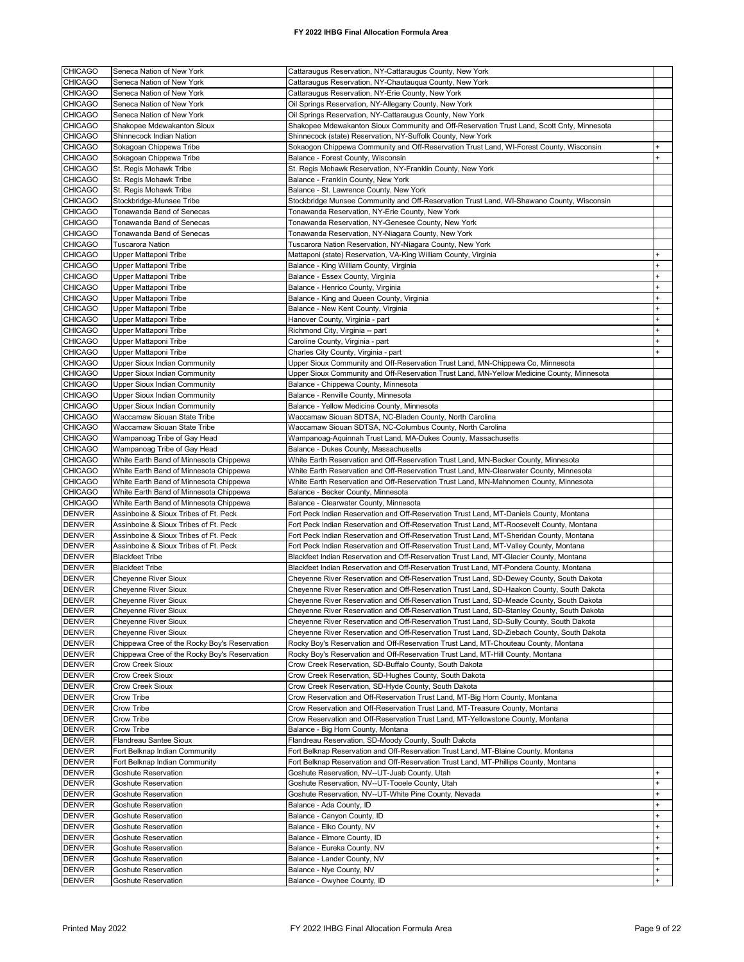| <b>CHICAGO</b>                 | Seneca Nation of New York                    | Cattaraugus Reservation, NY-Cattaraugus County, New York                                   |  |
|--------------------------------|----------------------------------------------|--------------------------------------------------------------------------------------------|--|
|                                |                                              |                                                                                            |  |
| <b>CHICAGO</b>                 | Seneca Nation of New York                    | Cattaraugus Reservation, NY-Chautauqua County, New York                                    |  |
| <b>CHICAGO</b>                 | Seneca Nation of New York                    | Cattaraugus Reservation, NY-Erie County, New York                                          |  |
| <b>CHICAGO</b>                 | Seneca Nation of New York                    | Oil Springs Reservation, NY-Allegany County, New York                                      |  |
| <b>CHICAGO</b>                 | Seneca Nation of New York                    | Oil Springs Reservation, NY-Cattaraugus County, New York                                   |  |
| <b>CHICAGO</b>                 | Shakopee Mdewakanton Sioux                   | Shakopee Mdewakanton Sioux Community and Off-Reservation Trust Land, Scott Cnty, Minnesota |  |
| <b>CHICAGO</b>                 | Shinnecock Indian Nation                     | Shinnecock (state) Reservation, NY-Suffolk County, New York                                |  |
| <b>CHICAGO</b>                 | Sokagoan Chippewa Tribe                      | Sokaogon Chippewa Community and Off-Reservation Trust Land, WI-Forest County, Wisconsin    |  |
| <b>CHICAGO</b>                 | Sokagoan Chippewa Tribe                      | Balance - Forest County, Wisconsin                                                         |  |
| <b>CHICAGO</b>                 | St. Regis Mohawk Tribe                       | St. Regis Mohawk Reservation, NY-Franklin County, New York                                 |  |
| <b>CHICAGO</b>                 | St. Regis Mohawk Tribe                       | Balance - Franklin County, New York                                                        |  |
| <b>CHICAGO</b>                 | St. Regis Mohawk Tribe                       | Balance - St. Lawrence County, New York                                                    |  |
| <b>CHICAGO</b>                 | Stockbridge-Munsee Tribe                     | Stockbridge Munsee Community and Off-Reservation Trust Land, WI-Shawano County, Wisconsin  |  |
| <b>CHICAGO</b>                 | Tonawanda Band of Senecas                    | Tonawanda Reservation, NY-Erie County, New York                                            |  |
| <b>CHICAGO</b>                 | Tonawanda Band of Senecas                    |                                                                                            |  |
| <b>CHICAGO</b>                 | Tonawanda Band of Senecas                    | Tonawanda Reservation, NY-Genesee County, New York                                         |  |
|                                |                                              | Tonawanda Reservation, NY-Niagara County, New York                                         |  |
| <b>CHICAGO</b>                 | Tuscarora Nation                             | Tuscarora Nation Reservation, NY-Niagara County, New York                                  |  |
| <b>CHICAGO</b>                 | Upper Mattaponi Tribe                        | Mattaponi (state) Reservation, VA-King William County, Virginia                            |  |
| <b>CHICAGO</b>                 | Upper Mattaponi Tribe                        | Balance - King William County, Virginia                                                    |  |
| <b>CHICAGO</b>                 | Upper Mattaponi Tribe                        | Balance - Essex County, Virginia                                                           |  |
| <b>CHICAGO</b>                 | Upper Mattaponi Tribe                        | Balance - Henrico County, Virginia                                                         |  |
| <b>CHICAGO</b>                 | Upper Mattaponi Tribe                        | Balance - King and Queen County, Virginia                                                  |  |
| CHICAGO                        | Upper Mattaponi Tribe                        | Balance - New Kent County, Virginia                                                        |  |
| <b>CHICAGO</b>                 | Upper Mattaponi Tribe                        | Hanover County, Virginia - part                                                            |  |
| <b>CHICAGO</b>                 | Upper Mattaponi Tribe                        | Richmond City, Virginia -- part                                                            |  |
| <b>CHICAGO</b>                 | Upper Mattaponi Tribe                        | Caroline County, Virginia - part                                                           |  |
| <b>CHICAGO</b>                 | Upper Mattaponi Tribe                        | Charles City County, Virginia - part                                                       |  |
| <b>CHICAGO</b>                 | <b>Upper Sioux Indian Community</b>          | Upper Sioux Community and Off-Reservation Trust Land, MN-Chippewa Co, Minnesota            |  |
| <b>CHICAGO</b>                 | <b>Upper Sioux Indian Community</b>          | Upper Sioux Community and Off-Reservation Trust Land, MN-Yellow Medicine County, Minnesota |  |
| <b>CHICAGO</b>                 |                                              |                                                                                            |  |
|                                | <b>Upper Sioux Indian Community</b>          | Balance - Chippewa County, Minnesota                                                       |  |
| <b>CHICAGO</b>                 | <b>Upper Sioux Indian Community</b>          | Balance - Renville County, Minnesota                                                       |  |
| <b>CHICAGO</b>                 | <b>Upper Sioux Indian Community</b>          | Balance - Yellow Medicine County, Minnesota                                                |  |
| <b>CHICAGO</b>                 | Waccamaw Siouan State Tribe                  | Waccamaw Siouan SDTSA, NC-Bladen County, North Carolina                                    |  |
| <b>CHICAGO</b>                 | Waccamaw Siouan State Tribe                  | Waccamaw Siouan SDTSA, NC-Columbus County, North Carolina                                  |  |
| <b>CHICAGO</b>                 | Wampanoag Tribe of Gay Head                  | Wampanoag-Aquinnah Trust Land, MA-Dukes County, Massachusetts                              |  |
| <b>CHICAGO</b>                 | Wampanoag Tribe of Gay Head                  | Balance - Dukes County, Massachusetts                                                      |  |
| <b>CHICAGO</b>                 | White Earth Band of Minnesota Chippewa       | White Earth Reservation and Off-Reservation Trust Land, MN-Becker County, Minnesota        |  |
| <b>CHICAGO</b>                 | White Earth Band of Minnesota Chippewa       | White Earth Reservation and Off-Reservation Trust Land, MN-Clearwater County, Minnesota    |  |
| <b>CHICAGO</b>                 | White Earth Band of Minnesota Chippewa       | White Earth Reservation and Off-Reservation Trust Land, MN-Mahnomen County, Minnesota      |  |
| <b>CHICAGO</b>                 | White Earth Band of Minnesota Chippewa       | Balance - Becker County, Minnesota                                                         |  |
| <b>CHICAGO</b>                 | White Earth Band of Minnesota Chippewa       | Balance - Clearwater County, Minnesota                                                     |  |
| <b>DENVER</b>                  | Assinboine & Sioux Tribes of Ft. Peck        | Fort Peck Indian Reservation and Off-Reservation Trust Land, MT-Daniels County, Montana    |  |
| <b>DENVER</b>                  | Assinboine & Sioux Tribes of Ft. Peck        | Fort Peck Indian Reservation and Off-Reservation Trust Land, MT-Roosevelt County, Montana  |  |
|                                |                                              | Fort Peck Indian Reservation and Off-Reservation Trust Land, MT-Sheridan County, Montana   |  |
| <b>DENVER</b>                  | Assinboine & Sioux Tribes of Ft. Peck        |                                                                                            |  |
| <b>DENVER</b>                  | Assinboine & Sioux Tribes of Ft. Peck        | Fort Peck Indian Reservation and Off-Reservation Trust Land, MT-Valley County, Montana     |  |
| <b>DENVER</b>                  | <b>Blackfeet Tribe</b>                       | Blackfeet Indian Reservation and Off-Reservation Trust Land, MT-Glacier County, Montana    |  |
| <b>DENVER</b>                  | <b>Blackfeet Tribe</b>                       | Blackfeet Indian Reservation and Off-Reservation Trust Land, MT-Pondera County, Montana    |  |
| <b>DENVER</b>                  | Cheyenne River Sioux                         | Cheyenne River Reservation and Off-Reservation Trust Land, SD-Dewey County, South Dakota   |  |
| <b>DENVER</b>                  | Cheyenne River Sioux                         | Cheyenne River Reservation and Off-Reservation Trust Land, SD-Haakon County, South Dakota  |  |
| <b>DENVER</b>                  | Cheyenne River Sioux                         | Cheyenne River Reservation and Off-Reservation Trust Land, SD-Meade County, South Dakota   |  |
| <b>DENVER</b>                  | Cheyenne River Sioux                         | Cheyenne River Reservation and Off-Reservation Trust Land, SD-Stanley County, South Dakota |  |
| <b>DENVER</b>                  | <b>Cheyenne River Sioux</b>                  | Cheyenne River Reservation and Off-Reservation Trust Land, SD-Sully County, South Dakota   |  |
| <b>DENVER</b>                  | <b>Cheyenne River Sioux</b>                  |                                                                                            |  |
| <b>DENVER</b>                  |                                              | Cheyenne River Reservation and Off-Reservation Trust Land, SD-Ziebach County, South Dakota |  |
|                                | Chippewa Cree of the Rocky Boy's Reservation | Rocky Boy's Reservation and Off-Reservation Trust Land, MT-Chouteau County, Montana        |  |
|                                | Chippewa Cree of the Rocky Boy's Reservation | Rocky Boy's Reservation and Off-Reservation Trust Land, MT-Hill County, Montana            |  |
| <b>DENVER</b>                  |                                              |                                                                                            |  |
| <b>DENVER</b>                  | Crow Creek Sioux                             | Crow Creek Reservation, SD-Buffalo County, South Dakota                                    |  |
| <b>DENVER</b>                  | Crow Creek Sioux                             | Crow Creek Reservation, SD-Hughes County, South Dakota                                     |  |
| <b>DENVER</b>                  | Crow Creek Sioux                             | Crow Creek Reservation, SD-Hyde County, South Dakota                                       |  |
| <b>DENVER</b>                  | Crow Tribe                                   | Crow Reservation and Off-Reservation Trust Land, MT-Big Horn County, Montana               |  |
| <b>DENVER</b>                  | Crow Tribe                                   | Crow Reservation and Off-Reservation Trust Land, MT-Treasure County, Montana               |  |
| <b>DENVER</b>                  | Crow Tribe                                   | Crow Reservation and Off-Reservation Trust Land, MT-Yellowstone County, Montana            |  |
| <b>DENVER</b>                  | Crow Tribe                                   | Balance - Big Horn County, Montana                                                         |  |
| <b>DENVER</b>                  | Flandreau Santee Sioux                       | Flandreau Reservation, SD-Moody County, South Dakota                                       |  |
| <b>DENVER</b>                  | Fort Belknap Indian Community                | Fort Belknap Reservation and Off-Reservation Trust Land, MT-Blaine County, Montana         |  |
| <b>DENVER</b>                  | Fort Belknap Indian Community                | Fort Belknap Reservation and Off-Reservation Trust Land, MT-Phillips County, Montana       |  |
| <b>DENVER</b>                  | Goshute Reservation                          | Goshute Reservation, NV--UT-Juab County, Utah                                              |  |
| <b>DENVER</b>                  | Goshute Reservation                          | Goshute Reservation, NV--UT-Tooele County, Utah                                            |  |
| <b>DENVER</b>                  | Goshute Reservation                          | Goshute Reservation, NV--UT-White Pine County, Nevada                                      |  |
| <b>DENVER</b>                  | Goshute Reservation                          | Balance - Ada County, ID                                                                   |  |
|                                |                                              |                                                                                            |  |
| <b>DENVER</b>                  | Goshute Reservation                          | Balance - Canyon County, ID                                                                |  |
| <b>DENVER</b>                  | Goshute Reservation                          | Balance - Elko County, NV                                                                  |  |
| <b>DENVER</b>                  | Goshute Reservation                          | Balance - Elmore County, ID                                                                |  |
| <b>DENVER</b>                  | Goshute Reservation                          | Balance - Eureka County, NV                                                                |  |
| <b>DENVER</b>                  | Goshute Reservation                          | Balance - Lander County, NV                                                                |  |
| <b>DENVER</b><br><b>DENVER</b> | Goshute Reservation<br>Goshute Reservation   | Balance - Nye County, NV<br>Balance - Owyhee County, ID                                    |  |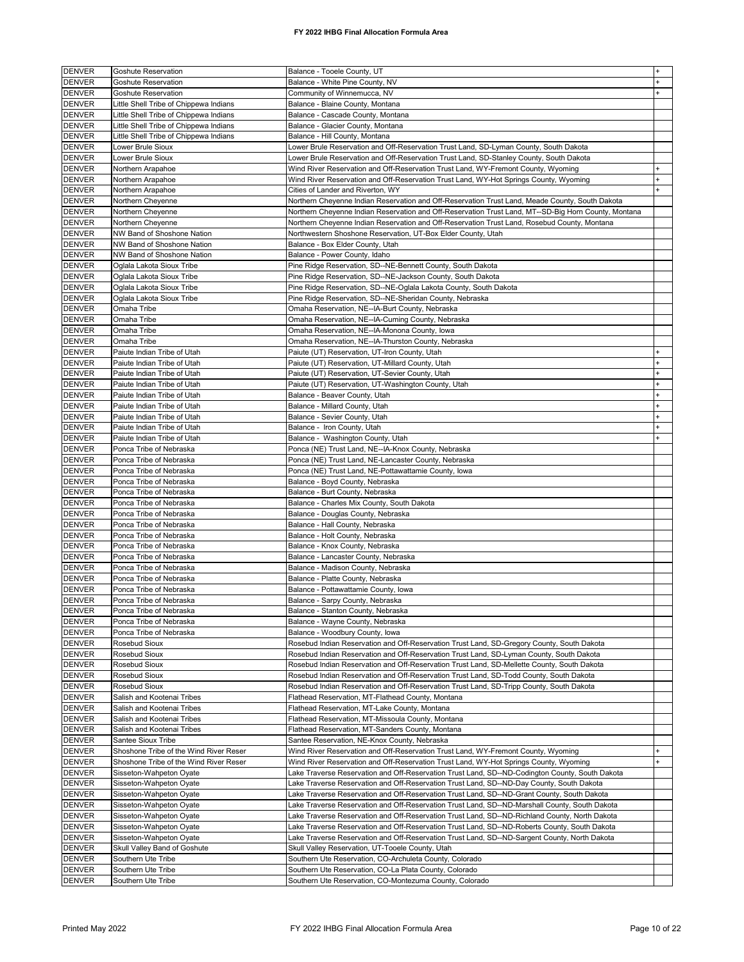| <b>DENVER</b> | Goshute Reservation                    | Balance - Tooele County, UT                                                                          |           |
|---------------|----------------------------------------|------------------------------------------------------------------------------------------------------|-----------|
| <b>DENVER</b> | <b>Goshute Reservation</b>             |                                                                                                      |           |
|               |                                        | Balance - White Pine County, NV                                                                      |           |
| <b>DENVER</b> | <b>Goshute Reservation</b>             | Community of Winnemucca, NV                                                                          |           |
| <b>DENVER</b> | Little Shell Tribe of Chippewa Indians | Balance - Blaine County, Montana                                                                     |           |
| <b>DENVER</b> | Little Shell Tribe of Chippewa Indians | Balance - Cascade County, Montana                                                                    |           |
| <b>DENVER</b> | Little Shell Tribe of Chippewa Indians | Balance - Glacier County, Montana                                                                    |           |
| <b>DENVER</b> | Little Shell Tribe of Chippewa Indians | Balance - Hill County, Montana                                                                       |           |
| <b>DENVER</b> | Lower Brule Sioux                      | Lower Brule Reservation and Off-Reservation Trust Land, SD-Lyman County, South Dakota                |           |
| <b>DENVER</b> | Lower Brule Sioux                      | Lower Brule Reservation and Off-Reservation Trust Land, SD-Stanley County, South Dakota              |           |
| <b>DENVER</b> | Northern Arapahoe                      | Wind River Reservation and Off-Reservation Trust Land, WY-Fremont County, Wyoming                    |           |
|               |                                        |                                                                                                      |           |
| <b>DENVER</b> | Northern Arapahoe                      | Wind River Reservation and Off-Reservation Trust Land, WY-Hot Springs County, Wyoming                | +         |
| <b>DENVER</b> | Northern Arapahoe                      | Cities of Lander and Riverton, WY                                                                    |           |
| <b>DENVER</b> | Northern Cheyenne                      | Northern Cheyenne Indian Reservation and Off-Reservation Trust Land, Meade County, South Dakota      |           |
| <b>DENVER</b> | Northern Cheyenne                      | Northern Cheyenne Indian Reservation and Off-Reservation Trust Land, MT--SD-Big Horn County, Montana |           |
| <b>DENVER</b> | Northern Cheyenne                      | Northern Cheyenne Indian Reservation and Off-Reservation Trust Land, Rosebud County, Montana         |           |
| <b>DENVER</b> | NW Band of Shoshone Nation             | Northwestern Shoshone Reservation, UT-Box Elder County, Utah                                         |           |
| <b>DENVER</b> | NW Band of Shoshone Nation             | Balance - Box Elder County, Utah                                                                     |           |
| <b>DENVER</b> | NW Band of Shoshone Nation             | Balance - Power County, Idaho                                                                        |           |
| <b>DENVER</b> | Oglala Lakota Sioux Tribe              | Pine Ridge Reservation, SD--NE-Bennett County, South Dakota                                          |           |
|               |                                        |                                                                                                      |           |
| <b>DENVER</b> | Oglala Lakota Sioux Tribe              | Pine Ridge Reservation, SD--NE-Jackson County, South Dakota                                          |           |
| <b>DENVER</b> | Oglala Lakota Sioux Tribe              | Pine Ridge Reservation, SD--NE-Oglala Lakota County, South Dakota                                    |           |
| <b>DENVER</b> | Oglala Lakota Sioux Tribe              | Pine Ridge Reservation, SD--NE-Sheridan County, Nebraska                                             |           |
| <b>DENVER</b> | Omaha Tribe                            | Omaha Reservation, NE--IA-Burt County, Nebraska                                                      |           |
| <b>DENVER</b> | Omaha Tribe                            | Omaha Reservation, NE--IA-Cuming County, Nebraska                                                    |           |
| <b>DENVER</b> | Omaha Tribe                            | Omaha Reservation, NE--IA-Monona County, lowa                                                        |           |
| <b>DENVER</b> | Omaha Tribe                            | Omaha Reservation, NE--IA-Thurston County, Nebraska                                                  |           |
| <b>DENVER</b> | Paiute Indian Tribe of Utah            | Paiute (UT) Reservation, UT-Iron County, Utah                                                        |           |
| <b>DENVER</b> | Paiute Indian Tribe of Utah            | Paiute (UT) Reservation, UT-Millard County, Utah                                                     |           |
|               |                                        |                                                                                                      |           |
| <b>DENVER</b> | Paiute Indian Tribe of Utah            | Paiute (UT) Reservation, UT-Sevier County, Utah                                                      |           |
| <b>DENVER</b> | Paiute Indian Tribe of Utah            | Paiute (UT) Reservation, UT-Washington County, Utah                                                  |           |
| <b>DENVER</b> | Paiute Indian Tribe of Utah            | Balance - Beaver County, Utah                                                                        |           |
| <b>DENVER</b> | Paiute Indian Tribe of Utah            | Balance - Millard County, Utah                                                                       | $\ddot{}$ |
| <b>DENVER</b> | Paiute Indian Tribe of Utah            | Balance - Sevier County, Utah                                                                        |           |
| <b>DENVER</b> | Paiute Indian Tribe of Utah            | Balance - Iron County, Utah                                                                          |           |
| <b>DENVER</b> | Paiute Indian Tribe of Utah            | Balance - Washington County, Utah                                                                    |           |
| <b>DENVER</b> | Ponca Tribe of Nebraska                | Ponca (NE) Trust Land, NE--IA-Knox County, Nebraska                                                  |           |
| <b>DENVER</b> | Ponca Tribe of Nebraska                |                                                                                                      |           |
|               |                                        | Ponca (NE) Trust Land, NE-Lancaster County, Nebraska                                                 |           |
| <b>DENVER</b> | Ponca Tribe of Nebraska                | Ponca (NE) Trust Land, NE-Pottawattamie County, Iowa                                                 |           |
| <b>DENVER</b> | Ponca Tribe of Nebraska                | Balance - Boyd County, Nebraska                                                                      |           |
| <b>DENVER</b> | Ponca Tribe of Nebraska                | Balance - Burt County, Nebraska                                                                      |           |
| <b>DENVER</b> | Ponca Tribe of Nebraska                | Balance - Charles Mix County, South Dakota                                                           |           |
| <b>DENVER</b> | Ponca Tribe of Nebraska                | Balance - Douglas County, Nebraska                                                                   |           |
| <b>DENVER</b> | Ponca Tribe of Nebraska                | Balance - Hall County, Nebraska                                                                      |           |
| <b>DENVER</b> | Ponca Tribe of Nebraska                | Balance - Holt County, Nebraska                                                                      |           |
| <b>DENVER</b> | Ponca Tribe of Nebraska                | Balance - Knox County, Nebraska                                                                      |           |
| <b>DENVER</b> |                                        |                                                                                                      |           |
|               | Ponca Tribe of Nebraska                | Balance - Lancaster County, Nebraska                                                                 |           |
| <b>DENVER</b> | Ponca Tribe of Nebraska                | Balance - Madison County, Nebraska                                                                   |           |
| <b>DENVER</b> | Ponca Tribe of Nebraska                | Balance - Platte County, Nebraska                                                                    |           |
| <b>DENVER</b> | Ponca Tribe of Nebraska                | Balance - Pottawattamie County, Iowa                                                                 |           |
| <b>DENVER</b> | Ponca Tribe of Nebraska                | Balance - Sarpy County, Nebraska                                                                     |           |
| <b>DENVER</b> | Ponca Tribe of Nebraska                | Balance - Stanton County, Nebraska                                                                   |           |
| <b>DENVER</b> | Ponca Tribe of Nebraska                | Balance - Wayne County, Nebraska                                                                     |           |
| <b>DENVER</b> | Ponca Tribe of Nebraska                | Balance - Woodbury County, Iowa                                                                      |           |
| <b>DENVER</b> | Rosebud Sioux                          | Rosebud Indian Reservation and Off-Reservation Trust Land, SD-Gregory County, South Dakota           |           |
| <b>DENVER</b> |                                        | Rosebud Indian Reservation and Off-Reservation Trust Land, SD-Lyman County, South Dakota             |           |
|               | Rosebud Sioux                          |                                                                                                      |           |
| <b>DENVER</b> | Rosebud Sioux                          | Rosebud Indian Reservation and Off-Reservation Trust Land, SD-Mellette County, South Dakota          |           |
| <b>DENVER</b> | Rosebud Sioux                          | Rosebud Indian Reservation and Off-Reservation Trust Land, SD-Todd County, South Dakota              |           |
| <b>DENVER</b> | Rosebud Sioux                          | Rosebud Indian Reservation and Off-Reservation Trust Land, SD-Tripp County, South Dakota             |           |
| <b>DENVER</b> | Salish and Kootenai Tribes             | Flathead Reservation, MT-Flathead County, Montana                                                    |           |
| <b>DENVER</b> | Salish and Kootenai Tribes             | Flathead Reservation, MT-Lake County, Montana                                                        |           |
| <b>DENVER</b> | Salish and Kootenai Tribes             | Flathead Reservation, MT-Missoula County, Montana                                                    |           |
| <b>DENVER</b> | Salish and Kootenai Tribes             | Flathead Reservation, MT-Sanders County, Montana                                                     |           |
| <b>DENVER</b> | Santee Sioux Tribe                     | Santee Reservation, NE-Knox County, Nebraska                                                         |           |
|               |                                        |                                                                                                      | $+$       |
| <b>DENVER</b> | Shoshone Tribe of the Wind River Reser | Wind River Reservation and Off-Reservation Trust Land, WY-Fremont County, Wyoming                    |           |
| <b>DENVER</b> | Shoshone Tribe of the Wind River Reser | Wind River Reservation and Off-Reservation Trust Land, WY-Hot Springs County, Wyoming                | $\ddot{}$ |
| <b>DENVER</b> | Sisseton-Wahpeton Oyate                | Lake Traverse Reservation and Off-Reservation Trust Land, SD--ND-Codington County, South Dakota      |           |
| <b>DENVER</b> | Sisseton-Wahpeton Oyate                | Lake Traverse Reservation and Off-Reservation Trust Land, SD--ND-Day County, South Dakota            |           |
| <b>DENVER</b> | Sisseton-Wahpeton Oyate                | Lake Traverse Reservation and Off-Reservation Trust Land, SD--ND-Grant County, South Dakota          |           |
| <b>DENVER</b> | Sisseton-Wahpeton Oyate                | ake Traverse Reservation and Off-Reservation Trust Land, SD--ND-Marshall County, South Dakotaـ       |           |
| <b>DENVER</b> | Sisseton-Wahpeton Oyate                | Lake Traverse Reservation and Off-Reservation Trust Land, SD--ND-Richland County, North Dakota       |           |
| <b>DENVER</b> | Sisseton-Wahpeton Oyate                | Lake Traverse Reservation and Off-Reservation Trust Land, SD--ND-Roberts County, South Dakota        |           |
|               |                                        |                                                                                                      |           |
| <b>DENVER</b> | Sisseton-Wahpeton Oyate                | Lake Traverse Reservation and Off-Reservation Trust Land, SD--ND-Sargent County, North Dakota        |           |
| <b>DENVER</b> | Skull Valley Band of Goshute           | Skull Valley Reservation, UT-Tooele County, Utah                                                     |           |
| <b>DENVER</b> | Southern Ute Tribe                     | Southern Ute Reservation, CO-Archuleta County, Colorado                                              |           |
| <b>DENVER</b> | Southern Ute Tribe                     | Southern Ute Reservation, CO-La Plata County, Colorado                                               |           |
| <b>DENVER</b> | Southern Ute Tribe                     | Southern Ute Reservation, CO-Montezuma County, Colorado                                              |           |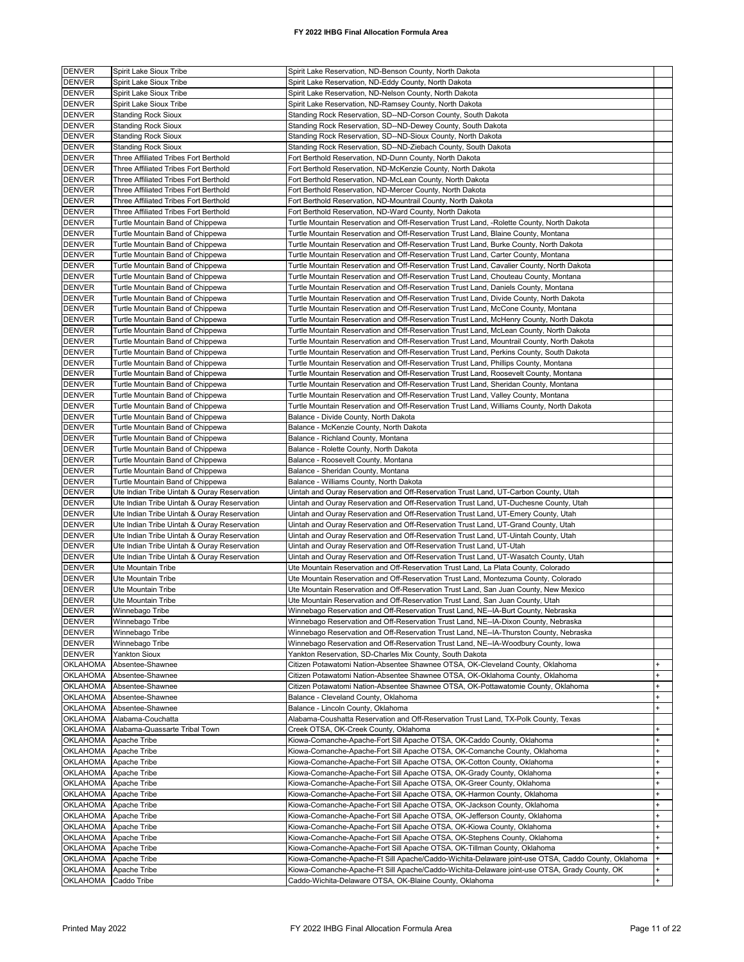| <b>DENVER</b>        | Spirit Lake Sioux Tribe                     | Spirit Lake Reservation, ND-Benson County, North Dakota                                                                                                 |           |
|----------------------|---------------------------------------------|---------------------------------------------------------------------------------------------------------------------------------------------------------|-----------|
| <b>DENVER</b>        | Spirit Lake Sioux Tribe                     | Spirit Lake Reservation, ND-Eddy County, North Dakota                                                                                                   |           |
| <b>DENVER</b>        | Spirit Lake Sioux Tribe                     | Spirit Lake Reservation, ND-Nelson County, North Dakota                                                                                                 |           |
| <b>DENVER</b>        | Spirit Lake Sioux Tribe                     | Spirit Lake Reservation, ND-Ramsey County, North Dakota                                                                                                 |           |
|                      |                                             |                                                                                                                                                         |           |
| <b>DENVER</b>        | <b>Standing Rock Sioux</b>                  | Standing Rock Reservation, SD--ND-Corson County, South Dakota                                                                                           |           |
| <b>DENVER</b>        | <b>Standing Rock Sioux</b>                  | Standing Rock Reservation, SD--ND-Dewey County, South Dakota                                                                                            |           |
| <b>DENVER</b>        | <b>Standing Rock Sioux</b>                  | Standing Rock Reservation, SD--ND-Sioux County, North Dakota                                                                                            |           |
| <b>DENVER</b>        | <b>Standing Rock Sioux</b>                  | Standing Rock Reservation, SD--ND-Ziebach County, South Dakota                                                                                          |           |
|                      |                                             |                                                                                                                                                         |           |
| <b>DENVER</b>        | Three Affiliated Tribes Fort Berthold       | Fort Berthold Reservation, ND-Dunn County, North Dakota                                                                                                 |           |
| <b>DENVER</b>        | Three Affiliated Tribes Fort Berthold       | Fort Berthold Reservation, ND-McKenzie County, North Dakota                                                                                             |           |
| <b>DENVER</b>        | Three Affiliated Tribes Fort Berthold       | Fort Berthold Reservation, ND-McLean County, North Dakota                                                                                               |           |
| <b>DENVER</b>        | Three Affiliated Tribes Fort Berthold       | Fort Berthold Reservation, ND-Mercer County, North Dakota                                                                                               |           |
|                      |                                             |                                                                                                                                                         |           |
| <b>DENVER</b>        | Three Affiliated Tribes Fort Berthold       | Fort Berthold Reservation, ND-Mountrail County, North Dakota                                                                                            |           |
| <b>DENVER</b>        | Three Affiliated Tribes Fort Berthold       | Fort Berthold Reservation, ND-Ward County, North Dakota                                                                                                 |           |
| <b>DENVER</b>        | Turtle Mountain Band of Chippewa            | Turtle Mountain Reservation and Off-Reservation Trust Land, -Rolette County, North Dakota                                                               |           |
| <b>DENVER</b>        | Turtle Mountain Band of Chippewa            | Turtle Mountain Reservation and Off-Reservation Trust Land, Blaine County, Montana                                                                      |           |
|                      |                                             |                                                                                                                                                         |           |
| <b>DENVER</b>        | Turtle Mountain Band of Chippewa            | Turtle Mountain Reservation and Off-Reservation Trust Land, Burke County, North Dakota                                                                  |           |
| <b>DENVER</b>        | Turtle Mountain Band of Chippewa            | Turtle Mountain Reservation and Off-Reservation Trust Land, Carter County, Montana                                                                      |           |
| <b>DENVER</b>        | Turtle Mountain Band of Chippewa            | Turtle Mountain Reservation and Off-Reservation Trust Land, Cavalier County, North Dakota                                                               |           |
| <b>DENVER</b>        | Turtle Mountain Band of Chippewa            | Turtle Mountain Reservation and Off-Reservation Trust Land, Chouteau County, Montana                                                                    |           |
| <b>DENVER</b>        | Turtle Mountain Band of Chippewa            | Turtle Mountain Reservation and Off-Reservation Trust Land, Daniels County, Montana                                                                     |           |
|                      |                                             |                                                                                                                                                         |           |
| <b>DENVER</b>        | Turtle Mountain Band of Chippewa            | Turtle Mountain Reservation and Off-Reservation Trust Land, Divide County, North Dakota                                                                 |           |
| <b>DENVER</b>        | Turtle Mountain Band of Chippewa            | Turtle Mountain Reservation and Off-Reservation Trust Land, McCone County, Montana                                                                      |           |
| <b>DENVER</b>        | Turtle Mountain Band of Chippewa            | Turtle Mountain Reservation and Off-Reservation Trust Land, McHenry County, North Dakota                                                                |           |
|                      |                                             |                                                                                                                                                         |           |
| <b>DENVER</b>        | Turtle Mountain Band of Chippewa            | Turtle Mountain Reservation and Off-Reservation Trust Land, McLean County, North Dakota                                                                 |           |
| <b>DENVER</b>        | Turtle Mountain Band of Chippewa            | Turtle Mountain Reservation and Off-Reservation Trust Land, Mountrail County, North Dakota                                                              |           |
| <b>DENVER</b>        | Turtle Mountain Band of Chippewa            | Turtle Mountain Reservation and Off-Reservation Trust Land, Perkins County, South Dakota                                                                |           |
| <b>DENVER</b>        | Turtle Mountain Band of Chippewa            | Turtle Mountain Reservation and Off-Reservation Trust Land, Phillips County, Montana                                                                    |           |
| <b>DENVER</b>        | Turtle Mountain Band of Chippewa            |                                                                                                                                                         |           |
|                      |                                             | Turtle Mountain Reservation and Off-Reservation Trust Land, Roosevelt County, Montana                                                                   |           |
| <b>DENVER</b>        | Turtle Mountain Band of Chippewa            | Turtle Mountain Reservation and Off-Reservation Trust Land, Sheridan County, Montana                                                                    |           |
| <b>DENVER</b>        | Turtle Mountain Band of Chippewa            | Turtle Mountain Reservation and Off-Reservation Trust Land, Valley County, Montana                                                                      |           |
| <b>DENVER</b>        | Turtle Mountain Band of Chippewa            | Turtle Mountain Reservation and Off-Reservation Trust Land, Williams County, North Dakota                                                               |           |
|                      |                                             |                                                                                                                                                         |           |
| <b>DENVER</b>        | Turtle Mountain Band of Chippewa            | Balance - Divide County, North Dakota                                                                                                                   |           |
| <b>DENVER</b>        | Turtle Mountain Band of Chippewa            | Balance - McKenzie County, North Dakota                                                                                                                 |           |
| <b>DENVER</b>        | Turtle Mountain Band of Chippewa            | Balance - Richland County, Montana                                                                                                                      |           |
| <b>DENVER</b>        | Turtle Mountain Band of Chippewa            | Balance - Rolette County, North Dakota                                                                                                                  |           |
| <b>DENVER</b>        |                                             |                                                                                                                                                         |           |
|                      | Turtle Mountain Band of Chippewa            | Balance - Roosevelt County, Montana                                                                                                                     |           |
| <b>DENVER</b>        | Turtle Mountain Band of Chippewa            | Balance - Sheridan County, Montana                                                                                                                      |           |
| <b>DENVER</b>        | Turtle Mountain Band of Chippewa            | Balance - Williams County, North Dakota                                                                                                                 |           |
| <b>DENVER</b>        | Ute Indian Tribe Uintah & Ouray Reservation | Uintah and Ouray Reservation and Off-Reservation Trust Land, UT-Carbon County, Utah                                                                     |           |
| <b>DENVER</b>        | Ute Indian Tribe Uintah & Ouray Reservation | Uintah and Ouray Reservation and Off-Reservation Trust Land, UT-Duchesne County, Utah                                                                   |           |
|                      |                                             |                                                                                                                                                         |           |
| <b>DENVER</b>        | Ute Indian Tribe Uintah & Ouray Reservation | Uintah and Ouray Reservation and Off-Reservation Trust Land, UT-Emery County, Utah                                                                      |           |
| <b>DENVER</b>        | Ute Indian Tribe Uintah & Ouray Reservation | Uintah and Ouray Reservation and Off-Reservation Trust Land, UT-Grand County, Utah                                                                      |           |
| <b>DENVER</b>        | Ute Indian Tribe Uintah & Ouray Reservation | Uintah and Ouray Reservation and Off-Reservation Trust Land, UT-Uintah County, Utah                                                                     |           |
| <b>DENVER</b>        | Ute Indian Tribe Uintah & Ouray Reservation | Uintah and Ouray Reservation and Off-Reservation Trust Land, UT-Utah                                                                                    |           |
|                      |                                             |                                                                                                                                                         |           |
| <b>DENVER</b>        | Ute Indian Tribe Uintah & Ouray Reservation | Uintah and Ouray Reservation and Off-Reservation Trust Land, UT-Wasatch County, Utah                                                                    |           |
| <b>DENVER</b>        | Ute Mountain Tribe                          | Ute Mountain Reservation and Off-Reservation Trust Land, La Plata County, Colorado                                                                      |           |
| <b>DENVER</b>        | Ute Mountain Tribe                          | Ute Mountain Reservation and Off-Reservation Trust Land, Montezuma County, Colorado                                                                     |           |
| <b>DENVER</b>        | Ute Mountain Tribe                          | Ute Mountain Reservation and Off-Reservation Trust Land, San Juan County, New Mexico                                                                    |           |
|                      |                                             |                                                                                                                                                         |           |
| <b>DENVER</b>        | Ute Mountain Tribe                          | Ute Mountain Reservation and Off-Reservation Trust Land, San Juan County, Utah                                                                          |           |
| DENVER               | Winnebago Tribe                             | Winnebago Reservation and Off-Reservation Trust Land, NE--IA-Burt County, Nebraska                                                                      |           |
| <b>DENVER</b>        | Winnebago Tribe                             | Winnebago Reservation and Off-Reservation Trust Land, NE--IA-Dixon County, Nebraska                                                                     |           |
| <b>DENVER</b>        | Winnebago Tribe                             | Winnebago Reservation and Off-Reservation Trust Land, NE--IA-Thurston County, Nebraska                                                                  |           |
| <b>DENVER</b>        | Winnebago Tribe                             | Winnebago Reservation and Off-Reservation Trust Land, NE--IA-Woodbury County, Iowa                                                                      |           |
|                      |                                             |                                                                                                                                                         |           |
| <b>DENVER</b>        | <b>Yankton Sioux</b>                        | Yankton Reservation, SD-Charles Mix County, South Dakota                                                                                                |           |
| <b>OKLAHOMA</b>      | Absentee-Shawnee                            | Citizen Potawatomi Nation-Absentee Shawnee OTSA, OK-Cleveland County, Oklahoma                                                                          |           |
| <b>OKLAHOMA</b>      | Absentee-Shawnee                            | Citizen Potawatomi Nation-Absentee Shawnee OTSA, OK-Oklahoma County, Oklahoma                                                                           | $\ddot{}$ |
| OKLAHOMA             | Absentee-Shawnee                            | Citizen Potawatomi Nation-Absentee Shawnee OTSA, OK-Pottawatomie County, Oklahoma                                                                       |           |
|                      |                                             |                                                                                                                                                         |           |
| OKLAHOMA             | Absentee-Shawnee                            | Balance - Cleveland County, Oklahoma                                                                                                                    |           |
| OKLAHOMA             | Absentee-Shawnee                            | Balance - Lincoln County, Oklahoma                                                                                                                      |           |
| OKLAHOMA             | Alabama-Couchatta                           | Alabama-Coushatta Reservation and Off-Reservation Trust Land, TX-Polk County, Texas                                                                     |           |
| OKLAHOMA             | Alabama-Quassarte Tribal Town               | Creek OTSA, OK-Creek County, Oklahoma                                                                                                                   |           |
| OKLAHOMA             | Apache Tribe                                | Kiowa-Comanche-Apache-Fort Sill Apache OTSA, OK-Caddo County, Oklahoma                                                                                  |           |
|                      |                                             |                                                                                                                                                         |           |
| OKLAHOMA             |                                             |                                                                                                                                                         |           |
| OKLAHOMA             | Apache Tribe                                | Kiowa-Comanche-Apache-Fort Sill Apache OTSA, OK-Comanche County, Oklahoma                                                                               |           |
| OKLAHOMA             | Apache Tribe                                | Kiowa-Comanche-Apache-Fort Sill Apache OTSA, OK-Cotton County, Oklahoma                                                                                 |           |
|                      | Apache Tribe                                |                                                                                                                                                         |           |
|                      |                                             | Kiowa-Comanche-Apache-Fort Sill Apache OTSA, OK-Grady County, Oklahoma                                                                                  |           |
| OKLAHOMA             | Apache Tribe                                | Kiowa-Comanche-Apache-Fort Sill Apache OTSA, OK-Greer County, Oklahoma                                                                                  |           |
| OKLAHOMA             | Apache Tribe                                | Kiowa-Comanche-Apache-Fort Sill Apache OTSA, OK-Harmon County, Oklahoma                                                                                 |           |
| OKLAHOMA             | Apache Tribe                                | Kiowa-Comanche-Apache-Fort Sill Apache OTSA, OK-Jackson County, Oklahoma                                                                                |           |
| OKLAHOMA             | Apache Tribe                                | Kiowa-Comanche-Apache-Fort Sill Apache OTSA, OK-Jefferson County, Oklahoma                                                                              |           |
|                      |                                             |                                                                                                                                                         |           |
| OKLAHOMA             | Apache Tribe                                | Kiowa-Comanche-Apache-Fort Sill Apache OTSA, OK-Kiowa County, Oklahoma                                                                                  |           |
|                      | OKLAHOMA Apache Tribe                       | Kiowa-Comanche-Apache-Fort Sill Apache OTSA, OK-Stephens County, Oklahoma                                                                               |           |
|                      | OKLAHOMA Apache Tribe                       | Kiowa-Comanche-Apache-Fort Sill Apache OTSA, OK-Tillman County, Oklahoma                                                                                |           |
|                      | OKLAHOMA Apache Tribe                       | Kiowa-Comanche-Apache-Ft Sill Apache/Caddo-Wichita-Delaware joint-use OTSA, Caddo County, Oklahoma                                                      |           |
|                      |                                             |                                                                                                                                                         |           |
| OKLAHOMA Caddo Tribe | OKLAHOMA Apache Tribe                       | Kiowa-Comanche-Apache-Ft Sill Apache/Caddo-Wichita-Delaware joint-use OTSA, Grady County, OK<br>Caddo-Wichita-Delaware OTSA, OK-Blaine County, Oklahoma |           |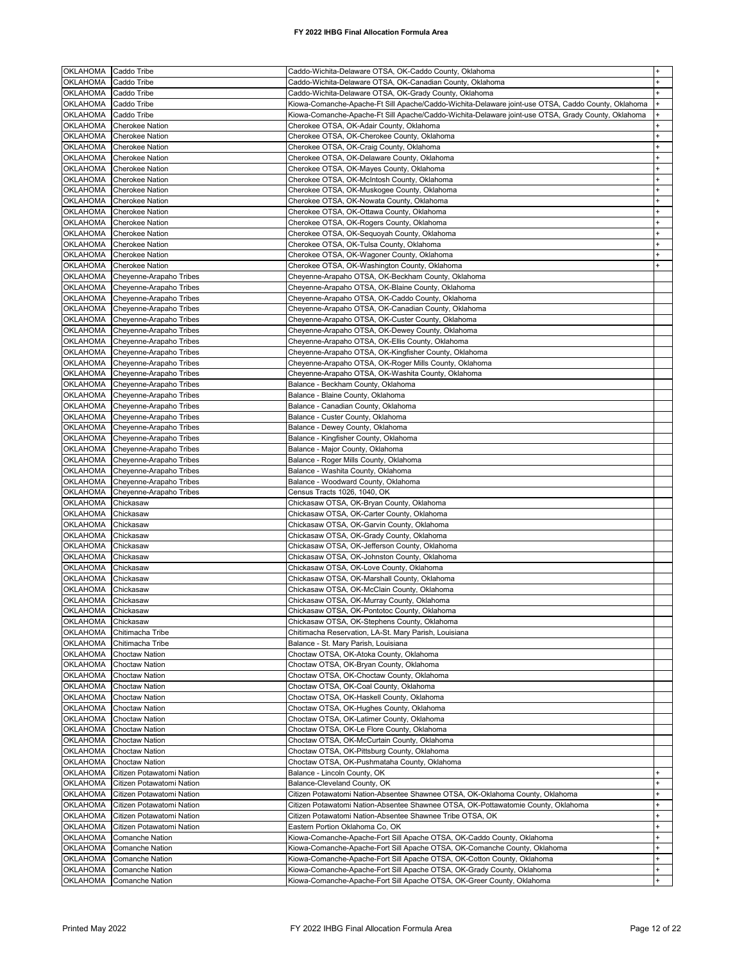| OKLAHOMA           | Caddo Tribe               | Caddo-Wichita-Delaware OTSA, OK-Caddo County, Oklahoma                                             |           |
|--------------------|---------------------------|----------------------------------------------------------------------------------------------------|-----------|
|                    |                           |                                                                                                    |           |
| <b>OKLAHOMA</b>    | Caddo Tribe               | Caddo-Wichita-Delaware OTSA, OK-Canadian County, Oklahoma                                          |           |
| <b>OKLAHOMA</b>    | Caddo Tribe               | Caddo-Wichita-Delaware OTSA, OK-Grady County, Oklahoma                                             |           |
| OKLAHOMA           | Caddo Tribe               | Kiowa-Comanche-Apache-Ft Sill Apache/Caddo-Wichita-Delaware joint-use OTSA, Caddo County, Oklahoma |           |
| OKLAHOMA           | Caddo Tribe               | Kiowa-Comanche-Apache-Ft Sill Apache/Caddo-Wichita-Delaware joint-use OTSA, Grady County, Oklahoma |           |
| OKLAHOMA           | <b>Cherokee Nation</b>    | Cherokee OTSA, OK-Adair County, Oklahoma                                                           |           |
| <b>OKLAHOMA</b>    | <b>Cherokee Nation</b>    | Cherokee OTSA, OK-Cherokee County, Oklahoma                                                        |           |
| OKLAHOMA           | <b>Cherokee Nation</b>    | Cherokee OTSA, OK-Craig County, Oklahoma                                                           |           |
| <b>OKLAHOMA</b>    | <b>Cherokee Nation</b>    | Cherokee OTSA, OK-Delaware County, Oklahoma                                                        | $\ddot{}$ |
| OKLAHOMA           | <b>Cherokee Nation</b>    | Cherokee OTSA, OK-Mayes County, Oklahoma                                                           |           |
| OKLAHOMA           | <b>Cherokee Nation</b>    | Cherokee OTSA, OK-McIntosh County, Oklahoma                                                        |           |
| OKLAHOMA           | <b>Cherokee Nation</b>    | Cherokee OTSA, OK-Muskogee County, Oklahoma                                                        |           |
| OKLAHOMA           | <b>Cherokee Nation</b>    | Cherokee OTSA, OK-Nowata County, Oklahoma                                                          |           |
| OKLAHOMA           | <b>Cherokee Nation</b>    | Cherokee OTSA, OK-Ottawa County, Oklahoma                                                          |           |
| <b>OKLAHOMA</b>    | <b>Cherokee Nation</b>    | Cherokee OTSA, OK-Rogers County, Oklahoma                                                          |           |
| OKLAHOMA           | <b>Cherokee Nation</b>    | Cherokee OTSA, OK-Seguoyah County, Oklahoma                                                        |           |
| OKLAHOMA           | <b>Cherokee Nation</b>    | Cherokee OTSA, OK-Tulsa County, Oklahoma                                                           |           |
| OKLAHOMA           | <b>Cherokee Nation</b>    | Cherokee OTSA, OK-Wagoner County, Oklahoma                                                         |           |
| OKLAHOMA           | <b>Cherokee Nation</b>    | Cherokee OTSA, OK-Washington County, Oklahoma                                                      |           |
| OKLAHOMA           | Cheyenne-Arapaho Tribes   | Cheyenne-Arapaho OTSA, OK-Beckham County, Oklahoma                                                 |           |
| <b>OKLAHOMA</b>    | Cheyenne-Arapaho Tribes   | Cheyenne-Arapaho OTSA, OK-Blaine County, Oklahoma                                                  |           |
| OKLAHOMA           | Cheyenne-Arapaho Tribes   | Cheyenne-Arapaho OTSA, OK-Caddo County, Oklahoma                                                   |           |
| OKLAHOMA           | Cheyenne-Arapaho Tribes   |                                                                                                    |           |
| <b>OKLAHOMA</b>    |                           | Cheyenne-Arapaho OTSA, OK-Canadian County, Oklahoma                                                |           |
| <b>OKLAHOMA</b>    | Cheyenne-Arapaho Tribes   | Cheyenne-Arapaho OTSA, OK-Custer County, Oklahoma                                                  |           |
|                    | Cheyenne-Arapaho Tribes   | Cheyenne-Arapaho OTSA, OK-Dewey County, Oklahoma                                                   |           |
| <b>OKLAHOMA</b>    | Chevenne-Arapaho Tribes   | Cheyenne-Arapaho OTSA, OK-Ellis County, Oklahoma                                                   |           |
| <b>OKLAHOMA</b>    | Cheyenne-Arapaho Tribes   | Cheyenne-Arapaho OTSA, OK-Kingfisher County, Oklahoma                                              |           |
| <b>OKLAHOMA</b>    | Cheyenne-Arapaho Tribes   | Cheyenne-Arapaho OTSA, OK-Roger Mills County, Oklahoma                                             |           |
| OKLAHOMA           | Cheyenne-Arapaho Tribes   | Cheyenne-Arapaho OTSA, OK-Washita County, Oklahoma                                                 |           |
| <b>OKLAHOMA</b>    | Cheyenne-Arapaho Tribes   | Balance - Beckham County, Oklahoma                                                                 |           |
| <b>OKLAHOMA</b>    | Cheyenne-Arapaho Tribes   | Balance - Blaine County, Oklahoma                                                                  |           |
| <b>OKLAHOMA</b>    | Cheyenne-Arapaho Tribes   | Balance - Canadian County, Oklahoma                                                                |           |
| OKLAHOMA           | Cheyenne-Arapaho Tribes   | Balance - Custer County, Oklahoma                                                                  |           |
| <b>OKLAHOMA</b>    | Cheyenne-Arapaho Tribes   | Balance - Dewey County, Oklahoma                                                                   |           |
| OKLAHOMA           | Cheyenne-Arapaho Tribes   | Balance - Kingfisher County, Oklahoma                                                              |           |
| OKLAHOMA           | Cheyenne-Arapaho Tribes   | Balance - Major County, Oklahoma                                                                   |           |
| OKLAHOMA           | Cheyenne-Arapaho Tribes   | Balance - Roger Mills County, Oklahoma                                                             |           |
| OKLAHOMA           | Cheyenne-Arapaho Tribes   | Balance - Washita County, Oklahoma                                                                 |           |
| OKLAHOMA           | Cheyenne-Arapaho Tribes   | Balance - Woodward County, Oklahoma                                                                |           |
| <b>OKLAHOMA</b>    | Cheyenne-Arapaho Tribes   | Census Tracts 1026, 1040, OK                                                                       |           |
| OKLAHOMA           | Chickasaw                 | Chickasaw OTSA, OK-Bryan County, Oklahoma                                                          |           |
| OKLAHOMA           | Chickasaw                 | Chickasaw OTSA, OK-Carter County, Oklahoma                                                         |           |
| OKLAHOMA           | Chickasaw                 | Chickasaw OTSA, OK-Garvin County, Oklahoma                                                         |           |
| OKLAHOMA           | Chickasaw                 | Chickasaw OTSA, OK-Grady County, Oklahoma                                                          |           |
| OKLAHOMA           | Chickasaw                 | Chickasaw OTSA, OK-Jefferson County, Oklahoma                                                      |           |
| OKLAHOMA           | Chickasaw                 | Chickasaw OTSA, OK-Johnston County, Oklahoma                                                       |           |
| OKLAHOMA           | Chickasaw                 | Chickasaw OTSA, OK-Love County, Oklahoma                                                           |           |
| OKLAHOMA           | Chickasaw                 | Chickasaw OTSA, OK-Marshall County, Oklahoma                                                       |           |
| <b>OKLAHOMA</b>    | Chickasaw                 | Chickasaw OTSA, OK-McClain County, Oklahoma                                                        |           |
| OKLAHOMA           | Chickasaw                 | Chickasaw OTSA, OK-Murray County, Oklahoma                                                         |           |
| OKLAHOMA Chickasaw |                           | Chickasaw OTSA, OK-Pontotoc County, Oklahoma                                                       |           |
| OKLAHOMA           | Chickasaw                 | Chickasaw OTSA, OK-Stephens County, Oklahoma                                                       |           |
| OKLAHOMA           | Chitimacha Tribe          | Chitimacha Reservation, LA-St. Mary Parish, Louisiana                                              |           |
| OKLAHOMA           | Chitimacha Tribe          | Balance - St. Mary Parish, Louisiana                                                               |           |
| OKLAHOMA           | <b>Choctaw Nation</b>     | Choctaw OTSA, OK-Atoka County, Oklahoma                                                            |           |
| OKLAHOMA           | <b>Choctaw Nation</b>     | Choctaw OTSA, OK-Bryan County, Oklahoma                                                            |           |
| OKLAHOMA           | <b>Choctaw Nation</b>     | Choctaw OTSA, OK-Choctaw County, Oklahoma                                                          |           |
| OKLAHOMA           | <b>Choctaw Nation</b>     | Choctaw OTSA, OK-Coal County, Oklahoma                                                             |           |
| OKLAHOMA           | <b>Choctaw Nation</b>     | Choctaw OTSA, OK-Haskell County, Oklahoma                                                          |           |
| OKLAHOMA           | <b>Choctaw Nation</b>     | Choctaw OTSA, OK-Hughes County, Oklahoma                                                           |           |
| OKLAHOMA           | <b>Choctaw Nation</b>     | Choctaw OTSA, OK-Latimer County, Oklahoma                                                          |           |
| OKLAHOMA           | <b>Choctaw Nation</b>     | Choctaw OTSA, OK-Le Flore County, Oklahoma                                                         |           |
| OKLAHOMA           | <b>Choctaw Nation</b>     | Choctaw OTSA, OK-McCurtain County, Oklahoma                                                        |           |
| OKLAHOMA           | <b>Choctaw Nation</b>     | Choctaw OTSA, OK-Pittsburg County, Oklahoma                                                        |           |
| OKLAHOMA           | <b>Choctaw Nation</b>     | Choctaw OTSA, OK-Pushmataha County, Oklahoma                                                       |           |
| OKLAHOMA           | Citizen Potawatomi Nation | Balance - Lincoln County, OK                                                                       |           |
| OKLAHOMA           | Citizen Potawatomi Nation | Balance-Cleveland County, OK                                                                       |           |
| OKLAHOMA           | Citizen Potawatomi Nation | Citizen Potawatomi Nation-Absentee Shawnee OTSA, OK-Oklahoma County, Oklahoma                      |           |
| OKLAHOMA           | Citizen Potawatomi Nation | Citizen Potawatomi Nation-Absentee Shawnee OTSA, OK-Pottawatomie County, Oklahoma                  | ÷         |
| OKLAHOMA           | Citizen Potawatomi Nation | Citizen Potawatomi Nation-Absentee Shawnee Tribe OTSA, OK                                          |           |
| OKLAHOMA           | Citizen Potawatomi Nation | Eastern Portion Oklahoma Co, OK                                                                    |           |
| OKLAHOMA           | Comanche Nation           | Kiowa-Comanche-Apache-Fort Sill Apache OTSA, OK-Caddo County, Oklahoma                             |           |
| OKLAHOMA           | <b>Comanche Nation</b>    | Kiowa-Comanche-Apache-Fort Sill Apache OTSA, OK-Comanche County, Oklahoma                          |           |
| OKLAHOMA           | Comanche Nation           | Kiowa-Comanche-Apache-Fort Sill Apache OTSA, OK-Cotton County, Oklahoma                            |           |
| OKLAHOMA           | Comanche Nation           | Kiowa-Comanche-Apache-Fort Sill Apache OTSA, OK-Grady County, Oklahoma                             |           |
| OKLAHOMA           | <b>Comanche Nation</b>    | Kiowa-Comanche-Apache-Fort Sill Apache OTSA, OK-Greer County, Oklahoma                             |           |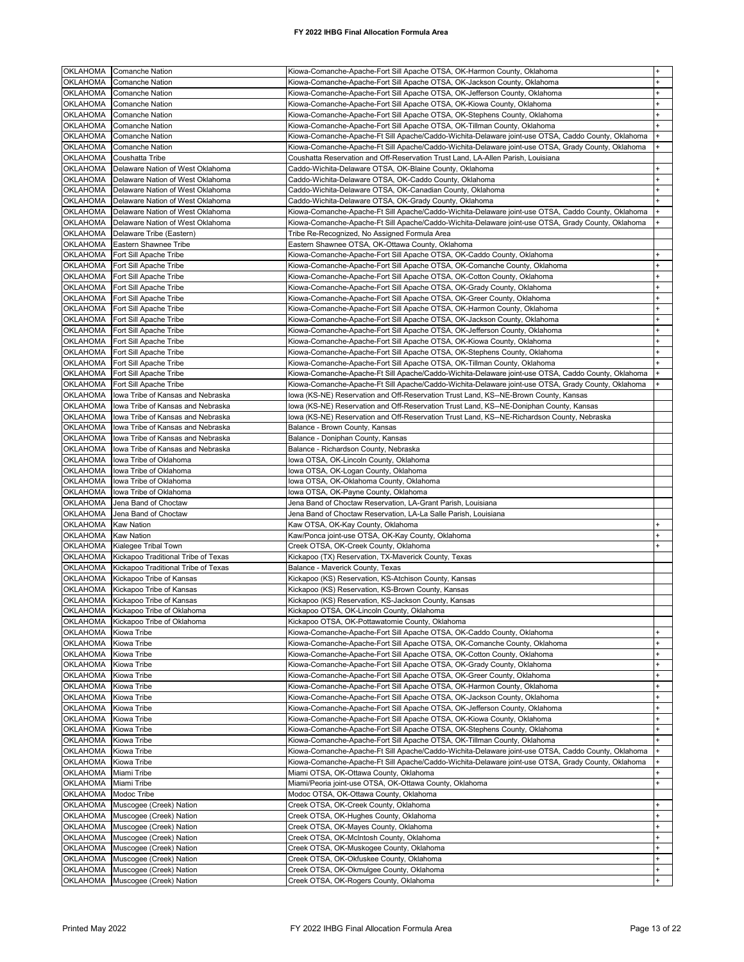| <b>OKLAHOMA</b> | Comanche Nation                     | Kiowa-Comanche-Apache-Fort Sill Apache OTSA, OK-Harmon County, Oklahoma                            | +         |
|-----------------|-------------------------------------|----------------------------------------------------------------------------------------------------|-----------|
| <b>OKLAHOMA</b> |                                     |                                                                                                    | $\ddot{}$ |
|                 | Comanche Nation                     | Kiowa-Comanche-Apache-Fort Sill Apache OTSA, OK-Jackson County, Oklahoma                           |           |
| <b>OKLAHOMA</b> | <b>Comanche Nation</b>              | Kiowa-Comanche-Apache-Fort Sill Apache OTSA, OK-Jefferson County, Oklahoma                         |           |
| <b>OKLAHOMA</b> | Comanche Nation                     | Kiowa-Comanche-Apache-Fort Sill Apache OTSA, OK-Kiowa County, Oklahoma                             | $\ddot{}$ |
| <b>OKLAHOMA</b> | Comanche Nation                     | Kiowa-Comanche-Apache-Fort Sill Apache OTSA, OK-Stephens County, Oklahoma                          |           |
| <b>OKLAHOMA</b> | Comanche Nation                     | Kiowa-Comanche-Apache-Fort Sill Apache OTSA, OK-Tillman County, Oklahoma                           |           |
| OKLAHOMA        | <b>Comanche Nation</b>              | Kiowa-Comanche-Apache-Ft Sill Apache/Caddo-Wichita-Delaware joint-use OTSA, Caddo County, Oklahoma |           |
| <b>OKLAHOMA</b> | Comanche Nation                     | Kiowa-Comanche-Apache-Ft Sill Apache/Caddo-Wichita-Delaware joint-use OTSA, Grady County, Oklahoma |           |
| <b>OKLAHOMA</b> | Coushatta Tribe                     | Coushatta Reservation and Off-Reservation Trust Land, LA-Allen Parish, Louisiana                   |           |
| <b>OKLAHOMA</b> | Delaware Nation of West Oklahoma    |                                                                                                    |           |
|                 |                                     | Caddo-Wichita-Delaware OTSA, OK-Blaine County, Oklahoma                                            |           |
| OKLAHOMA        | Delaware Nation of West Oklahoma    | Caddo-Wichita-Delaware OTSA, OK-Caddo County, Oklahoma                                             |           |
| OKLAHOMA        | Delaware Nation of West Oklahoma    | Caddo-Wichita-Delaware OTSA, OK-Canadian County, Oklahoma                                          |           |
| <b>OKLAHOMA</b> | Delaware Nation of West Oklahoma    | Caddo-Wichita-Delaware OTSA, OK-Grady County, Oklahoma                                             |           |
| <b>OKLAHOMA</b> | Delaware Nation of West Oklahoma    | Kiowa-Comanche-Apache-Ft Sill Apache/Caddo-Wichita-Delaware joint-use OTSA, Caddo County, Oklahoma |           |
| <b>OKLAHOMA</b> | Delaware Nation of West Oklahoma    | Kiowa-Comanche-Apache-Ft Sill Apache/Caddo-Wichita-Delaware joint-use OTSA, Grady County, Oklahoma |           |
| <b>OKLAHOMA</b> | Delaware Tribe (Eastern)            | Tribe Re-Recognized, No Assigned Formula Area                                                      |           |
| <b>OKLAHOMA</b> | Eastern Shawnee Tribe               | Eastern Shawnee OTSA, OK-Ottawa County, Oklahoma                                                   |           |
| <b>OKLAHOMA</b> | Fort Sill Apache Tribe              | Kiowa-Comanche-Apache-Fort Sill Apache OTSA, OK-Caddo County, Oklahoma                             |           |
| OKLAHOMA        | Fort Sill Apache Tribe              | Kiowa-Comanche-Apache-Fort Sill Apache OTSA, OK-Comanche County, Oklahoma                          |           |
|                 |                                     |                                                                                                    |           |
| OKLAHOMA        | Fort Sill Apache Tribe              | Kiowa-Comanche-Apache-Fort Sill Apache OTSA, OK-Cotton County, Oklahoma                            |           |
| <b>OKLAHOMA</b> | Fort Sill Apache Tribe              | Kiowa-Comanche-Apache-Fort Sill Apache OTSA, OK-Grady County, Oklahoma                             |           |
| OKLAHOMA        | Fort Sill Apache Tribe              | Kiowa-Comanche-Apache-Fort Sill Apache OTSA, OK-Greer County, Oklahoma                             |           |
| OKLAHOMA        | Fort Sill Apache Tribe              | Kiowa-Comanche-Apache-Fort Sill Apache OTSA, OK-Harmon County, Oklahoma                            |           |
| OKLAHOMA        | Fort Sill Apache Tribe              | Kiowa-Comanche-Apache-Fort Sill Apache OTSA, OK-Jackson County, Oklahoma                           |           |
| <b>OKLAHOMA</b> | Fort Sill Apache Tribe              | Kiowa-Comanche-Apache-Fort Sill Apache OTSA, OK-Jefferson County, Oklahoma                         |           |
| OKLAHOMA        | Fort Sill Apache Tribe              | Kiowa-Comanche-Apache-Fort Sill Apache OTSA, OK-Kiowa County, Oklahoma                             | +         |
| <b>OKLAHOMA</b> | Fort Sill Apache Tribe              | Kiowa-Comanche-Apache-Fort Sill Apache OTSA, OK-Stephens County, Oklahoma                          | +         |
| <b>OKLAHOMA</b> | Fort Sill Apache Tribe              | Kiowa-Comanche-Apache-Fort Sill Apache OTSA, OK-Tillman County, Oklahoma                           |           |
| <b>OKLAHOMA</b> | Fort Sill Apache Tribe              | Kiowa-Comanche-Apache-Ft Sill Apache/Caddo-Wichita-Delaware joint-use OTSA, Caddo County, Oklahoma |           |
| <b>OKLAHOMA</b> | Fort Sill Apache Tribe              | Kiowa-Comanche-Apache-Ft Sill Apache/Caddo-Wichita-Delaware joint-use OTSA, Grady County, Oklahoma |           |
|                 |                                     |                                                                                                    |           |
| OKLAHOMA        | lowa Tribe of Kansas and Nebraska   | lowa (KS-NE) Reservation and Off-Reservation Trust Land, KS--NE-Brown County, Kansas               |           |
| <b>OKLAHOMA</b> | lowa Tribe of Kansas and Nebraska   | lowa (KS-NE) Reservation and Off-Reservation Trust Land, KS--NE-Doniphan County, Kansas            |           |
| <b>OKLAHOMA</b> | lowa Tribe of Kansas and Nebraska   | lowa (KS-NE) Reservation and Off-Reservation Trust Land, KS--NE-Richardson County, Nebraska        |           |
| OKLAHOMA        | lowa Tribe of Kansas and Nebraska   | Balance - Brown County, Kansas                                                                     |           |
| <b>OKLAHOMA</b> | Iowa Tribe of Kansas and Nebraska   | Balance - Doniphan County, Kansas                                                                  |           |
| OKLAHOMA        | lowa Tribe of Kansas and Nebraska   | Balance - Richardson County, Nebraska                                                              |           |
| <b>OKLAHOMA</b> | lowa Tribe of Oklahoma              | Iowa OTSA, OK-Lincoln County, Oklahoma                                                             |           |
| <b>OKLAHOMA</b> | Iowa Tribe of Oklahoma              | Iowa OTSA, OK-Logan County, Oklahoma                                                               |           |
| <b>OKLAHOMA</b> | lowa Tribe of Oklahoma              | Iowa OTSA, OK-Oklahoma County, Oklahoma                                                            |           |
| <b>OKLAHOMA</b> | lowa Tribe of Oklahoma              | lowa OTSA, OK-Payne County, Oklahoma                                                               |           |
| <b>OKLAHOMA</b> |                                     | Jena Band of Choctaw Reservation, LA-Grant Parish, Louisiana                                       |           |
|                 | Jena Band of Choctaw                |                                                                                                    |           |
| <b>OKLAHOMA</b> | Jena Band of Choctaw                | Jena Band of Choctaw Reservation, LA-La Salle Parish, Louisiana                                    |           |
| <b>OKLAHOMA</b> | <b>Kaw Nation</b>                   | Kaw OTSA, OK-Kay County, Oklahoma                                                                  |           |
| <b>OKLAHOMA</b> | <b>Kaw Nation</b>                   | Kaw/Ponca joint-use OTSA, OK-Kay County, Oklahoma                                                  |           |
| <b>OKLAHOMA</b> | Kialegee Tribal Town                | Creek OTSA, OK-Creek County, Oklahoma                                                              |           |
| <b>OKLAHOMA</b> | Kickapoo Traditional Tribe of Texas | Kickapoo (TX) Reservation, TX-Maverick County, Texas                                               |           |
| OKLAHOMA        | Kickapoo Traditional Tribe of Texas | Balance - Maverick County, Texas                                                                   |           |
| OKLAHOMA        | Kickapoo Tribe of Kansas            | Kickapoo (KS) Reservation, KS-Atchison County, Kansas                                              |           |
| OKLAHOMA        | Kickapoo Tribe of Kansas            | Kickapoo (KS) Reservation, KS-Brown County, Kansas                                                 |           |
| <b>OKLAHOMA</b> | Kickapoo Tribe of Kansas            | Kickapoo (KS) Reservation, KS-Jackson County, Kansas                                               |           |
|                 | OKLAHOMA Kickapoo Tribe of Oklahoma | Kickapoo OTSA, OK-Lincoln County, Oklahoma                                                         |           |
| OKLAHOMA        | Kickapoo Tribe of Oklahoma          | Kickapoo OTSA, OK-Pottawatomie County, Oklahoma                                                    |           |
|                 |                                     |                                                                                                    |           |
| OKLAHOMA        | Kiowa Tribe                         | Kiowa-Comanche-Apache-Fort Sill Apache OTSA, OK-Caddo County, Oklahoma                             |           |
| OKLAHOMA        | Kiowa Tribe                         | Kiowa-Comanche-Apache-Fort Sill Apache OTSA, OK-Comanche County, Oklahoma                          | $\ddot{}$ |
| <b>OKLAHOMA</b> | Kiowa Tribe                         | Kiowa-Comanche-Apache-Fort Sill Apache OTSA, OK-Cotton County, Oklahoma                            |           |
| OKLAHOMA        | Kiowa Tribe                         | Kiowa-Comanche-Apache-Fort Sill Apache OTSA, OK-Grady County, Oklahoma                             |           |
| <b>OKLAHOMA</b> | Kiowa Tribe                         | Kiowa-Comanche-Apache-Fort Sill Apache OTSA, OK-Greer County, Oklahoma                             |           |
| <b>OKLAHOMA</b> | Kiowa Tribe                         | Kiowa-Comanche-Apache-Fort Sill Apache OTSA, OK-Harmon County, Oklahoma                            |           |
| <b>OKLAHOMA</b> | Kiowa Tribe                         | Kiowa-Comanche-Apache-Fort Sill Apache OTSA, OK-Jackson County, Oklahoma                           |           |
| <b>OKLAHOMA</b> | Kiowa Tribe                         | Kiowa-Comanche-Apache-Fort Sill Apache OTSA, OK-Jefferson County, Oklahoma                         |           |
| <b>OKLAHOMA</b> | Kiowa Tribe                         | Kiowa-Comanche-Apache-Fort Sill Apache OTSA, OK-Kiowa County, Oklahoma                             |           |
| <b>OKLAHOMA</b> | Kiowa Tribe                         | Kiowa-Comanche-Apache-Fort Sill Apache OTSA, OK-Stephens County, Oklahoma                          |           |
| <b>OKLAHOMA</b> | Kiowa Tribe                         | Kiowa-Comanche-Apache-Fort Sill Apache OTSA, OK-Tillman County, Oklahoma                           |           |
| <b>OKLAHOMA</b> | Kiowa Tribe                         | Kiowa-Comanche-Apache-Ft Sill Apache/Caddo-Wichita-Delaware joint-use OTSA, Caddo County, Oklahoma |           |
| <b>OKLAHOMA</b> | Kiowa Tribe                         | Kiowa-Comanche-Apache-Ft Sill Apache/Caddo-Wichita-Delaware joint-use OTSA, Grady County, Oklahoma |           |
|                 |                                     |                                                                                                    |           |
| <b>OKLAHOMA</b> | Miami Tribe                         | Miami OTSA, OK-Ottawa County, Oklahoma                                                             |           |
| <b>OKLAHOMA</b> | Miami Tribe                         | Miami/Peoria joint-use OTSA, OK-Ottawa County, Oklahoma                                            |           |
| <b>OKLAHOMA</b> | Modoc Tribe                         | Modoc OTSA, OK-Ottawa County, Oklahoma                                                             |           |
| OKLAHOMA        | Muscogee (Creek) Nation             | Creek OTSA, OK-Creek County, Oklahoma                                                              |           |
| OKLAHOMA        | Muscogee (Creek) Nation             | Creek OTSA, OK-Hughes County, Oklahoma                                                             |           |
| <b>OKLAHOMA</b> | Muscogee (Creek) Nation             | Creek OTSA, OK-Mayes County, Oklahoma                                                              |           |
| OKLAHOMA        | Muscogee (Creek) Nation             | Creek OTSA, OK-McIntosh County, Oklahoma                                                           |           |
| OKLAHOMA        | Muscogee (Creek) Nation             | Creek OTSA, OK-Muskogee County, Oklahoma                                                           |           |
| OKLAHOMA        | Muscogee (Creek) Nation             | Creek OTSA, OK-Okfuskee County, Oklahoma                                                           |           |
| OKLAHOMA        | Muscogee (Creek) Nation             | Creek OTSA, OK-Okmulgee County, Oklahoma                                                           | $\ddot{}$ |
| OKLAHOMA        | Muscogee (Creek) Nation             | Creek OTSA, OK-Rogers County, Oklahoma                                                             |           |
|                 |                                     |                                                                                                    |           |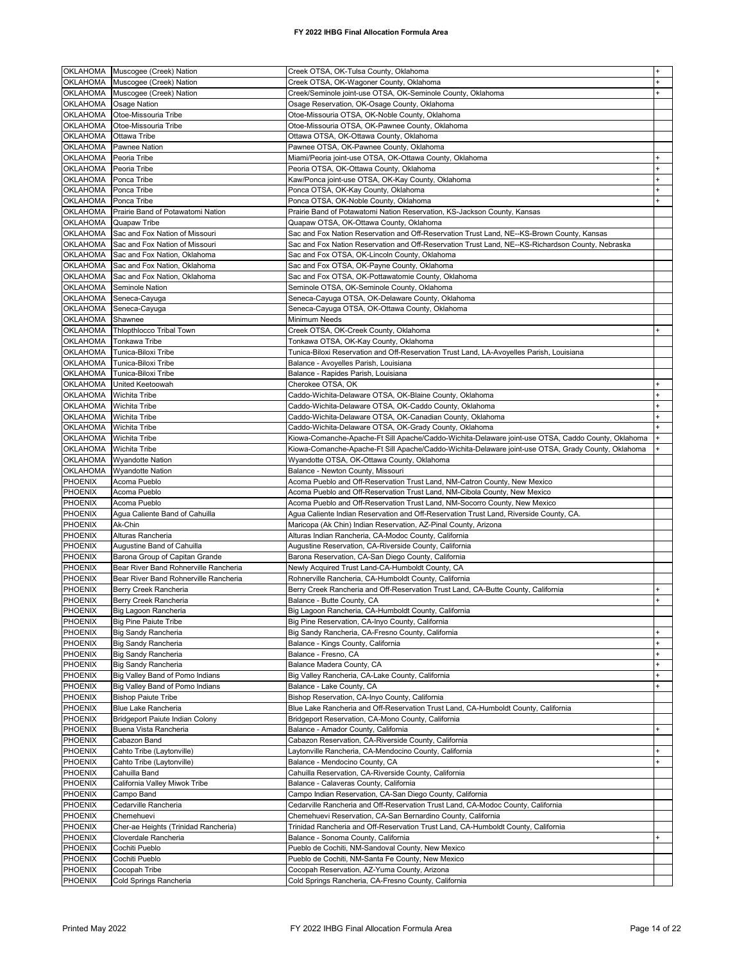|                       | OKLAHOMA Muscogee (Creek) Nation        | Creek OTSA, OK-Tulsa County, Oklahoma                                                              |  |
|-----------------------|-----------------------------------------|----------------------------------------------------------------------------------------------------|--|
|                       |                                         |                                                                                                    |  |
| <b>OKLAHOMA</b>       | Muscogee (Creek) Nation                 | Creek OTSA, OK-Wagoner County, Oklahoma                                                            |  |
| OKLAHOMA              | Muscogee (Creek) Nation                 | Creek/Seminole joint-use OTSA, OK-Seminole County, Oklahoma                                        |  |
| OKLAHOMA Osage Nation |                                         | Osage Reservation, OK-Osage County, Oklahoma                                                       |  |
| OKLAHOMA              | Otoe-Missouria Tribe                    | Otoe-Missouria OTSA, OK-Noble County, Oklahoma                                                     |  |
| <b>OKLAHOMA</b>       | Otoe-Missouria Tribe                    | Otoe-Missouria OTSA, OK-Pawnee County, Oklahoma                                                    |  |
| <b>OKLAHOMA</b>       | Ottawa Tribe                            | Ottawa OTSA, OK-Ottawa County, Oklahoma                                                            |  |
| OKLAHOMA              | <b>Pawnee Nation</b>                    | Pawnee OTSA, OK-Pawnee County, Oklahoma                                                            |  |
| OKLAHOMA              | Peoria Tribe                            | Miami/Peoria joint-use OTSA, OK-Ottawa County, Oklahoma                                            |  |
| <b>OKLAHOMA</b>       | Peoria Tribe                            | Peoria OTSA, OK-Ottawa County, Oklahoma                                                            |  |
| <b>OKLAHOMA</b>       | Ponca Tribe                             | Kaw/Ponca joint-use OTSA, OK-Kay County, Oklahoma                                                  |  |
| <b>OKLAHOMA</b>       | Ponca Tribe                             | Ponca OTSA, OK-Kay County, Oklahoma                                                                |  |
| <b>OKLAHOMA</b>       | Ponca Tribe                             | Ponca OTSA, OK-Noble County, Oklahoma                                                              |  |
| OKLAHOMA              | Prairie Band of Potawatomi Nation       | Prairie Band of Potawatomi Nation Reservation, KS-Jackson County, Kansas                           |  |
| OKLAHOMA Quapaw Tribe |                                         | Quapaw OTSA, OK-Ottawa County, Oklahoma                                                            |  |
|                       | OKLAHOMA Sac and Fox Nation of Missouri | Sac and Fox Nation Reservation and Off-Reservation Trust Land, NE--KS-Brown County, Kansas         |  |
|                       | OKLAHOMA Sac and Fox Nation of Missouri | Sac and Fox Nation Reservation and Off-Reservation Trust Land, NE--KS-Richardson County, Nebraska  |  |
| <b>OKLAHOMA</b>       | Sac and Fox Nation, Oklahoma            | Sac and Fox OTSA, OK-Lincoln County, Oklahoma                                                      |  |
|                       | OKLAHOMA Sac and Fox Nation, Oklahoma   | Sac and Fox OTSA, OK-Payne County, Oklahoma                                                        |  |
|                       | OKLAHOMA Sac and Fox Nation, Oklahoma   | Sac and Fox OTSA, OK-Pottawatomie County, Oklahoma                                                 |  |
| OKLAHOMA              | Seminole Nation                         | Seminole OTSA, OK-Seminole County, Oklahoma                                                        |  |
| <b>OKLAHOMA</b>       |                                         |                                                                                                    |  |
|                       | Seneca-Cayuga                           | Seneca-Cayuga OTSA, OK-Delaware County, Oklahoma                                                   |  |
| <b>OKLAHOMA</b>       | Seneca-Cayuga                           | Seneca-Cayuga OTSA, OK-Ottawa County, Oklahoma                                                     |  |
| <b>OKLAHOMA</b>       | Shawnee                                 | <b>Minimum Needs</b>                                                                               |  |
| <b>OKLAHOMA</b>       | <b>Thiopthiocco Tribal Town</b>         | Creek OTSA, OK-Creek County, Oklahoma                                                              |  |
| <b>OKLAHOMA</b>       | <b>Tonkawa Tribe</b>                    | Tonkawa OTSA, OK-Kay County, Oklahoma                                                              |  |
| <b>OKLAHOMA</b>       | Tunica-Biloxi Tribe                     | Tunica-Biloxi Reservation and Off-Reservation Trust Land, LA-Avoyelles Parish, Louisiana           |  |
| OKLAHOMA              | Tunica-Biloxi Tribe                     | Balance - Avoyelles Parish, Louisiana                                                              |  |
| <b>OKLAHOMA</b>       | Tunica-Biloxi Tribe                     | Balance - Rapides Parish, Louisiana                                                                |  |
| OKLAHOMA              | United Keetoowah                        | Cherokee OTSA, OK                                                                                  |  |
| <b>OKLAHOMA</b>       | <b>Wichita Tribe</b>                    | Caddo-Wichita-Delaware OTSA, OK-Blaine County, Oklahoma                                            |  |
| <b>OKLAHOMA</b>       | <b>Wichita Tribe</b>                    | Caddo-Wichita-Delaware OTSA, OK-Caddo County, Oklahoma                                             |  |
| OKLAHOMA              | <b>Wichita Tribe</b>                    | Caddo-Wichita-Delaware OTSA, OK-Canadian County, Oklahoma                                          |  |
| <b>OKLAHOMA</b>       | <b>Wichita Tribe</b>                    | Caddo-Wichita-Delaware OTSA, OK-Grady County, Oklahoma                                             |  |
| OKLAHOMA              | <b>Wichita Tribe</b>                    | Kiowa-Comanche-Apache-Ft Sill Apache/Caddo-Wichita-Delaware joint-use OTSA, Caddo County, Oklahoma |  |
| <b>OKLAHOMA</b>       | <b>Wichita Tribe</b>                    | Kiowa-Comanche-Apache-Ft Sill Apache/Caddo-Wichita-Delaware joint-use OTSA, Grady County, Oklahoma |  |
| <b>OKLAHOMA</b>       | <b>Wyandotte Nation</b>                 | Wyandotte OTSA, OK-Ottawa County, Oklahoma                                                         |  |
| <b>OKLAHOMA</b>       | <b>Wyandotte Nation</b>                 | Balance - Newton County, Missouri                                                                  |  |
| <b>PHOENIX</b>        | Acoma Pueblo                            | Acoma Pueblo and Off-Reservation Trust Land, NM-Catron County, New Mexico                          |  |
| <b>PHOENIX</b>        | Acoma Pueblo                            | Acoma Pueblo and Off-Reservation Trust Land, NM-Cibola County, New Mexico                          |  |
| PHOENIX               | Acoma Pueblo                            | Acoma Pueblo and Off-Reservation Trust Land, NM-Socorro County, New Mexico                         |  |
| <b>PHOENIX</b>        | Agua Caliente Band of Cahuilla          | Agua Caliente Indian Reservation and Off-Reservation Trust Land, Riverside County, CA.             |  |
| PHOENIX               | Ak-Chin                                 | Maricopa (Ak Chin) Indian Reservation, AZ-Pinal County, Arizona                                    |  |
| <b>PHOENIX</b>        | Alturas Rancheria                       | Alturas Indian Rancheria, CA-Modoc County, California                                              |  |
| <b>PHOENIX</b>        | Augustine Band of Cahuilla              | Augustine Reservation, CA-Riverside County, California                                             |  |
| <b>PHOENIX</b>        | Barona Group of Capitan Grande          | Barona Reservation, CA-San Diego County, California                                                |  |
| <b>PHOENIX</b>        | Bear River Band Rohnerville Rancheria   | Newly Acquired Trust Land-CA-Humboldt County, CA                                                   |  |
| PHOENIX               | Bear River Band Rohnerville Rancheria   | Rohnerville Rancheria, CA-Humboldt County, California                                              |  |
| <b>PHOENIX</b>        | Berry Creek Rancheria                   | Berry Creek Rancheria and Off-Reservation Trust Land, CA-Butte County, California                  |  |
| <b>PHOENIX</b>        | Berry Creek Rancheria                   | Balance - Butte County, CA                                                                         |  |
| <b>PHOENIX</b>        | Big Lagoon Rancheria                    | Big Lagoon Rancheria, CA-Humboldt County, California                                               |  |
| <b>PHOENIX</b>        | <b>Big Pine Paiute Tribe</b>            | Big Pine Reservation, CA-Inyo County, California                                                   |  |
| PHOENIX               | <b>Big Sandy Rancheria</b>              | Big Sandy Rancheria, CA-Fresno County, California                                                  |  |
| PHOENIX               | <b>Big Sandy Rancheria</b>              | Balance - Kings County, California                                                                 |  |
| PHOENIX               | <b>Big Sandy Rancheria</b>              | Balance - Fresno, CA                                                                               |  |
| <b>PHOENIX</b>        | Big Sandy Rancheria                     | Balance Madera County, CA                                                                          |  |
| PHOENIX               | Big Valley Band of Pomo Indians         | Big Valley Rancheria, CA-Lake County, California                                                   |  |
| PHOENIX               | Big Valley Band of Pomo Indians         | Balance - Lake County, CA                                                                          |  |
| PHOENIX               | <b>Bishop Paiute Tribe</b>              | Bishop Reservation, CA-Inyo County, California                                                     |  |
| PHOENIX               | <b>Blue Lake Rancheria</b>              | Blue Lake Rancheria and Off-Reservation Trust Land, CA-Humboldt County, California                 |  |
| <b>PHOENIX</b>        | Bridgeport Paiute Indian Colony         | Bridgeport Reservation, CA-Mono County, California                                                 |  |
| PHOENIX               | Buena Vista Rancheria                   | Balance - Amador County, California                                                                |  |
| PHOENIX               | Cabazon Band                            | Cabazon Reservation, CA-Riverside County, California                                               |  |
| PHOENIX               |                                         |                                                                                                    |  |
|                       | Cahto Tribe (Laytonville)               | Laytonville Rancheria, CA-Mendocino County, California                                             |  |
| PHOENIX               | Cahto Tribe (Laytonville)               | Balance - Mendocino County, CA                                                                     |  |
| PHOENIX               | Cahuilla Band                           | Cahuilla Reservation, CA-Riverside County, California                                              |  |
| PHOENIX               | California Valley Miwok Tribe           | Balance - Calaveras County, California                                                             |  |
| <b>PHOENIX</b>        | Campo Band                              | Campo Indian Reservation, CA-San Diego County, California                                          |  |
| PHOENIX               | Cedarville Rancheria                    | Cedarville Rancheria and Off-Reservation Trust Land, CA-Modoc County, California                   |  |
| PHOENIX               | Chemehuevi                              | Chemehuevi Reservation, CA-San Bernardino County, California                                       |  |
| PHOENIX               | Cher-ae Heights (Trinidad Rancheria)    | Trinidad Rancheria and Off-Reservation Trust Land, CA-Humboldt County, California                  |  |
| PHOENIX               | Cloverdale Rancheria                    | Balance - Sonoma County, California                                                                |  |
| PHOENIX               | Cochiti Pueblo                          | Pueblo de Cochiti, NM-Sandoval County, New Mexico                                                  |  |
| PHOENIX               | Cochiti Pueblo                          | Pueblo de Cochiti, NM-Santa Fe County, New Mexico                                                  |  |
| <b>PHOENIX</b>        | Cocopah Tribe                           | Cocopah Reservation, AZ-Yuma County, Arizona                                                       |  |
| <b>PHOENIX</b>        | Cold Springs Rancheria                  | Cold Springs Rancheria, CA-Fresno County, California                                               |  |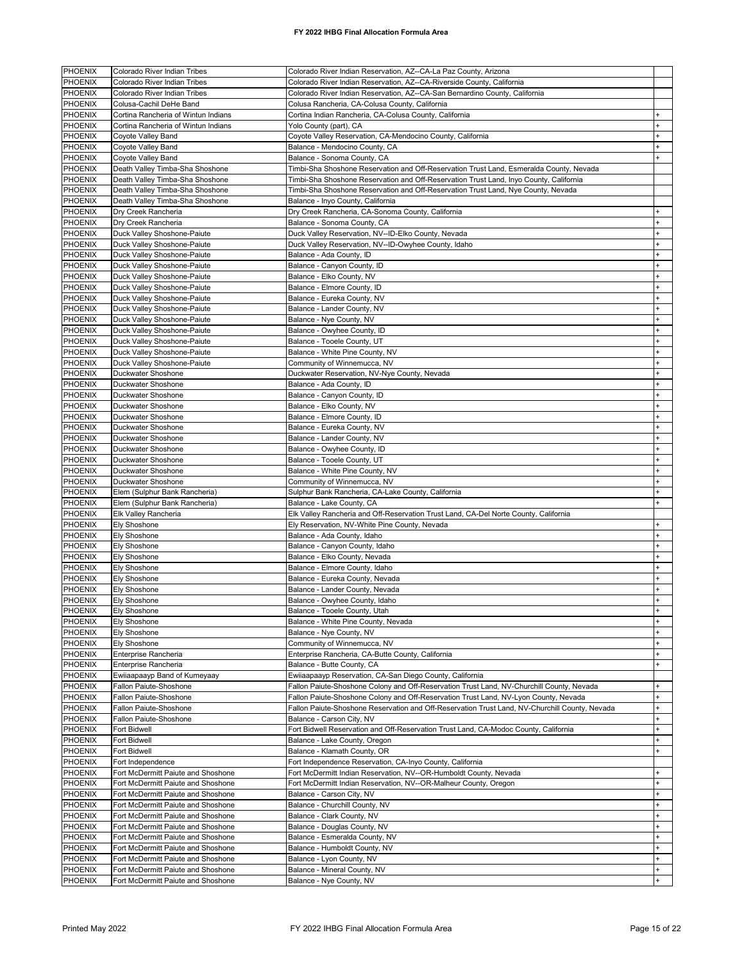| PHOENIX        | Colorado River Indian Tribes        | Colorado River Indian Reservation, AZ--CA-La Paz County, Arizona                               |           |
|----------------|-------------------------------------|------------------------------------------------------------------------------------------------|-----------|
| <b>PHOENIX</b> | Colorado River Indian Tribes        | Colorado River Indian Reservation, AZ--CA-Riverside County, California                         |           |
|                |                                     |                                                                                                |           |
| PHOENIX        | Colorado River Indian Tribes        | Colorado River Indian Reservation, AZ--CA-San Bernardino County, California                    |           |
| PHOENIX        | Colusa-Cachil DeHe Band             | Colusa Rancheria, CA-Colusa County, California                                                 |           |
| PHOENIX        | Cortina Rancheria of Wintun Indians | Cortina Indian Rancheria, CA-Colusa County, California                                         |           |
| PHOENIX        | Cortina Rancheria of Wintun Indians | Yolo County (part), CA                                                                         |           |
| <b>PHOENIX</b> | Coyote Valley Band                  | Coyote Valley Reservation, CA-Mendocino County, California                                     |           |
| PHOENIX        | Coyote Valley Band                  | Balance - Mendocino County, CA                                                                 |           |
| PHOENIX        | Coyote Valley Band                  | Balance - Sonoma County, CA                                                                    |           |
| PHOENIX        | Death Valley Timba-Sha Shoshone     | Timbi-Sha Shoshone Reservation and Off-Reservation Trust Land, Esmeralda County, Nevada        |           |
| <b>PHOENIX</b> | Death Valley Timba-Sha Shoshone     | Timbi-Sha Shoshone Reservation and Off-Reservation Trust Land, Inyo County, California         |           |
| PHOENIX        | Death Valley Timba-Sha Shoshone     | Timbi-Sha Shoshone Reservation and Off-Reservation Trust Land, Nye County, Nevada              |           |
| <b>PHOENIX</b> | Death Valley Timba-Sha Shoshone     | Balance - Inyo County, California                                                              |           |
| <b>PHOENIX</b> | Dry Creek Rancheria                 | Dry Creek Rancheria, CA-Sonoma County, California                                              |           |
| <b>PHOENIX</b> | Dry Creek Rancheria                 | Balance - Sonoma County, CA                                                                    |           |
| PHOENIX        | Duck Valley Shoshone-Paiute         | Duck Valley Reservation, NV--ID-Elko County, Nevada                                            |           |
|                |                                     |                                                                                                |           |
| <b>PHOENIX</b> | Duck Valley Shoshone-Paiute         | Duck Valley Reservation, NV--ID-Owyhee County, Idaho                                           |           |
| <b>PHOENIX</b> | Duck Valley Shoshone-Paiute         | Balance - Ada County, ID                                                                       |           |
| <b>PHOENIX</b> | Duck Valley Shoshone-Paiute         | Balance - Canyon County, ID                                                                    |           |
| <b>PHOENIX</b> | Duck Valley Shoshone-Paiute         | Balance - Elko County, NV                                                                      |           |
| PHOENIX        | Duck Valley Shoshone-Paiute         | Balance - Elmore County, ID                                                                    |           |
| PHOENIX        | Duck Valley Shoshone-Paiute         | Balance - Eureka County, NV                                                                    |           |
| PHOENIX        | Duck Valley Shoshone-Paiute         | Balance - Lander County, NV                                                                    |           |
| <b>PHOENIX</b> | Duck Valley Shoshone-Paiute         | Balance - Nye County, NV                                                                       |           |
| <b>PHOENIX</b> | Duck Valley Shoshone-Paiute         | Balance - Owyhee County, ID                                                                    |           |
| <b>PHOENIX</b> | Duck Valley Shoshone-Paiute         | Balance - Tooele County, UT                                                                    |           |
| <b>PHOENIX</b> | Duck Valley Shoshone-Paiute         | Balance - White Pine County, NV                                                                |           |
| PHOENIX        | Duck Valley Shoshone-Paiute         | Community of Winnemucca, NV                                                                    |           |
| PHOENIX        | Duckwater Shoshone                  | Duckwater Reservation, NV-Nye County, Nevada                                                   |           |
| PHOENIX        |                                     |                                                                                                |           |
|                | Duckwater Shoshone                  | Balance - Ada County, ID                                                                       |           |
| <b>PHOENIX</b> | Duckwater Shoshone                  | Balance - Canyon County, ID                                                                    |           |
| <b>PHOENIX</b> | Duckwater Shoshone                  | Balance - Elko County, NV                                                                      |           |
| PHOENIX        | Duckwater Shoshone                  | Balance - Elmore County, ID                                                                    | $\ddot{}$ |
| <b>PHOENIX</b> | Duckwater Shoshone                  | Balance - Eureka County, NV                                                                    |           |
| PHOENIX        | Duckwater Shoshone                  | Balance - Lander County, NV                                                                    |           |
| <b>PHOENIX</b> | Duckwater Shoshone                  | Balance - Owyhee County, ID                                                                    |           |
| PHOENIX        | Duckwater Shoshone                  | Balance - Tooele County, UT                                                                    |           |
| <b>PHOENIX</b> | Duckwater Shoshone                  | Balance - White Pine County, NV                                                                |           |
| PHOENIX        | Duckwater Shoshone                  | Community of Winnemucca, NV                                                                    |           |
| <b>PHOENIX</b> | Elem (Sulphur Bank Rancheria)       | Sulphur Bank Rancheria, CA-Lake County, California                                             |           |
| PHOENIX        | Elem (Sulphur Bank Rancheria)       | Balance - Lake County, CA                                                                      |           |
| <b>PHOENIX</b> | Elk Valley Rancheria                | Elk Valley Rancheria and Off-Reservation Trust Land, CA-Del Norte County, California           |           |
| PHOENIX        | <b>Ely Shoshone</b>                 | Ely Reservation, NV-White Pine County, Nevada                                                  |           |
| <b>PHOENIX</b> | <b>Ely Shoshone</b>                 | Balance - Ada County, Idaho                                                                    |           |
| PHOENIX        | Ely Shoshone                        | Balance - Canyon County, Idaho                                                                 |           |
| <b>PHOENIX</b> |                                     |                                                                                                |           |
|                | Ely Shoshone                        | Balance - Elko County, Nevada                                                                  |           |
| PHOENIX        | <b>Ely Shoshone</b>                 | Balance - Elmore County, Idaho                                                                 |           |
| <b>PHOENIX</b> | <b>Ely Shoshone</b>                 | Balance - Eureka County, Nevada                                                                |           |
| PHOENIX        | <b>Ely Shoshone</b>                 | Balance - Lander County, Nevada                                                                |           |
| PHOENIX        | <b>Ely Shoshone</b>                 | Balance - Owyhee County, Idaho                                                                 |           |
| <b>PHOENIX</b> | Ely Shoshone                        | Balance - Tooele County, Utah                                                                  |           |
| PHOENIX        | <b>Ely Shoshone</b>                 | Balance - White Pine County, Nevada                                                            |           |
| <b>PHOENIX</b> | Ely Shoshone                        | Balance - Nye County, NV                                                                       |           |
| <b>PHOENIX</b> | Ely Shoshone                        | Community of Winnemucca, NV                                                                    |           |
| <b>PHOENIX</b> | Enterprise Rancheria                | Enterprise Rancheria, CA-Butte County, California                                              |           |
| <b>PHOENIX</b> | Enterprise Rancheria                | Balance - Butte County, CA                                                                     |           |
| <b>PHOENIX</b> | Ewiiaapaayp Band of Kumeyaay        | Ewiiaapaayp Reservation, CA-San Diego County, California                                       |           |
| <b>PHOENIX</b> | Fallon Paiute-Shoshone              | Fallon Paiute-Shoshone Colony and Off-Reservation Trust Land, NV-Churchill County, Nevada      | +         |
| PHOENIX        | Fallon Paiute-Shoshone              | Fallon Paiute-Shoshone Colony and Off-Reservation Trust Land, NV-Lyon County, Nevada           | +         |
| <b>PHOENIX</b> | Fallon Paiute-Shoshone              | Fallon Paiute-Shoshone Reservation and Off-Reservation Trust Land, NV-Churchill County, Nevada | $\ddot{}$ |
|                |                                     |                                                                                                |           |
| PHOENIX        | Fallon Paiute-Shoshone              | Balance - Carson City, NV                                                                      | +         |
| <b>PHOENIX</b> | Fort Bidwell                        | Fort Bidwell Reservation and Off-Reservation Trust Land, CA-Modoc County, California           | $+$       |
| <b>PHOENIX</b> | Fort Bidwell                        | Balance - Lake County, Oregon                                                                  | $\ddot{}$ |
| <b>PHOENIX</b> | Fort Bidwell                        | Balance - Klamath County, OR                                                                   | $\ddot{}$ |
| PHOENIX        | Fort Independence                   | Fort Independence Reservation, CA-Inyo County, California                                      |           |
| PHOENIX        | Fort McDermitt Paiute and Shoshone  | Fort McDermitt Indian Reservation, NV--OR-Humboldt County, Nevada                              |           |
| PHOENIX        | Fort McDermitt Paiute and Shoshone  | Fort McDermitt Indian Reservation, NV--OR-Malheur County, Oregon                               |           |
| PHOENIX        | Fort McDermitt Paiute and Shoshone  | Balance - Carson City, NV                                                                      |           |
| PHOENIX        | Fort McDermitt Paiute and Shoshone  | Balance - Churchill County, NV                                                                 |           |
| PHOENIX        | Fort McDermitt Paiute and Shoshone  | Balance - Clark County, NV                                                                     |           |
| PHOENIX        | Fort McDermitt Paiute and Shoshone  | Balance - Douglas County, NV                                                                   |           |
| PHOENIX        | Fort McDermitt Paiute and Shoshone  | Balance - Esmeralda County, NV                                                                 |           |
| PHOENIX        | Fort McDermitt Paiute and Shoshone  | Balance - Humboldt County, NV                                                                  |           |
|                | Fort McDermitt Paiute and Shoshone  |                                                                                                |           |
| PHOENIX        |                                     | Balance - Lyon County, NV                                                                      |           |
| PHOENIX        | Fort McDermitt Paiute and Shoshone  | Balance - Mineral County, NV                                                                   |           |
| PHOENIX        | Fort McDermitt Paiute and Shoshone  | Balance - Nye County, NV                                                                       |           |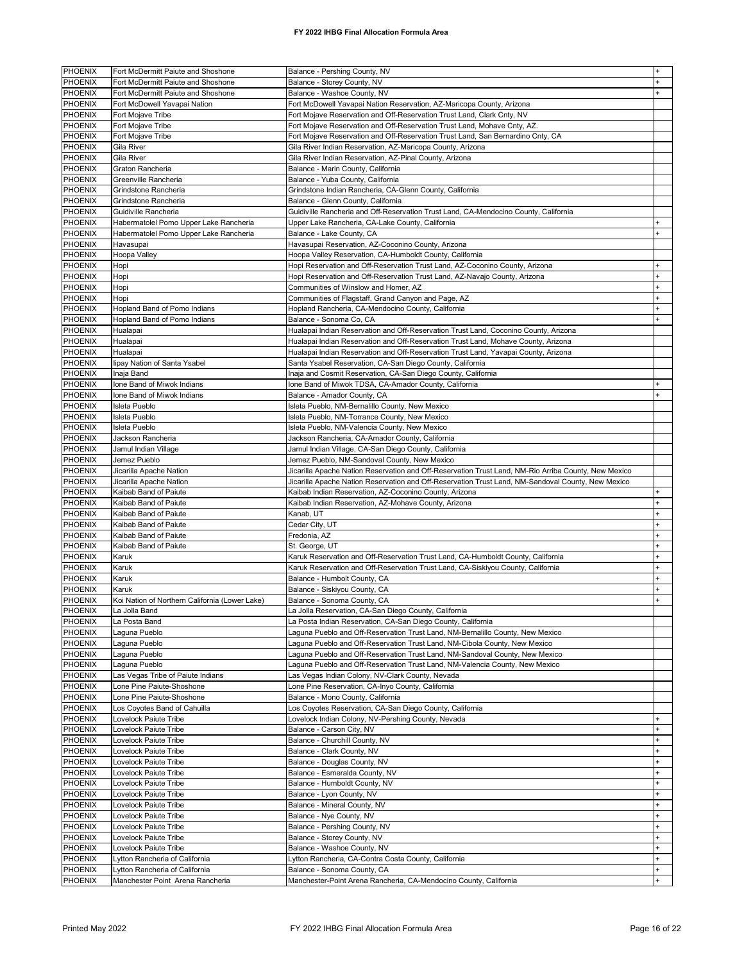| <b>PHOENIX</b> | Fort McDermitt Paiute and Shoshone             | Balance - Pershing County, NV                                                                        |     |
|----------------|------------------------------------------------|------------------------------------------------------------------------------------------------------|-----|
| <b>PHOENIX</b> | Fort McDermitt Paiute and Shoshone             | Balance - Storey County, NV                                                                          |     |
|                |                                                |                                                                                                      |     |
| PHOENIX        | Fort McDermitt Paiute and Shoshone             | Balance - Washoe County, NV                                                                          |     |
| <b>PHOENIX</b> | Fort McDowell Yavapai Nation                   | Fort McDowell Yavapai Nation Reservation, AZ-Maricopa County, Arizona                                |     |
| PHOENIX        | Fort Mojave Tribe                              | Fort Mojave Reservation and Off-Reservation Trust Land, Clark Cnty, NV                               |     |
| PHOENIX        | Fort Mojave Tribe                              | Fort Mojave Reservation and Off-Reservation Trust Land, Mohave Cnty, AZ.                             |     |
| PHOENIX        | Fort Mojave Tribe                              | Fort Mojave Reservation and Off-Reservation Trust Land, San Bernardino Cnty, CA                      |     |
| <b>PHOENIX</b> | Gila River                                     | Gila River Indian Reservation, AZ-Maricopa County, Arizona                                           |     |
| PHOENIX        | Gila River                                     | Gila River Indian Reservation, AZ-Pinal County, Arizona                                              |     |
| PHOENIX        | Graton Rancheria                               | Balance - Marin County, California                                                                   |     |
| PHOENIX        | Greenville Rancheria                           | Balance - Yuba County, California                                                                    |     |
| PHOENIX        | Grindstone Rancheria                           | Grindstone Indian Rancheria, CA-Glenn County, California                                             |     |
| <b>PHOENIX</b> | Grindstone Rancheria                           | Balance - Glenn County, California                                                                   |     |
|                |                                                |                                                                                                      |     |
| PHOENIX        | Guidiville Rancheria                           | Guidiville Rancheria and Off-Reservation Trust Land, CA-Mendocino County, California                 |     |
| <b>PHOENIX</b> | Habermatolel Pomo Upper Lake Rancheria         | Upper Lake Rancheria, CA-Lake County, California                                                     |     |
| PHOENIX        | Habermatolel Pomo Upper Lake Rancheria         | Balance - Lake County, CA                                                                            |     |
| PHOENIX        | Havasupai                                      | Havasupai Reservation, AZ-Coconino County, Arizona                                                   |     |
| PHOENIX        | Hoopa Valley                                   | Hoopa Valley Reservation, CA-Humboldt County, California                                             |     |
| PHOENIX        | Hopi                                           | Hopi Reservation and Off-Reservation Trust Land, AZ-Coconino County, Arizona                         |     |
| PHOENIX        | Hopi                                           | Hopi Reservation and Off-Reservation Trust Land, AZ-Navajo County, Arizona                           |     |
| <b>PHOENIX</b> | Hopi                                           | Communities of Winslow and Homer, AZ                                                                 |     |
| PHOENIX        | Hopi                                           | Communities of Flagstaff, Grand Canyon and Page, AZ                                                  |     |
| <b>PHOENIX</b> | Hopland Band of Pomo Indians                   | Hopland Rancheria, CA-Mendocino County, California                                                   |     |
| <b>PHOENIX</b> | Hopland Band of Pomo Indians                   | Balance - Sonoma Co, CA                                                                              |     |
|                |                                                |                                                                                                      |     |
| PHOENIX        | Hualapai                                       | Hualapai Indian Reservation and Off-Reservation Trust Land, Coconino County, Arizona                 |     |
| PHOENIX        | Hualapai                                       | Hualapai Indian Reservation and Off-Reservation Trust Land, Mohave County, Arizona                   |     |
| PHOENIX        | Hualapai                                       | Hualapai Indian Reservation and Off-Reservation Trust Land, Yavapai County, Arizona                  |     |
| PHOENIX        | lipay Nation of Santa Ysabel                   | Santa Ysabel Reservation, CA-San Diego County, California                                            |     |
| PHOENIX        | Inaja Band                                     | Inaja and Cosmit Reservation, CA-San Diego County, California                                        |     |
| PHOENIX        | Ione Band of Miwok Indians                     | Ione Band of Miwok TDSA, CA-Amador County, California                                                |     |
| PHOENIX        | Ione Band of Miwok Indians                     | Balance - Amador County, CA                                                                          |     |
| PHOENIX        | <b>Isleta Pueblo</b>                           | Isleta Pueblo, NM-Bernalillo County, New Mexico                                                      |     |
| <b>PHOENIX</b> | Isleta Pueblo                                  | Isleta Pueblo, NM-Torrance County, New Mexico                                                        |     |
| PHOENIX        | Isleta Pueblo                                  | Isleta Pueblo, NM-Valencia County, New Mexico                                                        |     |
| PHOENIX        |                                                |                                                                                                      |     |
|                | Jackson Rancheria                              | Jackson Rancheria, CA-Amador County, California                                                      |     |
| PHOENIX        | Jamul Indian Village                           | Jamul Indian Village, CA-San Diego County, California                                                |     |
| PHOENIX        | Jemez Pueblo                                   | Jemez Pueblo, NM-Sandoval County, New Mexico                                                         |     |
| PHOENIX        | Jicarilla Apache Nation                        | Jicarilla Apache Nation Reservation and Off-Reservation Trust Land, NM-Rio Arriba County, New Mexico |     |
| PHOENIX        | Jicarilla Apache Nation                        | Jicarilla Apache Nation Reservation and Off-Reservation Trust Land, NM-Sandoval County, New Mexico   |     |
|                |                                                |                                                                                                      |     |
| <b>PHOENIX</b> | Kaibab Band of Paiute                          | Kaibab Indian Reservation, AZ-Coconino County, Arizona                                               |     |
| PHOENIX        | Kaibab Band of Paiute                          |                                                                                                      |     |
|                |                                                | Kaibab Indian Reservation, AZ-Mohave County, Arizona                                                 |     |
| PHOENIX        | Kaibab Band of Paiute                          | Kanab, UT                                                                                            |     |
| PHOENIX        | Kaibab Band of Paiute                          | Cedar City, UT                                                                                       |     |
| PHOENIX        | Kaibab Band of Paiute                          | Fredonia, AZ                                                                                         |     |
| PHOENIX        | Kaibab Band of Paiute                          | St. George, UT                                                                                       |     |
| <b>PHOENIX</b> | Karuk                                          | Karuk Reservation and Off-Reservation Trust Land, CA-Humboldt County, California                     |     |
| PHOENIX        | Karuk                                          | Karuk Reservation and Off-Reservation Trust Land, CA-Siskiyou County, California                     |     |
| PHOENIX        | Karuk                                          | Balance - Humbolt County, CA                                                                         |     |
| PHOENIX        | Karuk                                          | Balance - Siskiyou County, CA                                                                        |     |
| <b>PHOENIX</b> | Koi Nation of Northern California (Lower Lake) | Balance - Sonoma County, CA                                                                          |     |
| <b>PHOENIX</b> | La Jolla Band                                  | La Jolla Reservation, CA-San Diego County, California                                                |     |
| <b>PHOENIX</b> | La Posta Band                                  | La Posta Indian Reservation, CA-San Diego County, California                                         |     |
| <b>PHOENIX</b> | Laguna Pueblo                                  | Laguna Pueblo and Off-Reservation Trust Land, NM-Bernalillo County, New Mexico                       |     |
|                |                                                |                                                                                                      |     |
| <b>PHOENIX</b> | Laguna Pueblo                                  | Laguna Pueblo and Off-Reservation Trust Land, NM-Cibola County, New Mexico                           |     |
| <b>PHOENIX</b> | Laguna Pueblo                                  | Laguna Pueblo and Off-Reservation Trust Land, NM-Sandoval County, New Mexico                         |     |
| <b>PHOENIX</b> | Laguna Pueblo                                  | Laguna Pueblo and Off-Reservation Trust Land, NM-Valencia County, New Mexico                         |     |
| <b>PHOENIX</b> | Las Vegas Tribe of Paiute Indians              | Las Vegas Indian Colony, NV-Clark County, Nevada                                                     |     |
| <b>PHOENIX</b> | Lone Pine Paiute-Shoshone                      | Lone Pine Reservation, CA-Inyo County, California                                                    |     |
| <b>PHOENIX</b> | Lone Pine Paiute-Shoshone                      | Balance - Mono County, California                                                                    |     |
| PHOENIX        | Los Coyotes Band of Cahuilla                   | Los Coyotes Reservation, CA-San Diego County, California                                             |     |
| <b>PHOENIX</b> | Lovelock Paiute Tribe                          | Lovelock Indian Colony, NV-Pershing County, Nevada                                                   |     |
| PHOENIX        | Lovelock Paiute Tribe                          | Balance - Carson City, NV                                                                            |     |
| <b>PHOENIX</b> | Lovelock Paiute Tribe                          | Balance - Churchill County, NV                                                                       |     |
| <b>PHOENIX</b> | Lovelock Paiute Tribe                          | Balance - Clark County, NV                                                                           |     |
| PHOENIX        | Lovelock Paiute Tribe                          | Balance - Douglas County, NV                                                                         |     |
|                |                                                |                                                                                                      |     |
| PHOENIX        | Lovelock Paiute Tribe                          | Balance - Esmeralda County, NV                                                                       |     |
| <b>PHOENIX</b> | Lovelock Paiute Tribe                          | Balance - Humboldt County, NV                                                                        |     |
| PHOENIX        | Lovelock Paiute Tribe                          | Balance - Lyon County, NV                                                                            |     |
| PHOENIX        | Lovelock Paiute Tribe                          | Balance - Mineral County, NV                                                                         |     |
| PHOENIX        | Lovelock Paiute Tribe                          | Balance - Nye County, NV                                                                             |     |
| <b>PHOENIX</b> | Lovelock Paiute Tribe                          | Balance - Pershing County, NV                                                                        |     |
| PHOENIX        | Lovelock Paiute Tribe                          | Balance - Storey County, NV                                                                          |     |
| <b>PHOENIX</b> | Lovelock Paiute Tribe                          | Balance - Washoe County, NV                                                                          |     |
| <b>PHOENIX</b> | Lytton Rancheria of California                 | Lytton Rancheria, CA-Contra Costa County, California                                                 |     |
| <b>PHOENIX</b> | Lytton Rancheria of California                 | Balance - Sonoma County, CA                                                                          | $+$ |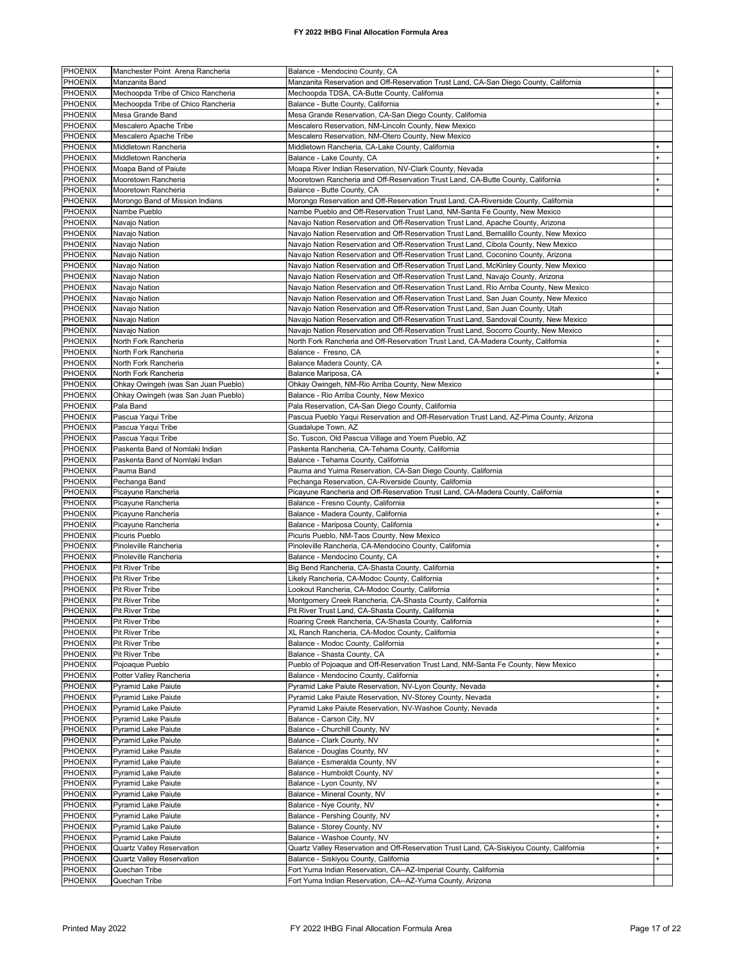| <b>PHOENIX</b>            | Manchester Point Arena Rancheria                                   | Balance - Mendocino County, CA                                                                                                                                              |           |
|---------------------------|--------------------------------------------------------------------|-----------------------------------------------------------------------------------------------------------------------------------------------------------------------------|-----------|
| PHOENIX                   | Manzanita Band                                                     | Manzanita Reservation and Off-Reservation Trust Land, CA-San Diego County, California                                                                                       |           |
| PHOENIX                   | Mechoopda Tribe of Chico Rancheria                                 | Mechoopda TDSA, CA-Butte County, California                                                                                                                                 |           |
| <b>PHOENIX</b>            | Mechoopda Tribe of Chico Rancheria                                 | Balance - Butte County, California                                                                                                                                          |           |
| PHOENIX                   | Mesa Grande Band                                                   | Mesa Grande Reservation, CA-San Diego County, California                                                                                                                    |           |
| <b>PHOENIX</b>            | Mescalero Apache Tribe                                             | Mescalero Reservation, NM-Lincoln County, New Mexico                                                                                                                        |           |
| PHOENIX                   | Mescalero Apache Tribe                                             | Mescalero Reservation, NM-Otero County, New Mexico                                                                                                                          |           |
| PHOENIX                   | Middletown Rancheria                                               | Middletown Rancheria, CA-Lake County, California                                                                                                                            |           |
| PHOENIX                   | Middletown Rancheria                                               | Balance - Lake County, CA                                                                                                                                                   |           |
| PHOENIX                   | Moapa Band of Paiute                                               | Moapa River Indian Reservation, NV-Clark County, Nevada                                                                                                                     |           |
| PHOENIX                   | Mooretown Rancheria                                                | Mooretown Rancheria and Off-Reservation Trust Land, CA-Butte County, California                                                                                             |           |
| PHOENIX                   | Mooretown Rancheria                                                | Balance - Butte County, CA                                                                                                                                                  |           |
| PHOENIX<br>PHOENIX        | Morongo Band of Mission Indians                                    | Morongo Reservation and Off-Reservation Trust Land, CA-Riverside County, California                                                                                         |           |
| PHOENIX                   | Nambe Pueblo                                                       | Nambe Pueblo and Off-Reservation Trust Land, NM-Santa Fe County, New Mexico                                                                                                 |           |
| PHOENIX                   | Navajo Nation<br>Navajo Nation                                     | Navajo Nation Reservation and Off-Reservation Trust Land, Apache County, Arizona<br>Navajo Nation Reservation and Off-Reservation Trust Land, Bernalillo County, New Mexico |           |
| PHOENIX                   | Navajo Nation                                                      | Navajo Nation Reservation and Off-Reservation Trust Land, Cibola County, New Mexico                                                                                         |           |
| <b>PHOENIX</b>            | Navajo Nation                                                      | Navajo Nation Reservation and Off-Reservation Trust Land, Coconino County, Arizona                                                                                          |           |
| PHOENIX                   | Navajo Nation                                                      | Navajo Nation Reservation and Off-Reservation Trust Land, McKinley County, New Mexico                                                                                       |           |
| PHOENIX                   | Navajo Nation                                                      | Navajo Nation Reservation and Off-Reservation Trust Land, Navajo County, Arizona                                                                                            |           |
| PHOENIX                   | Navajo Nation                                                      | Navajo Nation Reservation and Off-Reservation Trust Land, Rio Arriba County, New Mexico                                                                                     |           |
| PHOENIX                   | Navajo Nation                                                      | Navajo Nation Reservation and Off-Reservation Trust Land, San Juan County, New Mexico                                                                                       |           |
| PHOENIX                   | Navajo Nation                                                      | Navajo Nation Reservation and Off-Reservation Trust Land, San Juan County, Utah                                                                                             |           |
| PHOENIX                   | Navajo Nation                                                      | Navajo Nation Reservation and Off-Reservation Trust Land, Sandoval County, New Mexico                                                                                       |           |
| PHOENIX                   | Navajo Nation                                                      | Navajo Nation Reservation and Off-Reservation Trust Land, Socorro County, New Mexico                                                                                        |           |
| PHOENIX                   | North Fork Rancheria                                               | North Fork Rancheria and Off-Reservation Trust Land, CA-Madera County, California                                                                                           |           |
| PHOENIX                   | North Fork Rancheria                                               | Balance - Fresno, CA                                                                                                                                                        |           |
| PHOENIX                   | North Fork Rancheria                                               | Balance Madera County, CA                                                                                                                                                   |           |
| PHOENIX                   | North Fork Rancheria                                               | Balance Mariposa, CA                                                                                                                                                        |           |
| PHOENIX                   | Ohkay Owingeh (was San Juan Pueblo)                                | Ohkay Owingeh, NM-Rio Arriba County, New Mexico                                                                                                                             |           |
| PHOENIX                   | Ohkay Owingeh (was San Juan Pueblo)                                | Balance - Rio Arriba County, New Mexico                                                                                                                                     |           |
| PHOENIX                   | Pala Band                                                          | Pala Reservation, CA-San Diego County, California                                                                                                                           |           |
| PHOENIX                   | Pascua Yaqui Tribe                                                 | Pascua Pueblo Yaqui Reservation and Off-Reservation Trust Land, AZ-Pima County, Arizona                                                                                     |           |
| PHOENIX                   | Pascua Yaqui Tribe                                                 | Guadalupe Town, AZ                                                                                                                                                          |           |
| PHOENIX                   | Pascua Yaqui Tribe                                                 | So. Tuscon, Old Pascua Village and Yoem Pueblo, AZ                                                                                                                          |           |
| PHOENIX<br><b>PHOENIX</b> | Paskenta Band of Nomlaki Indian<br>Paskenta Band of Nomlaki Indian | Paskenta Rancheria, CA-Tehama County, California<br>Balance - Tehama County, California                                                                                     |           |
| PHOENIX                   | Pauma Band                                                         | Pauma and Yuima Reservation, CA-San Diego County, California                                                                                                                |           |
| PHOENIX                   | Pechanga Band                                                      | Pechanga Reservation, CA-Riverside County, California                                                                                                                       |           |
| PHOENIX                   | Picayune Rancheria                                                 | Picayune Rancheria and Off-Reservation Trust Land, CA-Madera County, California                                                                                             |           |
| PHOENIX                   | Picayune Rancheria                                                 | Balance - Fresno County, California                                                                                                                                         |           |
| PHOENIX                   | Picayune Rancheria                                                 | Balance - Madera County, California                                                                                                                                         | ÷         |
| <b>PHOENIX</b>            | Picayune Rancheria                                                 | Balance - Mariposa County, California                                                                                                                                       |           |
| PHOENIX                   | Picuris Pueblo                                                     | Picuris Pueblo, NM-Taos County, New Mexico                                                                                                                                  |           |
| PHOENIX                   | Pinoleville Rancheria                                              | Pinoleville Rancheria, CA-Mendocino County, California                                                                                                                      |           |
| PHOENIX                   | Pinoleville Rancheria                                              | Balance - Mendocino County, CA                                                                                                                                              |           |
| PHOENIX                   | Pit River Tribe                                                    | Big Bend Rancheria, CA-Shasta County, California                                                                                                                            |           |
| PHOENIX                   | Pit River Tribe                                                    | Likely Rancheria, CA-Modoc County, California                                                                                                                               |           |
| PHOENIX                   | Pit River Tribe                                                    | Lookout Rancheria, CA-Modoc County, California                                                                                                                              |           |
| <b>PHOENIX</b>            | Pit River Tribe                                                    | Montgomery Creek Rancheria, CA-Shasta County, California                                                                                                                    |           |
| <b>PHOENIX</b>            | <b>Pit River Tribe</b>                                             | Pit River Trust Land, CA-Shasta County, California                                                                                                                          |           |
| PHOENIX                   | Pit River Tribe                                                    | Roaring Creek Rancheria, CA-Shasta County, California                                                                                                                       |           |
| PHOENIX                   | Pit River Tribe                                                    | XL Ranch Rancheria, CA-Modoc County, California                                                                                                                             |           |
| PHOENIX                   | Pit River Tribe                                                    | Balance - Modoc County, California                                                                                                                                          |           |
| PHOENIX<br>PHOENIX        | Pit River Tribe                                                    | Balance - Shasta County, CA                                                                                                                                                 |           |
| PHOENIX                   | Pojoaque Pueblo<br>Potter Valley Rancheria                         | Pueblo of Pojoaque and Off-Reservation Trust Land, NM-Santa Fe County, New Mexico<br>Balance - Mendocino County, California                                                 |           |
| PHOENIX                   | Pyramid Lake Paiute                                                | Pyramid Lake Paiute Reservation, NV-Lyon County, Nevada                                                                                                                     |           |
| PHOENIX                   | Pyramid Lake Paiute                                                | Pyramid Lake Paiute Reservation, NV-Storey County, Nevada                                                                                                                   |           |
| PHOENIX                   | Pyramid Lake Paiute                                                | Pyramid Lake Paiute Reservation, NV-Washoe County, Nevada                                                                                                                   |           |
| PHOENIX                   | <b>Pyramid Lake Paiute</b>                                         | Balance - Carson City, NV                                                                                                                                                   |           |
| PHOENIX                   | Pyramid Lake Paiute                                                | Balance - Churchill County, NV                                                                                                                                              |           |
| PHOENIX                   | Pyramid Lake Paiute                                                | Balance - Clark County, NV                                                                                                                                                  |           |
| PHOENIX                   | <b>Pyramid Lake Paiute</b>                                         | Balance - Douglas County, NV                                                                                                                                                |           |
| PHOENIX                   | Pyramid Lake Paiute                                                | Balance - Esmeralda County, NV                                                                                                                                              |           |
| PHOENIX                   | Pyramid Lake Paiute                                                | Balance - Humboldt County, NV                                                                                                                                               |           |
| PHOENIX                   | <b>Pyramid Lake Paiute</b>                                         | Balance - Lyon County, NV                                                                                                                                                   | $\ddot{}$ |
| PHOENIX                   | Pyramid Lake Paiute                                                | Balance - Mineral County, NV                                                                                                                                                | $\ddot{}$ |
| PHOENIX                   | Pyramid Lake Paiute                                                | Balance - Nye County, NV                                                                                                                                                    | $\ddot{}$ |
| PHOENIX                   | Pyramid Lake Paiute                                                | Balance - Pershing County, NV                                                                                                                                               |           |
| PHOENIX                   | Pyramid Lake Paiute                                                | Balance - Storey County, NV                                                                                                                                                 |           |
| PHOENIX                   | Pyramid Lake Paiute                                                | Balance - Washoe County, NV                                                                                                                                                 |           |
| PHOENIX                   | Quartz Valley Reservation                                          | Quartz Valley Reservation and Off-Reservation Trust Land, CA-Siskiyou County, California                                                                                    |           |
| PHOENIX                   | Quartz Valley Reservation                                          | Balance - Siskiyou County, California                                                                                                                                       |           |
| PHOENIX<br>PHOENIX        | Quechan Tribe                                                      | Fort Yuma Indian Reservation, CA--AZ-Imperial County, California                                                                                                            |           |
|                           | Quechan Tribe                                                      | Fort Yuma Indian Reservation, CA--AZ-Yuma County, Arizona                                                                                                                   |           |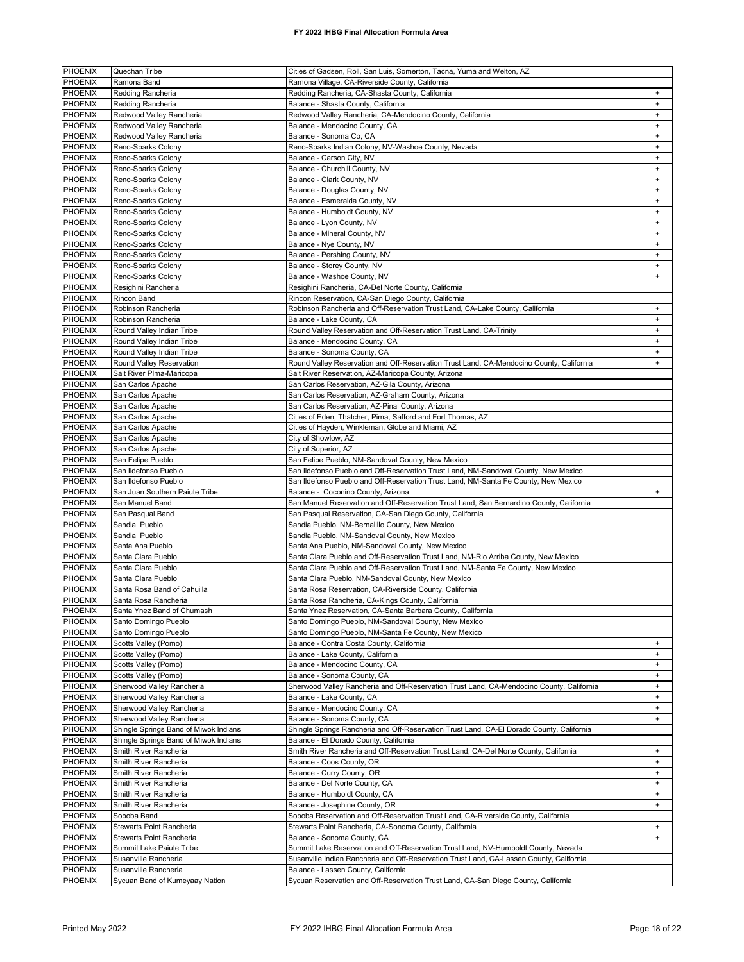|                    | Quechan Tribe                         | Cities of Gadsen, Roll, San Luis, Somerton, Tacna, Yuma and Welton, AZ                    |           |
|--------------------|---------------------------------------|-------------------------------------------------------------------------------------------|-----------|
| PHOENIX            |                                       |                                                                                           |           |
| <b>PHOENIX</b>     | Ramona Band                           | Ramona Village, CA-Riverside County, California                                           |           |
| PHOENIX            | Redding Rancheria                     | Redding Rancheria, CA-Shasta County, California                                           |           |
| PHOENIX            | Redding Rancheria                     | Balance - Shasta County, California                                                       |           |
| PHOENIX            | Redwood Valley Rancheria              | Redwood Valley Rancheria, CA-Mendocino County, California                                 |           |
| <b>PHOENIX</b>     | Redwood Valley Rancheria              | Balance - Mendocino County, CA                                                            |           |
| <b>PHOENIX</b>     | Redwood Valley Rancheria              | Balance - Sonoma Co, CA                                                                   |           |
| <b>PHOENIX</b>     | Reno-Sparks Colony                    | Reno-Sparks Indian Colony, NV-Washoe County, Nevada                                       |           |
| <b>PHOENIX</b>     | Reno-Sparks Colony                    | Balance - Carson City, NV                                                                 | $\ddot{}$ |
| PHOENIX            | Reno-Sparks Colony                    | Balance - Churchill County, NV                                                            |           |
| <b>PHOENIX</b>     | Reno-Sparks Colony                    | Balance - Clark County, NV                                                                |           |
| PHOENIX            | Reno-Sparks Colony                    | Balance - Douglas County, NV                                                              |           |
|                    |                                       |                                                                                           |           |
| <b>PHOENIX</b>     | Reno-Sparks Colony                    | Balance - Esmeralda County, NV                                                            |           |
| <b>PHOENIX</b>     | Reno-Sparks Colony                    | Balance - Humboldt County, NV                                                             |           |
| <b>PHOENIX</b>     | Reno-Sparks Colony                    | Balance - Lyon County, NV                                                                 |           |
| PHOENIX            | Reno-Sparks Colony                    | Balance - Mineral County, NV                                                              |           |
| <b>PHOENIX</b>     | Reno-Sparks Colony                    | Balance - Nye County, NV                                                                  |           |
| PHOENIX            | Reno-Sparks Colony                    | Balance - Pershing County, NV                                                             |           |
| <b>PHOENIX</b>     | Reno-Sparks Colony                    | Balance - Storey County, NV                                                               |           |
| PHOENIX            | Reno-Sparks Colony                    | Balance - Washoe County, NV                                                               |           |
| <b>PHOENIX</b>     | Resighini Rancheria                   | Resighini Rancheria, CA-Del Norte County, California                                      |           |
| PHOENIX            | Rincon Band                           | Rincon Reservation, CA-San Diego County, California                                       |           |
| PHOENIX            | Robinson Rancheria                    | Robinson Rancheria and Off-Reservation Trust Land, CA-Lake County, California             |           |
| PHOENIX            | Robinson Rancheria                    | Balance - Lake County, CA                                                                 |           |
| PHOENIX            | Round Valley Indian Tribe             |                                                                                           |           |
|                    |                                       | Round Valley Reservation and Off-Reservation Trust Land, CA-Trinity                       |           |
| PHOENIX            | Round Valley Indian Tribe             | Balance - Mendocino County, CA                                                            |           |
| PHOENIX            | Round Valley Indian Tribe             | Balance - Sonoma County, CA                                                               |           |
| <b>PHOENIX</b>     | Round Valley Reservation              | Round Valley Reservation and Off-Reservation Trust Land, CA-Mendocino County, California  |           |
| PHOENIX            | Salt River Plma-Maricopa              | Salt River Reservation, AZ-Maricopa County, Arizona                                       |           |
| PHOENIX            | San Carlos Apache                     | San Carlos Reservation, AZ-Gila County, Arizona                                           |           |
| <b>PHOENIX</b>     | San Carlos Apache                     | San Carlos Reservation, AZ-Graham County, Arizona                                         |           |
| <b>PHOENIX</b>     | San Carlos Apache                     | San Carlos Reservation, AZ-Pinal County, Arizona                                          |           |
| <b>PHOENIX</b>     | San Carlos Apache                     | Cities of Eden, Thatcher, Pima, Safford and Fort Thomas, AZ                               |           |
| <b>PHOENIX</b>     | San Carlos Apache                     | Cities of Hayden, Winkleman, Globe and Miami, AZ                                          |           |
| <b>PHOENIX</b>     | San Carlos Apache                     | City of Showlow, AZ                                                                       |           |
| <b>PHOENIX</b>     | San Carlos Apache                     | City of Superior, AZ                                                                      |           |
| PHOENIX            | San Felipe Pueblo                     | San Felipe Pueblo, NM-Sandoval County, New Mexico                                         |           |
| <b>PHOENIX</b>     | San Ildefonso Pueblo                  | San Ildefonso Pueblo and Off-Reservation Trust Land, NM-Sandoval County, New Mexico       |           |
| PHOENIX            | San Ildefonso Pueblo                  |                                                                                           |           |
|                    |                                       | San Ildefonso Pueblo and Off-Reservation Trust Land, NM-Santa Fe County, New Mexico       |           |
| <b>PHOENIX</b>     | San Juan Southern Paiute Tribe        | Balance - Coconino County, Arizona                                                        |           |
| <b>PHOENIX</b>     | San Manuel Band                       | San Manuel Reservation and Off-Reservation Trust Land, San Bernardino County, California  |           |
| <b>PHOENIX</b>     | San Pasqual Band                      | San Pasqual Reservation, CA-San Diego County, California                                  |           |
|                    | Sandia Pueblo                         | Sandia Pueblo, NM-Bernalillo County, New Mexico                                           |           |
| <b>PHOENIX</b>     |                                       |                                                                                           |           |
| <b>PHOENIX</b>     | Sandia Pueblo                         | Sandia Pueblo, NM-Sandoval County, New Mexico                                             |           |
| <b>PHOENIX</b>     | Santa Ana Pueblo                      | Santa Ana Pueblo, NM-Sandoval County, New Mexico                                          |           |
| <b>PHOENIX</b>     | Santa Clara Pueblo                    | Santa Clara Pueblo and Off-Reservation Trust Land, NM-Rio Arriba County, New Mexico       |           |
| <b>PHOENIX</b>     | Santa Clara Pueblo                    |                                                                                           |           |
|                    |                                       | Santa Clara Pueblo and Off-Reservation Trust Land, NM-Santa Fe County, New Mexico         |           |
| <b>PHOENIX</b>     | Santa Clara Pueblo                    | Santa Clara Pueblo, NM-Sandoval County, New Mexico                                        |           |
| PHOENIX            | Santa Rosa Band of Cahuilla           | Santa Rosa Reservation, CA-Riverside County, California                                   |           |
| PHOENIX            | Santa Rosa Rancheria                  | Santa Rosa Rancheria, CA-Kings County, California                                         |           |
| PHOENIX            | Santa Ynez Band of Chumash            | Santa Ynez Reservation, CA-Santa Barbara County, California                               |           |
| <b>PHOENIX</b>     | Santo Domingo Pueblo                  | Santo Domingo Pueblo, NM-Sandoval County, New Mexico                                      |           |
| <b>PHOENIX</b>     | Santo Domingo Pueblo                  | Santo Domingo Pueblo, NM-Santa Fe County, New Mexico                                      |           |
| PHOENIX            | Scotts Valley (Pomo)                  | Balance - Contra Costa County, California                                                 |           |
| <b>PHOENIX</b>     | Scotts Valley (Pomo)                  | Balance - Lake County, California                                                         |           |
| <b>PHOENIX</b>     | Scotts Valley (Pomo)                  | Balance - Mendocino County, CA                                                            |           |
| <b>PHOENIX</b>     | Scotts Valley (Pomo)                  | Balance - Sonoma County, CA                                                               | $\ddot{}$ |
| <b>PHOENIX</b>     | Sherwood Valley Rancheria             | Sherwood Valley Rancheria and Off-Reservation Trust Land, CA-Mendocino County, California | $\ddot{}$ |
| <b>PHOENIX</b>     | Sherwood Valley Rancheria             | Balance - Lake County, CA                                                                 | $\ddot{}$ |
| <b>PHOENIX</b>     |                                       | Balance - Mendocino County, CA                                                            | $\ddot{}$ |
|                    | Sherwood Valley Rancheria             |                                                                                           |           |
| <b>PHOENIX</b>     | Sherwood Valley Rancheria             | Balance - Sonoma County, CA                                                               |           |
| <b>PHOENIX</b>     | Shingle Springs Band of Miwok Indians | Shingle Springs Rancheria and Off-Reservation Trust Land, CA-El Dorado County, California |           |
| <b>PHOENIX</b>     | Shingle Springs Band of Miwok Indians | Balance - El Dorado County, California                                                    |           |
| <b>PHOENIX</b>     | Smith River Rancheria                 | Smith River Rancheria and Off-Reservation Trust Land, CA-Del Norte County, California     |           |
| <b>PHOENIX</b>     | Smith River Rancheria                 | Balance - Coos County, OR                                                                 | $\ddot{}$ |
| <b>PHOENIX</b>     | Smith River Rancheria                 | Balance - Curry County, OR                                                                | $\ddot{}$ |
| <b>PHOENIX</b>     | Smith River Rancheria                 | Balance - Del Norte County, CA                                                            |           |
| <b>PHOENIX</b>     | Smith River Rancheria                 | Balance - Humboldt County, CA                                                             | $\ddot{}$ |
| <b>PHOENIX</b>     | Smith River Rancheria                 | Balance - Josephine County, OR                                                            | $\ddot{}$ |
| PHOENIX            | Soboba Band                           | Soboba Reservation and Off-Reservation Trust Land, CA-Riverside County, California        |           |
| <b>PHOENIX</b>     | Stewarts Point Rancheria              | Stewarts Point Rancheria, CA-Sonoma County, California                                    | +         |
| <b>PHOENIX</b>     | Stewarts Point Rancheria              | Balance - Sonoma County, CA                                                               |           |
| PHOENIX            | Summit Lake Paiute Tribe              | Summit Lake Reservation and Off-Reservation Trust Land, NV-Humboldt County, Nevada        |           |
|                    | Susanville Rancheria                  | Susanville Indian Rancheria and Off-Reservation Trust Land, CA-Lassen County, California  |           |
| PHOENIX<br>PHOENIX | Susanville Rancheria                  | Balance - Lassen County, California                                                       |           |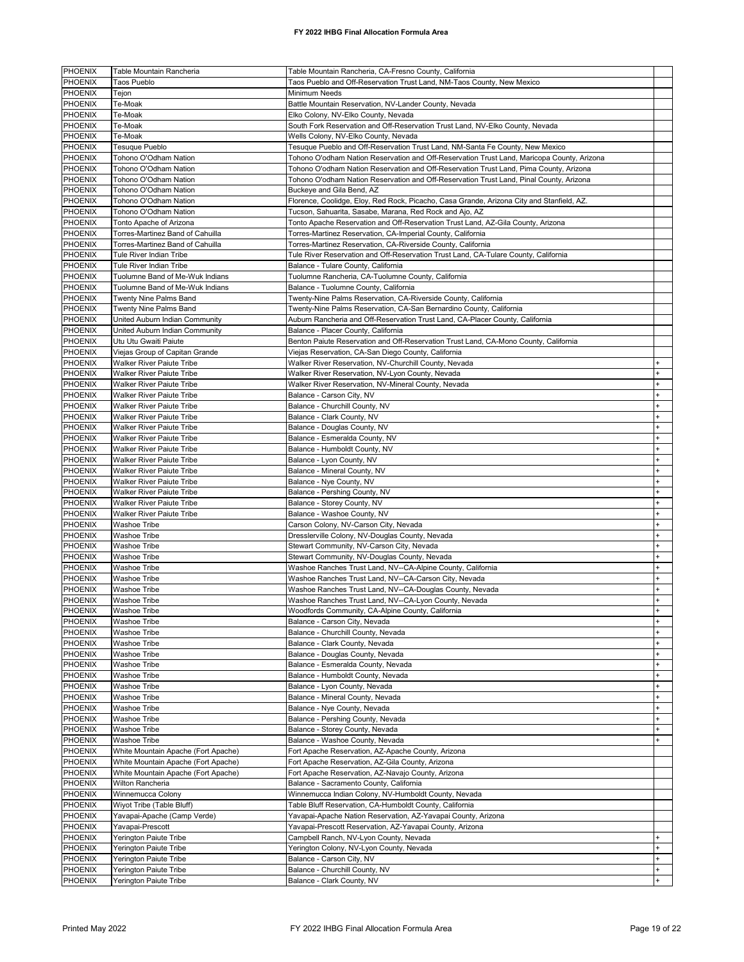| PHOENIX                          | Table Mountain Rancheria                                      | Table Mountain Rancheria, CA-Fresno County, California                                     |           |
|----------------------------------|---------------------------------------------------------------|--------------------------------------------------------------------------------------------|-----------|
| <b>PHOENIX</b>                   | Taos Pueblo                                                   | Taos Pueblo and Off-Reservation Trust Land, NM-Taos County, New Mexico                     |           |
| <b>PHOENIX</b>                   | Tejon                                                         | Minimum Needs                                                                              |           |
| <b>PHOENIX</b>                   | Te-Moak                                                       | Battle Mountain Reservation, NV-Lander County, Nevada                                      |           |
| <b>PHOENIX</b>                   | Te-Moak                                                       | Elko Colony, NV-Elko County, Nevada                                                        |           |
| <b>PHOENIX</b>                   | Te-Moak                                                       | South Fork Reservation and Off-Reservation Trust Land, NV-Elko County, Nevada              |           |
| <b>PHOENIX</b>                   | Te-Moak                                                       | Wells Colony, NV-Elko County, Nevada                                                       |           |
| <b>PHOENIX</b>                   | Tesuque Pueblo                                                | Tesuque Pueblo and Off-Reservation Trust Land, NM-Santa Fe County, New Mexico              |           |
| <b>PHOENIX</b>                   | Tohono O'Odham Nation                                         | Tohono O'odham Nation Reservation and Off-Reservation Trust Land, Maricopa County, Arizona |           |
| <b>PHOENIX</b>                   | Tohono O'Odham Nation                                         | Tohono O'odham Nation Reservation and Off-Reservation Trust Land, Pima County, Arizona     |           |
| <b>PHOENIX</b>                   | Tohono O'Odham Nation                                         | Tohono O'odham Nation Reservation and Off-Reservation Trust Land, Pinal County, Arizona    |           |
| <b>PHOENIX</b>                   | Tohono O'Odham Nation                                         | Buckeye and Gila Bend, AZ                                                                  |           |
| <b>PHOENIX</b>                   | Tohono O'Odham Nation                                         | Florence, Coolidge, Eloy, Red Rock, Picacho, Casa Grande, Arizona City and Stanfield, AZ.  |           |
| <b>PHOENIX</b>                   | Tohono O'Odham Nation                                         | Tucson, Sahuarita, Sasabe, Marana, Red Rock and Ajo, AZ                                    |           |
| <b>PHOENIX</b>                   | Tonto Apache of Arizona                                       | Tonto Apache Reservation and Off-Reservation Trust Land, AZ-Gila County, Arizona           |           |
| <b>PHOENIX</b>                   | Torres-Martinez Band of Cahuilla                              | Torres-Martinez Reservation, CA-Imperial County, California                                |           |
| PHOENIX                          | Torres-Martinez Band of Cahuilla                              | Torres-Martinez Reservation, CA-Riverside County, California                               |           |
| PHOENIX                          | Tule River Indian Tribe                                       | Tule River Reservation and Off-Reservation Trust Land, CA-Tulare County, California        |           |
| PHOENIX                          | Tule River Indian Tribe                                       | Balance - Tulare County, California                                                        |           |
| <b>PHOENIX</b>                   | Tuolumne Band of Me-Wuk Indians                               | Tuolumne Rancheria, CA-Tuolumne County, California                                         |           |
| <b>PHOENIX</b>                   | Tuolumne Band of Me-Wuk Indians                               | Balance - Tuolumne County, California                                                      |           |
| <b>PHOENIX</b>                   | Twenty Nine Palms Band                                        | Twenty-Nine Palms Reservation, CA-Riverside County, California                             |           |
| PHOENIX                          | Twenty Nine Palms Band                                        | Twenty-Nine Palms Reservation, CA-San Bernardino County, California                        |           |
| <b>PHOENIX</b>                   | United Auburn Indian Community                                | Auburn Rancheria and Off-Reservation Trust Land, CA-Placer County, California              |           |
| PHOENIX                          | United Auburn Indian Community                                | Balance - Placer County, California                                                        |           |
| <b>PHOENIX</b>                   | Utu Utu Gwaiti Paiute                                         | Benton Paiute Reservation and Off-Reservation Trust Land, CA-Mono County, California       |           |
| <b>PHOENIX</b>                   | Viejas Group of Capitan Grande                                | Viejas Reservation, CA-San Diego County, California                                        |           |
| <b>PHOENIX</b><br><b>PHOENIX</b> | Walker River Paiute Tribe                                     | Walker River Reservation, NV-Churchill County, Nevada                                      |           |
|                                  | Walker River Paiute Tribe                                     | Walker River Reservation, NV-Lyon County, Nevada                                           |           |
| <b>PHOENIX</b><br><b>PHOENIX</b> | Walker River Paiute Tribe                                     | Walker River Reservation, NV-Mineral County, Nevada                                        |           |
| <b>PHOENIX</b>                   | Walker River Paiute Tribe<br><b>Walker River Paiute Tribe</b> | Balance - Carson City, NV<br>Balance - Churchill County, NV                                | $\ddot{}$ |
| <b>PHOENIX</b>                   | <b>Walker River Paiute Tribe</b>                              | Balance - Clark County, NV                                                                 | $\ddot{}$ |
| <b>PHOENIX</b>                   | Walker River Paiute Tribe                                     | Balance - Douglas County, NV                                                               | $\ddot{}$ |
| <b>PHOENIX</b>                   | Walker River Paiute Tribe                                     | Balance - Esmeralda County, NV                                                             | $\ddot{}$ |
| <b>PHOENIX</b>                   | Walker River Paiute Tribe                                     | Balance - Humboldt County, NV                                                              |           |
| <b>PHOENIX</b>                   | Walker River Paiute Tribe                                     | Balance - Lyon County, NV                                                                  |           |
| <b>PHOENIX</b>                   | Walker River Paiute Tribe                                     | Balance - Mineral County, NV                                                               |           |
| <b>PHOENIX</b>                   | Walker River Paiute Tribe                                     | Balance - Nye County, NV                                                                   | $\ddot{}$ |
| <b>PHOENIX</b>                   | Walker River Paiute Tribe                                     | Balance - Pershing County, NV                                                              |           |
| PHOENIX                          | Walker River Paiute Tribe                                     | Balance - Storey County, NV                                                                |           |
| PHOENIX                          | Walker River Paiute Tribe                                     | Balance - Washoe County, NV                                                                |           |
| <b>PHOENIX</b>                   | Washoe Tribe                                                  | Carson Colony, NV-Carson City, Nevada                                                      |           |
| <b>PHOENIX</b>                   | Washoe Tribe                                                  | Dresslerville Colony, NV-Douglas County, Nevada                                            |           |
| <b>PHOENIX</b>                   | <b>Washoe Tribe</b>                                           | Stewart Community, NV-Carson City, Nevada                                                  | $\ddot{}$ |
| <b>PHOENIX</b>                   | <b>Washoe Tribe</b>                                           | Stewart Community, NV-Douglas County, Nevada                                               |           |
| <b>PHOENIX</b>                   | <b>Washoe Tribe</b>                                           | Washoe Ranches Trust Land, NV--CA-Alpine County, California                                | $\ddot{}$ |
| PHOENIX                          | <b>Washoe Tribe</b>                                           | Washoe Ranches Trust Land, NV--CA-Carson City, Nevada                                      |           |
| <b>PHOENIX</b>                   | <b>Washoe Tribe</b>                                           | Washoe Ranches Trust Land, NV--CA-Douglas County, Nevada                                   |           |
| <b>PHOENIX</b>                   | <b>Washoe Tribe</b>                                           | Washoe Ranches Trust Land, NV--CA-Lyon County, Nevada                                      |           |
| <b>PHOENIX</b>                   | Washoe Tribe                                                  | Woodfords Community, CA-Alpine County, California                                          | $\ddot{}$ |
| <b>PHOENIX</b><br><b>PHOENIX</b> | <b>Washoe Tribe</b>                                           | Balance - Carson City, Nevada<br>Balance - Churchill County, Nevada                        | $\ddot{}$ |
| <b>PHOENIX</b>                   | <b>Washoe Tribe</b><br><b>Washoe Tribe</b>                    | Balance - Clark County, Nevada                                                             |           |
| <b>PHOENIX</b>                   | <b>Washoe Tribe</b>                                           | Balance - Douglas County, Nevada                                                           |           |
| <b>PHOENIX</b>                   | Washoe Tribe                                                  | Balance - Esmeralda County, Nevada                                                         |           |
| <b>PHOENIX</b>                   | Washoe Tribe                                                  | Balance - Humboldt County, Nevada                                                          |           |
| <b>PHOENIX</b>                   | <b>Washoe Tribe</b>                                           | Balance - Lyon County, Nevada                                                              | $\ddot{}$ |
| PHOENIX                          | Washoe Tribe                                                  | Balance - Mineral County, Nevada                                                           | $\ddot{}$ |
| <b>PHOENIX</b>                   | <b>Washoe Tribe</b>                                           | Balance - Nye County, Nevada                                                               | $\ddot{}$ |
| PHOENIX                          | Washoe Tribe                                                  | Balance - Pershing County, Nevada                                                          |           |
| <b>PHOENIX</b>                   | <b>Washoe Tribe</b>                                           | Balance - Storey County, Nevada                                                            | $\ddot{}$ |
| <b>PHOENIX</b>                   | Washoe Tribe                                                  | Balance - Washoe County, Nevada                                                            |           |
| <b>PHOENIX</b>                   | White Mountain Apache (Fort Apache)                           | Fort Apache Reservation, AZ-Apache County, Arizona                                         |           |
| PHOENIX                          | White Mountain Apache (Fort Apache)                           | Fort Apache Reservation, AZ-Gila County, Arizona                                           |           |
| <b>PHOENIX</b>                   | White Mountain Apache (Fort Apache)                           | Fort Apache Reservation, AZ-Navajo County, Arizona                                         |           |
| PHOENIX                          | Wilton Rancheria                                              | Balance - Sacramento County, California                                                    |           |
| PHOENIX                          | Winnemucca Colony                                             | Winnemucca Indian Colony, NV-Humboldt County, Nevada                                       |           |
| PHOENIX                          | Wiyot Tribe (Table Bluff)                                     | Table Bluff Reservation, CA-Humboldt County, California                                    |           |
| <b>PHOENIX</b>                   | Yavapai-Apache (Camp Verde)                                   | Yavapai-Apache Nation Reservation, AZ-Yavapai County, Arizona                              |           |
| <b>PHOENIX</b>                   | Yavapai-Prescott                                              | Yavapai-Prescott Reservation, AZ-Yavapai County, Arizona                                   |           |
| <b>PHOENIX</b>                   | Yerington Paiute Tribe                                        | Campbell Ranch, NV-Lyon County, Nevada                                                     |           |
| PHOENIX                          | Yerington Paiute Tribe                                        | Yerington Colony, NV-Lyon County, Nevada                                                   |           |
| <b>PHOENIX</b>                   | Yerington Paiute Tribe                                        | Balance - Carson City, NV                                                                  |           |
| <b>PHOENIX</b><br><b>PHOENIX</b> | Yerington Paiute Tribe<br>Yerington Paiute Tribe              | Balance - Churchill County, NV<br>Balance - Clark County, NV                               |           |
|                                  |                                                               |                                                                                            |           |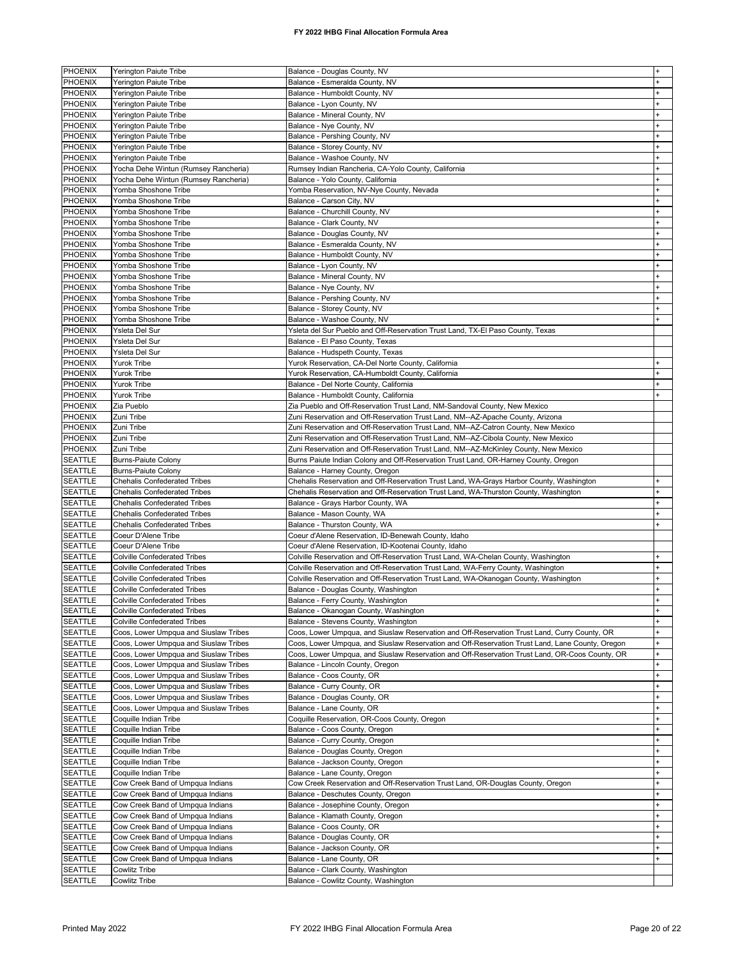| <b>PHOENIX</b>     | Yerington Paiute Tribe                | Balance - Douglas County, NV                                                                    |           |
|--------------------|---------------------------------------|-------------------------------------------------------------------------------------------------|-----------|
| <b>PHOENIX</b>     | Yerington Paiute Tribe                | Balance - Esmeralda County, NV                                                                  |           |
| <b>PHOENIX</b>     | <b>Yerington Paiute Tribe</b>         | Balance - Humboldt County, NV                                                                   |           |
| <b>PHOENIX</b>     | Yerington Paiute Tribe                | Balance - Lyon County, NV                                                                       |           |
|                    |                                       |                                                                                                 |           |
| <b>PHOENIX</b>     | Yerington Paiute Tribe                | Balance - Mineral County, NV                                                                    | $\ddot{}$ |
| PHOENIX            | Yerington Paiute Tribe                | Balance - Nye County, NV                                                                        |           |
| PHOENIX            | Yerington Paiute Tribe                | Balance - Pershing County, NV                                                                   | $\ddot{}$ |
| <b>PHOENIX</b>     | Yerington Paiute Tribe                | Balance - Storey County, NV                                                                     |           |
|                    |                                       |                                                                                                 |           |
| <b>PHOENIX</b>     | Yerington Paiute Tribe                | Balance - Washoe County, NV                                                                     |           |
| PHOENIX            | Yocha Dehe Wintun (Rumsey Rancheria)  | Rumsey Indian Rancheria, CA-Yolo County, California                                             |           |
| PHOENIX            | Yocha Dehe Wintun (Rumsey Rancheria)  | Balance - Yolo County, California                                                               | $\ddot{}$ |
| PHOENIX            | Yomba Shoshone Tribe                  | Yomba Reservation, NV-Nye County, Nevada                                                        | $\ddot{}$ |
|                    |                                       |                                                                                                 |           |
| <b>PHOENIX</b>     | Yomba Shoshone Tribe                  | Balance - Carson City, NV                                                                       | $\ddot{}$ |
| PHOENIX            | Yomba Shoshone Tribe                  | Balance - Churchill County, NV                                                                  |           |
| PHOENIX            | Yomba Shoshone Tribe                  | Balance - Clark County, NV                                                                      |           |
| PHOENIX            | Yomba Shoshone Tribe                  | Balance - Douglas County, NV                                                                    |           |
|                    |                                       |                                                                                                 |           |
| PHOENIX            | Yomba Shoshone Tribe                  | Balance - Esmeralda County, NV                                                                  |           |
| <b>PHOENIX</b>     | Yomba Shoshone Tribe                  | Balance - Humboldt County, NV                                                                   |           |
| <b>PHOENIX</b>     | Yomba Shoshone Tribe                  | Balance - Lyon County, NV                                                                       |           |
| <b>PHOENIX</b>     | Yomba Shoshone Tribe                  | Balance - Mineral County, NV                                                                    |           |
|                    |                                       |                                                                                                 |           |
| <b>PHOENIX</b>     | Yomba Shoshone Tribe                  | Balance - Nye County, NV                                                                        |           |
| <b>PHOENIX</b>     | Yomba Shoshone Tribe                  | Balance - Pershing County, NV                                                                   |           |
| <b>PHOENIX</b>     | Yomba Shoshone Tribe                  | Balance - Storey County, NV                                                                     |           |
| <b>PHOENIX</b>     | Yomba Shoshone Tribe                  | Balance - Washoe County, NV                                                                     |           |
|                    |                                       |                                                                                                 |           |
| <b>PHOENIX</b>     | Ysleta Del Sur                        | Ysleta del Sur Pueblo and Off-Reservation Trust Land, TX-El Paso County, Texas                  |           |
| PHOENIX            | Ysleta Del Sur                        | Balance - El Paso County, Texas                                                                 |           |
| PHOENIX            | Ysleta Del Sur                        | Balance - Hudspeth County, Texas                                                                |           |
| <b>PHOENIX</b>     | <b>Yurok Tribe</b>                    | Yurok Reservation, CA-Del Norte County, California                                              |           |
|                    |                                       |                                                                                                 |           |
| <b>PHOENIX</b>     | <b>Yurok Tribe</b>                    | Yurok Reservation, CA-Humboldt County, California                                               |           |
| PHOENIX            | <b>Yurok Tribe</b>                    | Balance - Del Norte County, California                                                          |           |
| PHOENIX            | <b>Yurok Tribe</b>                    | Balance - Humboldt County, California                                                           |           |
| <b>PHOENIX</b>     |                                       | Zia Pueblo and Off-Reservation Trust Land, NM-Sandoval County, New Mexico                       |           |
|                    | Zia Pueblo                            |                                                                                                 |           |
| PHOENIX            | Zuni Tribe                            | Zuni Reservation and Off-Reservation Trust Land, NM--AZ-Apache County, Arizona                  |           |
| <b>PHOENIX</b>     | Zuni Tribe                            | Zuni Reservation and Off-Reservation Trust Land, NM--AZ-Catron County, New Mexico               |           |
| PHOENIX            | Zuni Tribe                            | Zuni Reservation and Off-Reservation Trust Land, NM--AZ-Cibola County, New Mexico               |           |
| PHOENIX            | Zuni Tribe                            |                                                                                                 |           |
|                    |                                       | Zuni Reservation and Off-Reservation Trust Land, NM--AZ-McKinley County, New Mexico             |           |
| <b>SEATTLE</b>     | <b>Burns-Paiute Colony</b>            | Burns Paiute Indian Colony and Off-Reservation Trust Land, OR-Harney County, Oregon             |           |
| <b>SEATTLE</b>     | <b>Burns-Paiute Colony</b>            | Balance - Harney County, Oregon                                                                 |           |
|                    |                                       |                                                                                                 |           |
|                    |                                       |                                                                                                 |           |
| <b>SEATTLE</b>     | <b>Chehalis Confederated Tribes</b>   | Chehalis Reservation and Off-Reservation Trust Land, WA-Grays Harbor County, Washington         |           |
| SEATTLE            | <b>Chehalis Confederated Tribes</b>   | Chehalis Reservation and Off-Reservation Trust Land, WA-Thurston County, Washington             | +         |
| <b>SEATTLE</b>     | <b>Chehalis Confederated Tribes</b>   | Balance - Grays Harbor County, WA                                                               |           |
| SEATTLE            | <b>Chehalis Confederated Tribes</b>   | Balance - Mason County, WA                                                                      |           |
|                    |                                       |                                                                                                 |           |
| <b>SEATTLE</b>     | <b>Chehalis Confederated Tribes</b>   | Balance - Thurston County, WA                                                                   |           |
| <b>SEATTLE</b>     | Coeur D'Alene Tribe                   | Coeur d'Alene Reservation, ID-Benewah County, Idaho                                             |           |
| <b>SEATTLE</b>     | Coeur D'Alene Tribe                   | Coeur d'Alene Reservation, ID-Kootenai County, Idaho                                            |           |
| <b>SEATTLE</b>     | <b>Colville Confederated Tribes</b>   | Colville Reservation and Off-Reservation Trust Land, WA-Chelan County, Washington               |           |
|                    | <b>Colville Confederated Tribes</b>   |                                                                                                 |           |
| <b>SEATTLE</b>     |                                       | Colville Reservation and Off-Reservation Trust Land, WA-Ferry County, Washington                |           |
| <b>SEATTLE</b>     | <b>Colville Confederated Tribes</b>   | Colville Reservation and Off-Reservation Trust Land, WA-Okanogan County, Washington             | $\ddot{}$ |
| <b>SEATTLE</b>     | <b>Colville Confederated Tribes</b>   | Balance - Douglas County, Washington                                                            |           |
| <b>SEATTLE</b>     | <b>Colville Confederated Tribes</b>   | Balance - Ferry County, Washington                                                              |           |
|                    | <b>Colville Confederated Tribes</b>   | Balance - Okanogan County, Washington                                                           | $\ddot{}$ |
| SEATTLE            |                                       |                                                                                                 |           |
| SEATTLE            | <b>Colville Confederated Tribes</b>   | Balance - Stevens County, Washington                                                            |           |
| <b>SEATTLE</b>     | Coos, Lower Umpqua and Siuslaw Tribes | Coos, Lower Umpqua, and Siuslaw Reservation and Off-Reservation Trust Land, Curry County, OR    | $+$       |
| SEATTLE            | Coos, Lower Umpqua and Siuslaw Tribes | Coos, Lower Umpqua, and Siuslaw Reservation and Off-Reservation Trust Land, Lane County, Oregon | $+$       |
| SEATTLE            | Coos, Lower Umpqua and Siuslaw Tribes | Coos, Lower Umpqua, and Siuslaw Reservation and Off-Reservation Trust Land, OR-Coos County, OR  | $\ddot{}$ |
|                    |                                       |                                                                                                 | $+$       |
| <b>SEATTLE</b>     | Coos, Lower Umpqua and Siuslaw Tribes | Balance - Lincoln County, Oregon                                                                |           |
| SEATTLE            | Coos, Lower Umpqua and Siuslaw Tribes | Balance - Coos County, OR                                                                       | $\ddot{}$ |
| <b>SEATTLE</b>     | Coos, Lower Umpqua and Siuslaw Tribes | Balance - Curry County, OR                                                                      |           |
| SEATTLE            | Coos, Lower Umpqua and Siuslaw Tribes | Balance - Douglas County, OR                                                                    |           |
|                    |                                       |                                                                                                 | $\ddot{}$ |
| <b>SEATTLE</b>     | Coos, Lower Umpqua and Siuslaw Tribes | Balance - Lane County, OR                                                                       |           |
| <b>SEATTLE</b>     | Coquille Indian Tribe                 | Coquille Reservation, OR-Coos County, Oregon                                                    | $\ddot{}$ |
| <b>SEATTLE</b>     | Coquille Indian Tribe                 | Balance - Coos County, Oregon                                                                   | $\ddot{}$ |
| <b>SEATTLE</b>     | Coquille Indian Tribe                 | Balance - Curry County, Oregon                                                                  | $\ddot{}$ |
| SEATTLE            | Coquille Indian Tribe                 | Balance - Douglas County, Oregon                                                                | $\ddot{}$ |
|                    |                                       |                                                                                                 | $\ddot{}$ |
| SEATTLE            | Coquille Indian Tribe                 | Balance - Jackson County, Oregon                                                                |           |
| <b>SEATTLE</b>     | Coquille Indian Tribe                 | Balance - Lane County, Oregon                                                                   | $\ddot{}$ |
| SEATTLE            | Cow Creek Band of Umpqua Indians      | Cow Creek Reservation and Off-Reservation Trust Land, OR-Douglas County, Oregon                 | +         |
|                    |                                       |                                                                                                 | $\ddot{}$ |
| SEATTLE            | Cow Creek Band of Umpqua Indians      | Balance - Deschutes County, Oregon                                                              |           |
| SEATTLE            | Cow Creek Band of Umpqua Indians      | Balance - Josephine County, Oregon                                                              |           |
| SEATTLE            | Cow Creek Band of Umpqua Indians      | Balance - Klamath County, Oregon                                                                |           |
| SEATTLE            | Cow Creek Band of Umpqua Indians      | Balance - Coos County, OR                                                                       |           |
| <b>SEATTLE</b>     | Cow Creek Band of Umpqua Indians      | Balance - Douglas County, OR                                                                    |           |
|                    |                                       |                                                                                                 |           |
| SEATTLE            | Cow Creek Band of Umpqua Indians      | Balance - Jackson County, OR                                                                    |           |
| SEATTLE            | Cow Creek Band of Umpqua Indians      | Balance - Lane County, OR                                                                       |           |
| SEATTLE<br>SEATTLE | Cowlitz Tribe<br><b>Cowlitz Tribe</b> | Balance - Clark County, Washington<br>Balance - Cowlitz County, Washington                      |           |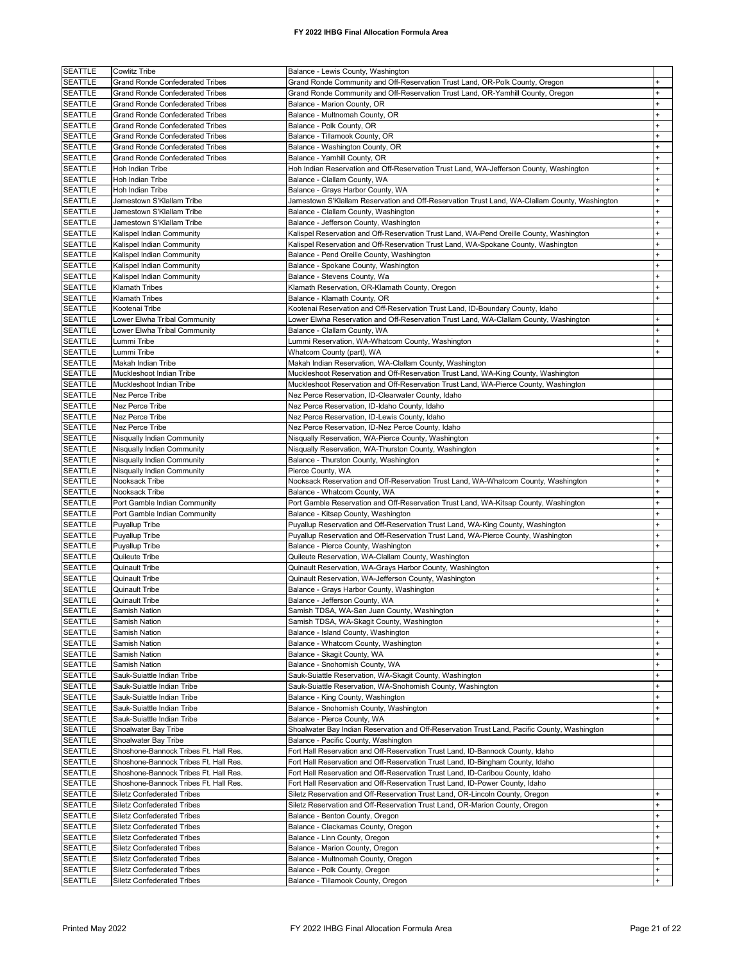| <b>SEATTLE</b>                   | <b>Cowlitz Tribe</b>                                                   | Balance - Lewis County, Washington                                                            |           |
|----------------------------------|------------------------------------------------------------------------|-----------------------------------------------------------------------------------------------|-----------|
|                                  |                                                                        |                                                                                               |           |
| <b>SEATTLE</b>                   | <b>Grand Ronde Confederated Tribes</b>                                 | Grand Ronde Community and Off-Reservation Trust Land, OR-Polk County, Oregon                  |           |
| <b>SEATTLE</b>                   | <b>Grand Ronde Confederated Tribes</b>                                 | Grand Ronde Community and Off-Reservation Trust Land, OR-Yamhill County, Oregon               |           |
| <b>SEATTLE</b>                   | <b>Grand Ronde Confederated Tribes</b>                                 | Balance - Marion County, OR                                                                   |           |
| <b>SEATTLE</b>                   | <b>Grand Ronde Confederated Tribes</b>                                 | Balance - Multnomah County, OR                                                                |           |
| <b>SEATTLE</b>                   | <b>Grand Ronde Confederated Tribes</b>                                 | Balance - Polk County, OR                                                                     |           |
| <b>SEATTLE</b>                   | <b>Grand Ronde Confederated Tribes</b>                                 | Balance - Tillamook County, OR                                                                |           |
| SEATTLE                          | <b>Grand Ronde Confederated Tribes</b>                                 | Balance - Washington County, OR                                                               |           |
| <b>SEATTLE</b>                   | <b>Grand Ronde Confederated Tribes</b>                                 | Balance - Yamhill County, OR                                                                  | $\ddot{}$ |
| <b>SEATTLE</b>                   | Hoh Indian Tribe                                                       | Hoh Indian Reservation and Off-Reservation Trust Land, WA-Jefferson County, Washington        | $\ddot{}$ |
| SEATTLE                          | Hoh Indian Tribe                                                       | Balance - Clallam County, WA                                                                  |           |
| <b>SEATTLE</b>                   | Hoh Indian Tribe                                                       | Balance - Grays Harbor County, WA                                                             |           |
| <b>SEATTLE</b>                   | Jamestown S'Klallam Tribe                                              | Jamestown S'Klallam Reservation and Off-Reservation Trust Land, WA-Clallam County, Washington | ÷         |
| <b>SEATTLE</b>                   | Jamestown S'Klallam Tribe                                              | Balance - Clallam County, Washington                                                          | $\ddot{}$ |
| <b>SEATTLE</b>                   | Jamestown S'Klallam Tribe                                              | Balance - Jefferson County, Washington                                                        | +         |
| <b>SEATTLE</b>                   | Kalispel Indian Community                                              | Kalispel Reservation and Off-Reservation Trust Land, WA-Pend Oreille County, Washington       | $\ddot{}$ |
|                                  |                                                                        |                                                                                               |           |
| <b>SEATTLE</b>                   | Kalispel Indian Community                                              | Kalispel Reservation and Off-Reservation Trust Land, WA-Spokane County, Washington            |           |
| SEATTLE                          | Kalispel Indian Community                                              | Balance - Pend Oreille County, Washington                                                     | $\ddot{}$ |
| <b>SEATTLE</b>                   | Kalispel Indian Community                                              | Balance - Spokane County, Washington                                                          |           |
| <b>SEATTLE</b>                   | Kalispel Indian Community                                              | Balance - Stevens County, Wa                                                                  |           |
| <b>SEATTLE</b>                   | <b>Klamath Tribes</b>                                                  | Klamath Reservation, OR-Klamath County, Oregon                                                |           |
| <b>SEATTLE</b>                   | <b>Klamath Tribes</b>                                                  | Balance - Klamath County, OR                                                                  |           |
| <b>SEATTLE</b>                   | Kootenai Tribe                                                         | Kootenai Reservation and Off-Reservation Trust Land, ID-Boundary County, Idaho                |           |
| <b>SEATTLE</b>                   | Lower Elwha Tribal Community                                           | Lower Elwha Reservation and Off-Reservation Trust Land, WA-Clallam County, Washington         |           |
| <b>SEATTLE</b>                   | Lower Elwha Tribal Community                                           | Balance - Clallam County, WA                                                                  |           |
| <b>SEATTLE</b>                   | Lummi Tribe                                                            | Lummi Reservation, WA-Whatcom County, Washington                                              |           |
| <b>SEATTLE</b>                   | Lummi Tribe                                                            | Whatcom County (part), WA                                                                     |           |
| <b>SEATTLE</b>                   | Makah Indian Tribe                                                     | Makah Indian Reservation, WA-Clallam County, Washington                                       |           |
| <b>SEATTLE</b>                   | Muckleshoot Indian Tribe                                               | Muckleshoot Reservation and Off-Reservation Trust Land, WA-King County, Washington            |           |
| <b>SEATTLE</b>                   | Muckleshoot Indian Tribe                                               | Muckleshoot Reservation and Off-Reservation Trust Land, WA-Pierce County, Washington          |           |
|                                  |                                                                        |                                                                                               |           |
| <b>SEATTLE</b>                   | Nez Perce Tribe                                                        | Nez Perce Reservation, ID-Clearwater County, Idaho                                            |           |
| <b>SEATTLE</b>                   | Nez Perce Tribe                                                        | Nez Perce Reservation, ID-Idaho County, Idaho                                                 |           |
| <b>SEATTLE</b>                   | Nez Perce Tribe                                                        | Nez Perce Reservation, ID-Lewis County, Idaho                                                 |           |
| <b>SEATTLE</b>                   | Nez Perce Tribe                                                        | Nez Perce Reservation, ID-Nez Perce County, Idaho                                             |           |
| <b>SEATTLE</b>                   | Nisqually Indian Community                                             | Nisqually Reservation, WA-Pierce County, Washington                                           |           |
| <b>SEATTLE</b>                   | Nisqually Indian Community                                             | Nisqually Reservation, WA-Thurston County, Washington                                         |           |
| <b>SEATTLE</b>                   | Nisqually Indian Community                                             | Balance - Thurston County, Washington                                                         |           |
| <b>SEATTLE</b>                   | Nisqually Indian Community                                             | Pierce County, WA                                                                             |           |
| <b>SEATTLE</b>                   | Nooksack Tribe                                                         | Nooksack Reservation and Off-Reservation Trust Land, WA-Whatcom County, Washington            | $\ddot{}$ |
|                                  |                                                                        |                                                                                               |           |
|                                  | Nooksack Tribe                                                         |                                                                                               | +         |
| <b>SEATTLE</b>                   |                                                                        | Balance - Whatcom County, WA                                                                  | $\ddot{}$ |
| <b>SEATTLE</b>                   | Port Gamble Indian Community                                           | Port Gamble Reservation and Off-Reservation Trust Land, WA-Kitsap County, Washington          |           |
| <b>SEATTLE</b>                   | Port Gamble Indian Community                                           | Balance - Kitsap County, Washington                                                           |           |
| <b>SEATTLE</b>                   | Puyallup Tribe                                                         | Puyallup Reservation and Off-Reservation Trust Land, WA-King County, Washington               | $\ddot{}$ |
| <b>SEATTLE</b>                   | Puyallup Tribe                                                         | Puyallup Reservation and Off-Reservation Trust Land, WA-Pierce County, Washington             |           |
| <b>SEATTLE</b>                   | Puyallup Tribe                                                         | Balance - Pierce County, Washington                                                           |           |
| <b>SEATTLE</b>                   | Quileute Tribe                                                         | Quileute Reservation, WA-Clallam County, Washington                                           |           |
| <b>SEATTLE</b>                   | Quinault Tribe                                                         | Quinault Reservation, WA-Grays Harbor County, Washington                                      |           |
| <b>SEATTLE</b>                   | Quinault Tribe                                                         | Quinault Reservation, WA-Jefferson County, Washington                                         |           |
| <b>SEATTLE</b>                   | Quinault Tribe                                                         | Balance - Grays Harbor County, Washington                                                     |           |
| <b>SEATTLE</b>                   | Quinault Tribe                                                         | Balance - Jefferson County, WA                                                                |           |
| <b>SEATTLE</b>                   | Samish Nation                                                          | Samish TDSA, WA-San Juan County, Washington                                                   |           |
| <b>SEATTLE</b>                   | Samish Nation                                                          | Samish TDSA, WA-Skagit County, Washington                                                     |           |
| <b>SEATTLE</b>                   | Samish Nation                                                          | Balance - Island County, Washington                                                           |           |
| <b>SEATTLE</b>                   | Samish Nation                                                          | Balance - Whatcom County, Washington                                                          |           |
| <b>SEATTLE</b>                   | Samish Nation                                                          | Balance - Skagit County, WA                                                                   |           |
| <b>SEATTLE</b>                   | Samish Nation                                                          | Balance - Snohomish County, WA                                                                |           |
|                                  |                                                                        |                                                                                               |           |
| <b>SEATTLE</b>                   | Sauk-Suiattle Indian Tribe                                             | Sauk-Suiattle Reservation, WA-Skagit County, Washington                                       |           |
| <b>SEATTLE</b>                   | Sauk-Suiattle Indian Tribe                                             | Sauk-Suiattle Reservation, WA-Snohomish County, Washington                                    |           |
| <b>SEATTLE</b>                   | Sauk-Suiattle Indian Tribe                                             | Balance - King County, Washington                                                             |           |
| <b>SEATTLE</b>                   | Sauk-Suiattle Indian Tribe                                             | Balance - Snohomish County, Washington                                                        |           |
| <b>SEATTLE</b>                   | Sauk-Suiattle Indian Tribe                                             | Balance - Pierce County, WA                                                                   |           |
| <b>SEATTLE</b>                   | Shoalwater Bay Tribe                                                   | Shoalwater Bay Indian Reservation and Off-Reservation Trust Land, Pacific County, Washington  |           |
| SEATTLE                          | Shoalwater Bay Tribe                                                   | Balance - Pacific County, Washington                                                          |           |
| <b>SEATTLE</b>                   | Shoshone-Bannock Tribes Ft. Hall Res.                                  | Fort Hall Reservation and Off-Reservation Trust Land, ID-Bannock County, Idaho                |           |
| <b>SEATTLE</b>                   | Shoshone-Bannock Tribes Ft. Hall Res.                                  | Fort Hall Reservation and Off-Reservation Trust Land, ID-Bingham County, Idaho                |           |
| SEATTLE                          | Shoshone-Bannock Tribes Ft. Hall Res.                                  | Fort Hall Reservation and Off-Reservation Trust Land, ID-Caribou County, Idaho                |           |
| SEATTLE                          | Shoshone-Bannock Tribes Ft. Hall Res.                                  | Fort Hall Reservation and Off-Reservation Trust Land, ID-Power County, Idaho                  |           |
| SEATTLE                          | Siletz Confederated Tribes                                             | Siletz Reservation and Off-Reservation Trust Land, OR-Lincoln County, Oregon                  |           |
| <b>SEATTLE</b>                   | Siletz Confederated Tribes                                             | Siletz Reservation and Off-Reservation Trust Land, OR-Marion County, Oregon                   |           |
| <b>SEATTLE</b>                   | Siletz Confederated Tribes                                             | Balance - Benton County, Oregon                                                               |           |
|                                  |                                                                        |                                                                                               |           |
| <b>SEATTLE</b>                   | Siletz Confederated Tribes                                             | Balance - Clackamas County, Oregon                                                            |           |
| SEATTLE                          | Siletz Confederated Tribes                                             | Balance - Linn County, Oregon                                                                 |           |
| <b>SEATTLE</b>                   | <b>Siletz Confederated Tribes</b>                                      | Balance - Marion County, Oregon                                                               |           |
| <b>SEATTLE</b>                   | <b>Siletz Confederated Tribes</b>                                      | Balance - Multnomah County, Oregon                                                            |           |
| <b>SEATTLE</b><br><b>SEATTLE</b> | <b>Siletz Confederated Tribes</b><br><b>Siletz Confederated Tribes</b> | Balance - Polk County, Oregon<br>Balance - Tillamook County, Oregon                           |           |